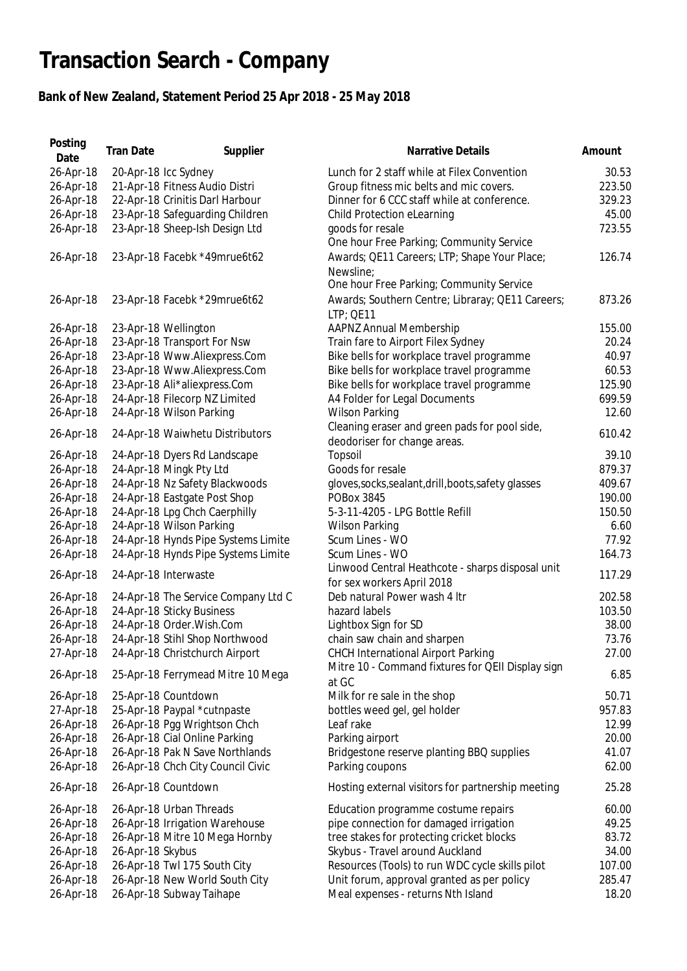## **Transaction Search - Company**

## **Bank of New Zealand, Statement Period 25 Apr 2018 - 25 May 2018**

| Posting<br>Date | <b>Tran Date</b> | Supplier                            | Narrative Details                                    | Amount |
|-----------------|------------------|-------------------------------------|------------------------------------------------------|--------|
| 26-Apr-18       |                  | 20-Apr-18 Icc Sydney                | Lunch for 2 staff while at Filex Convention          | 30.53  |
| 26-Apr-18       |                  | 21-Apr-18 Fitness Audio Distri      | Group fitness mic belts and mic covers.              | 223.50 |
| 26-Apr-18       |                  | 22-Apr-18 Crinitis Darl Harbour     | Dinner for 6 CCC staff while at conference.          | 329.23 |
| 26-Apr-18       |                  | 23-Apr-18 Safeguarding Children     | Child Protection eLearning                           | 45.00  |
| 26-Apr-18       |                  | 23-Apr-18 Sheep-Ish Design Ltd      | goods for resale                                     | 723.55 |
|                 |                  |                                     | One hour Free Parking; Community Service             |        |
| 26-Apr-18       |                  | 23-Apr-18 Facebk *49mrue6t62        | Awards; QE11 Careers; LTP; Shape Your Place;         | 126.74 |
|                 |                  |                                     | Newsline:                                            |        |
|                 |                  |                                     | One hour Free Parking; Community Service             |        |
| 26-Apr-18       |                  | 23-Apr-18 Facebk *29mrue6t62        | Awards; Southern Centre; Libraray; QE11 Careers;     | 873.26 |
|                 |                  |                                     | LTP; QE11                                            |        |
| 26-Apr-18       |                  | 23-Apr-18 Wellington                | <b>AAPNZ Annual Membership</b>                       | 155.00 |
| 26-Apr-18       |                  | 23-Apr-18 Transport For Nsw         | Train fare to Airport Filex Sydney                   | 20.24  |
| 26-Apr-18       |                  | 23-Apr-18 Www.Aliexpress.Com        | Bike bells for workplace travel programme            | 40.97  |
| 26-Apr-18       |                  | 23-Apr-18 Www.Aliexpress.Com        | Bike bells for workplace travel programme            | 60.53  |
| 26-Apr-18       |                  |                                     |                                                      | 125.90 |
|                 |                  | 23-Apr-18 Ali*aliexpress.Com        | Bike bells for workplace travel programme            |        |
| 26-Apr-18       |                  | 24-Apr-18 Filecorp NZ Limited       | A4 Folder for Legal Documents                        | 699.59 |
| 26-Apr-18       |                  | 24-Apr-18 Wilson Parking            | <b>Wilson Parking</b>                                | 12.60  |
| 26-Apr-18       |                  | 24-Apr-18 Waiwhetu Distributors     | Cleaning eraser and green pads for pool side,        | 610.42 |
|                 |                  |                                     | deodoriser for change areas.                         |        |
| 26-Apr-18       |                  | 24-Apr-18 Dyers Rd Landscape        | Topsoil                                              | 39.10  |
| 26-Apr-18       |                  | 24-Apr-18 Mingk Pty Ltd             | Goods for resale                                     | 879.37 |
| 26-Apr-18       |                  | 24-Apr-18 Nz Safety Blackwoods      | gloves, socks, sealant, drill, boots, safety glasses | 409.67 |
| 26-Apr-18       |                  | 24-Apr-18 Eastgate Post Shop        | <b>POBox 3845</b>                                    | 190.00 |
| 26-Apr-18       |                  | 24-Apr-18 Lpg Chch Caerphilly       | 5-3-11-4205 - LPG Bottle Refill                      | 150.50 |
| 26-Apr-18       |                  | 24-Apr-18 Wilson Parking            | <b>Wilson Parking</b>                                | 6.60   |
| 26-Apr-18       |                  | 24-Apr-18 Hynds Pipe Systems Limite | Scum Lines - WO                                      | 77.92  |
| 26-Apr-18       |                  | 24-Apr-18 Hynds Pipe Systems Limite | Scum Lines - WO                                      | 164.73 |
| 26-Apr-18       |                  | 24-Apr-18 Interwaste                | Linwood Central Heathcote - sharps disposal unit     | 117.29 |
|                 |                  |                                     | for sex workers April 2018                           |        |
| 26-Apr-18       |                  | 24-Apr-18 The Service Company Ltd C | Deb natural Power wash 4 Itr                         | 202.58 |
| 26-Apr-18       |                  | 24-Apr-18 Sticky Business           | hazard labels                                        | 103.50 |
| 26-Apr-18       |                  | 24-Apr-18 Order.Wish.Com            | Lightbox Sign for SD                                 | 38.00  |
| 26-Apr-18       |                  | 24-Apr-18 Stihl Shop Northwood      | chain saw chain and sharpen                          | 73.76  |
| 27-Apr-18       |                  | 24-Apr-18 Christchurch Airport      | <b>CHCH International Airport Parking</b>            | 27.00  |
|                 |                  |                                     | Mitre 10 - Command fixtures for QEII Display sign    |        |
| 26-Apr-18       |                  | 25-Apr-18 Ferrymead Mitre 10 Mega   | at GC                                                | 6.85   |
| 26-Apr-18       |                  | 25-Apr-18 Countdown                 | Milk for re sale in the shop                         | 50.71  |
| 27-Apr-18       |                  | 25-Apr-18 Paypal *cutnpaste         | bottles weed gel, gel holder                         | 957.83 |
| 26-Apr-18       |                  | 26-Apr-18 Pgg Wrightson Chch        | Leaf rake                                            | 12.99  |
| 26-Apr-18       |                  | 26-Apr-18 Cial Online Parking       | Parking airport                                      | 20.00  |
| 26-Apr-18       |                  | 26-Apr-18 Pak N Save Northlands     | Bridgestone reserve planting BBQ supplies            | 41.07  |
| 26-Apr-18       |                  | 26-Apr-18 Chch City Council Civic   | Parking coupons                                      | 62.00  |
|                 |                  |                                     |                                                      |        |
| 26-Apr-18       |                  | 26-Apr-18 Countdown                 | Hosting external visitors for partnership meeting    | 25.28  |
| 26-Apr-18       |                  | 26-Apr-18 Urban Threads             | Education programme costume repairs                  | 60.00  |
| 26-Apr-18       |                  | 26-Apr-18 Irrigation Warehouse      | pipe connection for damaged irrigation               | 49.25  |
| 26-Apr-18       |                  | 26-Apr-18 Mitre 10 Mega Hornby      | tree stakes for protecting cricket blocks            | 83.72  |
| 26-Apr-18       | 26-Apr-18 Skybus |                                     | Skybus - Travel around Auckland                      | 34.00  |
| 26-Apr-18       |                  | 26-Apr-18 Twl 175 South City        | Resources (Tools) to run WDC cycle skills pilot      | 107.00 |
| 26-Apr-18       |                  | 26-Apr-18 New World South City      | Unit forum, approval granted as per policy           | 285.47 |
| 26-Apr-18       |                  | 26-Apr-18 Subway Taihape            | Meal expenses - returns Nth Island                   | 18.20  |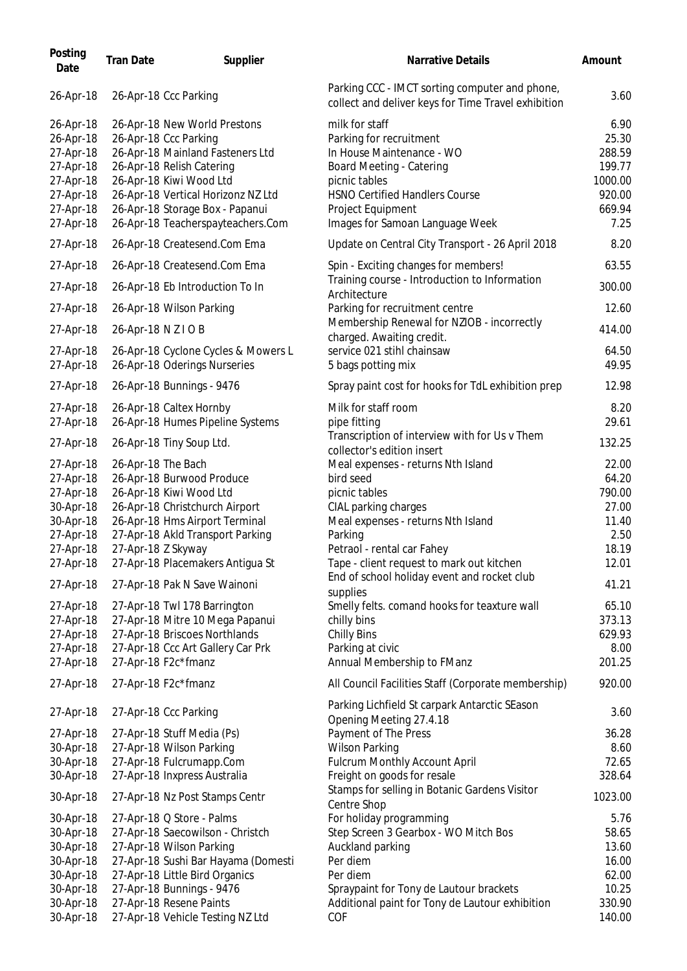| Posting<br>Date                                                                                      | <b>Tran Date</b>    | Supplier                                                                                                                                                                                                                                                        | Narrative Details                                                                                                                                                                                                    | Amount                                                                   |
|------------------------------------------------------------------------------------------------------|---------------------|-----------------------------------------------------------------------------------------------------------------------------------------------------------------------------------------------------------------------------------------------------------------|----------------------------------------------------------------------------------------------------------------------------------------------------------------------------------------------------------------------|--------------------------------------------------------------------------|
| 26-Apr-18                                                                                            |                     | 26-Apr-18 Ccc Parking                                                                                                                                                                                                                                           | Parking CCC - IMCT sorting computer and phone,<br>collect and deliver keys for Time Travel exhibition                                                                                                                | 3.60                                                                     |
| 26-Apr-18<br>26-Apr-18<br>27-Apr-18<br>27-Apr-18<br>27-Apr-18<br>27-Apr-18<br>27-Apr-18<br>27-Apr-18 |                     | 26-Apr-18 New World Prestons<br>26-Apr-18 Ccc Parking<br>26-Apr-18 Mainland Fasteners Ltd<br>26-Apr-18 Relish Catering<br>26-Apr-18 Kiwi Wood Ltd<br>26-Apr-18 Vertical Horizonz NZ Ltd<br>26-Apr-18 Storage Box - Papanui<br>26-Apr-18 Teacherspayteachers.Com | milk for staff<br>Parking for recruitment<br>In House Maintenance - WO<br>Board Meeting - Catering<br>picnic tables<br><b>HSNO Certified Handlers Course</b><br>Project Equipment<br>Images for Samoan Language Week | 6.90<br>25.30<br>288.59<br>199.77<br>1000.00<br>920.00<br>669.94<br>7.25 |
| 27-Apr-18                                                                                            |                     | 26-Apr-18 Createsend.Com Ema                                                                                                                                                                                                                                    | Update on Central City Transport - 26 April 2018                                                                                                                                                                     | 8.20                                                                     |
| 27-Apr-18<br>27-Apr-18                                                                               |                     | 26-Apr-18 Createsend.Com Ema<br>26-Apr-18 Eb Introduction To In                                                                                                                                                                                                 | Spin - Exciting changes for members!<br>Training course - Introduction to Information<br>Architecture                                                                                                                | 63.55<br>300.00                                                          |
| 27-Apr-18<br>27-Apr-18                                                                               | 26-Apr-18 N Z I O B | 26-Apr-18 Wilson Parking                                                                                                                                                                                                                                        | Parking for recruitment centre<br>Membership Renewal for NZIOB - incorrectly<br>charged. Awaiting credit.                                                                                                            | 12.60<br>414.00                                                          |
| 27-Apr-18<br>27-Apr-18                                                                               |                     | 26-Apr-18 Cyclone Cycles & Mowers L<br>26-Apr-18 Oderings Nurseries                                                                                                                                                                                             | service 021 stihl chainsaw<br>5 bags potting mix                                                                                                                                                                     | 64.50<br>49.95                                                           |
| 27-Apr-18                                                                                            |                     | 26-Apr-18 Bunnings - 9476                                                                                                                                                                                                                                       | Spray paint cost for hooks for TdL exhibition prep                                                                                                                                                                   | 12.98                                                                    |
| 27-Apr-18<br>27-Apr-18                                                                               |                     | 26-Apr-18 Caltex Hornby<br>26-Apr-18 Humes Pipeline Systems                                                                                                                                                                                                     | Milk for staff room<br>pipe fitting<br>Transcription of interview with for Us v Them                                                                                                                                 | 8.20<br>29.61                                                            |
| 27-Apr-18<br>27-Apr-18<br>27-Apr-18                                                                  | 26-Apr-18 The Bach  | 26-Apr-18 Tiny Soup Ltd.<br>26-Apr-18 Burwood Produce                                                                                                                                                                                                           | collector's edition insert<br>Meal expenses - returns Nth Island<br>bird seed                                                                                                                                        | 132.25<br>22.00<br>64.20                                                 |
| 27-Apr-18                                                                                            |                     | 26-Apr-18 Kiwi Wood Ltd<br>26-Apr-18 Christchurch Airport                                                                                                                                                                                                       | picnic tables                                                                                                                                                                                                        | 790.00<br>27.00                                                          |
| 30-Apr-18<br>30-Apr-18<br>27-Apr-18<br>27-Apr-18                                                     |                     | 26-Apr-18 Hms Airport Terminal<br>27-Apr-18 Akld Transport Parking<br>27-Apr-18 Z Skyway                                                                                                                                                                        | CIAL parking charges<br>Meal expenses - returns Nth Island<br>Parking<br>Petraol - rental car Fahey                                                                                                                  | 11.40<br>2.50<br>18.19                                                   |
| 27-Apr-18<br>27-Apr-18                                                                               |                     | 27-Apr-18 Placemakers Antigua St<br>27-Apr-18 Pak N Save Wainoni                                                                                                                                                                                                | Tape - client request to mark out kitchen<br>End of school holiday event and rocket club<br>supplies                                                                                                                 | 12.01<br>41.21                                                           |
| 27-Apr-18<br>27-Apr-18<br>27-Apr-18<br>27-Apr-18<br>27-Apr-18                                        |                     | 27-Apr-18 Twl 178 Barrington<br>27-Apr-18 Mitre 10 Mega Papanui<br>27-Apr-18 Briscoes Northlands<br>27-Apr-18 Ccc Art Gallery Car Prk<br>27-Apr-18 F2c*fmanz                                                                                                    | Smelly felts. comand hooks for teaxture wall<br>chilly bins<br><b>Chilly Bins</b><br>Parking at civic<br>Annual Membership to FManz                                                                                  | 65.10<br>373.13<br>629.93<br>8.00<br>201.25                              |
| 27-Apr-18                                                                                            |                     | 27-Apr-18 F2c*fmanz                                                                                                                                                                                                                                             | All Council Facilities Staff (Corporate membership)                                                                                                                                                                  | 920.00                                                                   |
| 27-Apr-18                                                                                            |                     | 27-Apr-18 Ccc Parking                                                                                                                                                                                                                                           | Parking Lichfield St carpark Antarctic SEason<br>Opening Meeting 27.4.18                                                                                                                                             | 3.60                                                                     |
| 27-Apr-18<br>30-Apr-18<br>30-Apr-18<br>30-Apr-18                                                     |                     | 27-Apr-18 Stuff Media (Ps)<br>27-Apr-18 Wilson Parking<br>27-Apr-18 Fulcrumapp.Com<br>27-Apr-18 Inxpress Australia                                                                                                                                              | Payment of The Press<br><b>Wilson Parking</b><br>Fulcrum Monthly Account April<br>Freight on goods for resale                                                                                                        | 36.28<br>8.60<br>72.65<br>328.64                                         |
| 30-Apr-18                                                                                            |                     | 27-Apr-18 Nz Post Stamps Centr                                                                                                                                                                                                                                  | Stamps for selling in Botanic Gardens Visitor<br>Centre Shop                                                                                                                                                         | 1023.00                                                                  |
| 30-Apr-18<br>30-Apr-18<br>30-Apr-18                                                                  |                     | 27-Apr-18 Q Store - Palms<br>27-Apr-18 Saecowilson - Christch<br>27-Apr-18 Wilson Parking                                                                                                                                                                       | For holiday programming<br>Step Screen 3 Gearbox - WO Mitch Bos<br>Auckland parking                                                                                                                                  | 5.76<br>58.65<br>13.60                                                   |
| 30-Apr-18<br>30-Apr-18<br>30-Apr-18                                                                  |                     | 27-Apr-18 Sushi Bar Hayama (Domesti<br>27-Apr-18 Little Bird Organics<br>27-Apr-18 Bunnings - 9476                                                                                                                                                              | Per diem<br>Per diem<br>Spraypaint for Tony de Lautour brackets                                                                                                                                                      | 16.00<br>62.00<br>10.25                                                  |
| 30-Apr-18<br>30-Apr-18                                                                               |                     | 27-Apr-18 Resene Paints<br>27-Apr-18 Vehicle Testing NZ Ltd                                                                                                                                                                                                     | Additional paint for Tony de Lautour exhibition<br>COF                                                                                                                                                               | 330.90<br>140.00                                                         |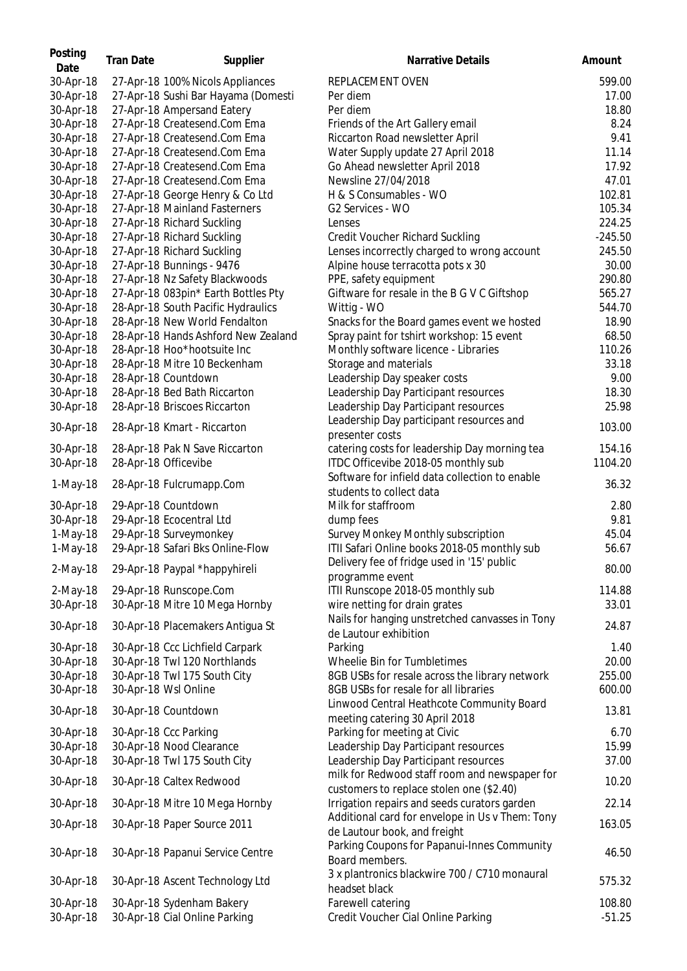| Posting<br>Date        | <b>Tran Date</b> | Supplier                                          | <b>Narrative Details</b>                                                        | Amount    |
|------------------------|------------------|---------------------------------------------------|---------------------------------------------------------------------------------|-----------|
| 30-Apr-18              |                  | 27-Apr-18 100% Nicols Appliances                  | REPLACEMENT OVEN                                                                | 599.00    |
| 30-Apr-18              |                  | 27-Apr-18 Sushi Bar Hayama (Domesti               | Per diem                                                                        | 17.00     |
| 30-Apr-18              |                  | 27-Apr-18 Ampersand Eatery                        | Per diem                                                                        | 18.80     |
| 30-Apr-18              |                  | 27-Apr-18 Createsend.Com Ema                      | Friends of the Art Gallery email                                                | 8.24      |
| 30-Apr-18              |                  | 27-Apr-18 Createsend.Com Ema                      | Riccarton Road newsletter April                                                 | 9.41      |
| 30-Apr-18              |                  | 27-Apr-18 Createsend.Com Ema                      | Water Supply update 27 April 2018                                               | 11.14     |
| 30-Apr-18              |                  | 27-Apr-18 Createsend.Com Ema                      | Go Ahead newsletter April 2018                                                  | 17.92     |
| 30-Apr-18              |                  | 27-Apr-18 Createsend.Com Ema                      | Newsline 27/04/2018                                                             | 47.01     |
| 30-Apr-18              |                  | 27-Apr-18 George Henry & Co Ltd                   | H & S Consumables - WO                                                          | 102.81    |
| 30-Apr-18              |                  | 27-Apr-18 Mainland Fasterners                     | G2 Services - WO                                                                | 105.34    |
| 30-Apr-18              |                  | 27-Apr-18 Richard Suckling                        | Lenses                                                                          | 224.25    |
| 30-Apr-18              |                  | 27-Apr-18 Richard Suckling                        | <b>Credit Voucher Richard Suckling</b>                                          | $-245.50$ |
| 30-Apr-18              |                  | 27-Apr-18 Richard Suckling                        | Lenses incorrectly charged to wrong account                                     | 245.50    |
| 30-Apr-18              |                  | 27-Apr-18 Bunnings - 9476                         | Alpine house terracotta pots x 30                                               | 30.00     |
| 30-Apr-18              |                  | 27-Apr-18 Nz Safety Blackwoods                    | PPE, safety equipment                                                           | 290.80    |
| 30-Apr-18              |                  | 27-Apr-18 083pin* Earth Bottles Pty               | Giftware for resale in the B G V C Giftshop                                     | 565.27    |
| 30-Apr-18              |                  | 28-Apr-18 South Pacific Hydraulics                | Wittig - WO                                                                     | 544.70    |
| 30-Apr-18              |                  | 28-Apr-18 New World Fendalton                     | Snacks for the Board games event we hosted                                      | 18.90     |
| 30-Apr-18              |                  | 28-Apr-18 Hands Ashford New Zealand               | Spray paint for tshirt workshop: 15 event                                       | 68.50     |
| 30-Apr-18              |                  | 28-Apr-18 Hoo*hootsuite Inc                       | Monthly software licence - Libraries                                            | 110.26    |
| 30-Apr-18              |                  | 28-Apr-18 Mitre 10 Beckenham                      | Storage and materials                                                           | 33.18     |
| 30-Apr-18              |                  | 28-Apr-18 Countdown                               | Leadership Day speaker costs                                                    | 9.00      |
| 30-Apr-18              |                  | 28-Apr-18 Bed Bath Riccarton                      | Leadership Day Participant resources                                            | 18.30     |
| 30-Apr-18              |                  | 28-Apr-18 Briscoes Riccarton                      | Leadership Day Participant resources                                            | 25.98     |
| 30-Apr-18              |                  | 28-Apr-18 Kmart - Riccarton                       | Leadership Day participant resources and<br>presenter costs                     | 103.00    |
| 30-Apr-18              |                  | 28-Apr-18 Pak N Save Riccarton                    | catering costs for leadership Day morning tea                                   | 154.16    |
| 30-Apr-18              |                  | 28-Apr-18 Officevibe                              | ITDC Officevibe 2018-05 monthly sub                                             | 1104.20   |
|                        |                  |                                                   | Software for infield data collection to enable                                  |           |
| 1-May-18               |                  | 28-Apr-18 Fulcrumapp.Com                          | students to collect data                                                        | 36.32     |
| 30-Apr-18              |                  | 29-Apr-18 Countdown                               | Milk for staffroom                                                              | 2.80      |
| 30-Apr-18              |                  | 29-Apr-18 Ecocentral Ltd                          | dump fees                                                                       | 9.81      |
| $1-May-18$             |                  | 29-Apr-18 Surveymonkey                            | Survey Monkey Monthly subscription                                              | 45.04     |
| 1-May-18               |                  | 29-Apr-18 Safari Bks Online-Flow                  | ITII Safari Online books 2018-05 monthly sub                                    | 56.67     |
| $2-May-18$             |                  | 29-Apr-18 Paypal *happyhireli                     | Delivery fee of fridge used in '15' public<br>programme event                   | 80.00     |
| 2-May-18               |                  | 29-Apr-18 Runscope.Com                            | ITII Runscope 2018-05 monthly sub                                               | 114.88    |
| 30-Apr-18              |                  | 30-Apr-18 Mitre 10 Mega Hornby                    | wire netting for drain grates                                                   | 33.01     |
| 30-Apr-18              |                  | 30-Apr-18 Placemakers Antigua St                  | Nails for hanging unstretched canvasses in Tony<br>de Lautour exhibition        | 24.87     |
| 30-Apr-18              |                  | 30-Apr-18 Ccc Lichfield Carpark                   | Parking                                                                         | 1.40      |
| 30-Apr-18              |                  | 30-Apr-18 Twl 120 Northlands                      | Wheelie Bin for Tumbletimes                                                     | 20.00     |
| 30-Apr-18              |                  | 30-Apr-18 Twl 175 South City                      | 8GB USBs for resale across the library network                                  | 255.00    |
| 30-Apr-18              |                  | 30-Apr-18 Wsl Online                              | 8GB USBs for resale for all libraries                                           | 600.00    |
| 30-Apr-18              |                  | 30-Apr-18 Countdown                               | Linwood Central Heathcote Community Board<br>meeting catering 30 April 2018     | 13.81     |
|                        |                  |                                                   | Parking for meeting at Civic                                                    | 6.70      |
| 30-Apr-18<br>30-Apr-18 |                  | 30-Apr-18 Ccc Parking<br>30-Apr-18 Nood Clearance |                                                                                 | 15.99     |
|                        |                  | 30-Apr-18 Twl 175 South City                      | Leadership Day Participant resources<br>Leadership Day Participant resources    | 37.00     |
| 30-Apr-18              |                  |                                                   | milk for Redwood staff room and newspaper for                                   |           |
| 30-Apr-18              |                  | 30-Apr-18 Caltex Redwood                          | customers to replace stolen one (\$2.40)                                        | 10.20     |
| 30-Apr-18              |                  | 30-Apr-18 Mitre 10 Mega Hornby                    | Irrigation repairs and seeds curators garden                                    | 22.14     |
| 30-Apr-18              |                  | 30-Apr-18 Paper Source 2011                       | Additional card for envelope in Us v Them: Tony<br>de Lautour book, and freight | 163.05    |
| 30-Apr-18              |                  | 30-Apr-18 Papanui Service Centre                  | Parking Coupons for Papanui-Innes Community<br>Board members.                   | 46.50     |
| 30-Apr-18              |                  | 30-Apr-18 Ascent Technology Ltd                   | 3 x plantronics blackwire 700 / C710 monaural<br>headset black                  | 575.32    |
| 30-Apr-18              |                  | 30-Apr-18 Sydenham Bakery                         | Farewell catering                                                               | 108.80    |
| 30-Apr-18              |                  | 30-Apr-18 Cial Online Parking                     | Credit Voucher Cial Online Parking                                              | $-51.25$  |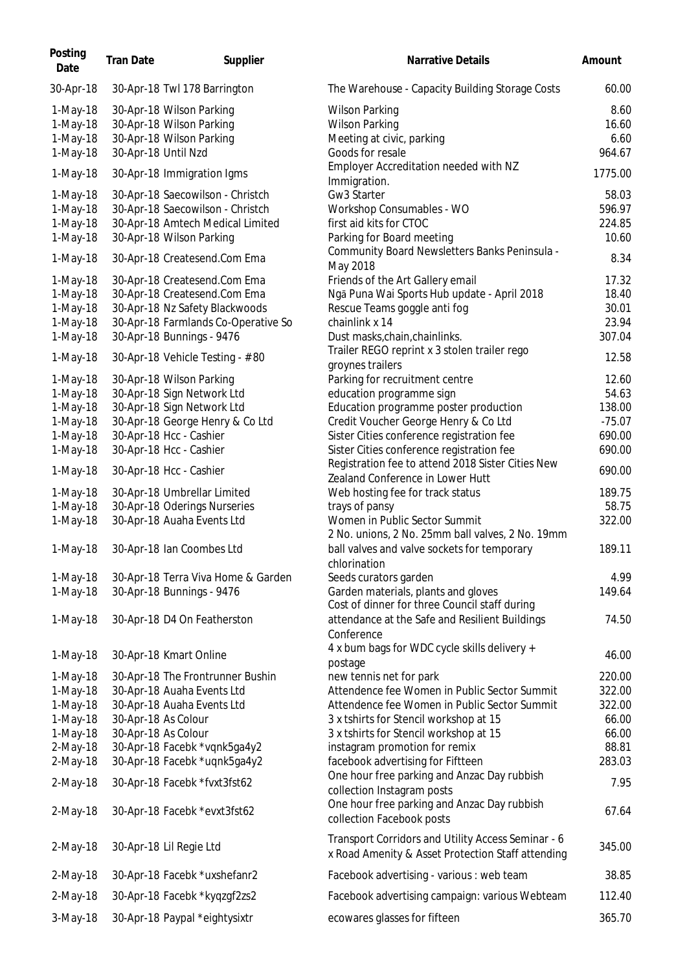| Posting<br>Date | <b>Tran Date</b>    | Supplier                            | Narrative Details                                                                                       | Amount   |
|-----------------|---------------------|-------------------------------------|---------------------------------------------------------------------------------------------------------|----------|
| 30-Apr-18       |                     | 30-Apr-18 Twl 178 Barrington        | The Warehouse - Capacity Building Storage Costs                                                         | 60.00    |
| 1-May-18        |                     | 30-Apr-18 Wilson Parking            | <b>Wilson Parking</b>                                                                                   | 8.60     |
| 1-May-18        |                     | 30-Apr-18 Wilson Parking            | <b>Wilson Parking</b>                                                                                   | 16.60    |
| 1-May-18        |                     | 30-Apr-18 Wilson Parking            | Meeting at civic, parking                                                                               | 6.60     |
| 1-May-18        | 30-Apr-18 Until Nzd |                                     | Goods for resale                                                                                        | 964.67   |
| 1-May-18        |                     | 30-Apr-18 Immigration Igms          | Employer Accreditation needed with NZ                                                                   | 1775.00  |
|                 |                     |                                     | Immigration.                                                                                            |          |
| 1-May-18        |                     | 30-Apr-18 Saecowilson - Christch    | Gw3 Starter                                                                                             | 58.03    |
| 1-May-18        |                     | 30-Apr-18 Saecowilson - Christch    | Workshop Consumables - WO                                                                               | 596.97   |
| 1-May-18        |                     | 30-Apr-18 Amtech Medical Limited    | first aid kits for CTOC                                                                                 | 224.85   |
| 1-May-18        |                     | 30-Apr-18 Wilson Parking            | Parking for Board meeting<br>Community Board Newsletters Banks Peninsula -                              | 10.60    |
| $1-May-18$      |                     | 30-Apr-18 Createsend.Com Ema        | May 2018                                                                                                | 8.34     |
| $1-May-18$      |                     | 30-Apr-18 Createsend.Com Ema        | Friends of the Art Gallery email                                                                        | 17.32    |
| 1-May-18        |                     | 30-Apr-18 Createsend.Com Ema        | Ngā Puna Wai Sports Hub update - April 2018                                                             | 18.40    |
| 1-May-18        |                     | 30-Apr-18 Nz Safety Blackwoods      | Rescue Teams goggle anti fog                                                                            | 30.01    |
| 1-May-18        |                     | 30-Apr-18 Farmlands Co-Operative So | chainlink x 14                                                                                          | 23.94    |
| 1-May-18        |                     | 30-Apr-18 Bunnings - 9476           | Dust masks, chain, chainlinks.                                                                          | 307.04   |
|                 |                     |                                     | Trailer REGO reprint x 3 stolen trailer rego                                                            |          |
| $1-May-18$      |                     | 30-Apr-18 Vehicle Testing - #80     | groynes trailers                                                                                        | 12.58    |
| 1-May-18        |                     | 30-Apr-18 Wilson Parking            | Parking for recruitment centre                                                                          | 12.60    |
| 1-May-18        |                     | 30-Apr-18 Sign Network Ltd          | education programme sign                                                                                | 54.63    |
| 1-May-18        |                     | 30-Apr-18 Sign Network Ltd          | Education programme poster production                                                                   | 138.00   |
| 1-May-18        |                     | 30-Apr-18 George Henry & Co Ltd     | Credit Voucher George Henry & Co Ltd                                                                    | $-75.07$ |
| 1-May-18        |                     | 30-Apr-18 Hcc - Cashier             | Sister Cities conference registration fee                                                               | 690.00   |
| 1-May-18        |                     | 30-Apr-18 Hcc - Cashier             | Sister Cities conference registration fee                                                               | 690.00   |
|                 |                     |                                     | Registration fee to attend 2018 Sister Cities New                                                       |          |
| 1-May-18        |                     | 30-Apr-18 Hcc - Cashier             | Zealand Conference in Lower Hutt                                                                        | 690.00   |
| $1-May-18$      |                     | 30-Apr-18 Umbrellar Limited         | Web hosting fee for track status                                                                        | 189.75   |
| 1-May-18        |                     | 30-Apr-18 Oderings Nurseries        | trays of pansy                                                                                          | 58.75    |
| 1-May-18        |                     | 30-Apr-18 Auaha Events Ltd          | Women in Public Sector Summit                                                                           | 322.00   |
|                 |                     |                                     | 2 No. unions, 2 No. 25mm ball valves, 2 No. 19mm                                                        |          |
| 1-May-18        |                     | 30-Apr-18 Ian Coombes Ltd           | ball valves and valve sockets for temporary                                                             | 189.11   |
|                 |                     |                                     | chlorination                                                                                            |          |
| 1-May-18        |                     | 30-Apr-18 Terra Viva Home & Garden  | Seeds curators garden                                                                                   | 4.99     |
| 1-May-18        |                     | 30-Apr-18 Bunnings - 9476           | Garden materials, plants and gloves<br>Cost of dinner for three Council staff during                    | 149.64   |
| $1-May-18$      |                     | 30-Apr-18 D4 On Featherston         | attendance at the Safe and Resilient Buildings                                                          | 74.50    |
|                 |                     |                                     | Conference                                                                                              |          |
| 1-May-18        |                     | 30-Apr-18 Kmart Online              | 4 x bum bags for WDC cycle skills delivery +                                                            | 46.00    |
|                 |                     |                                     | postage                                                                                                 |          |
| 1-May-18        |                     | 30-Apr-18 The Frontrunner Bushin    | new tennis net for park                                                                                 | 220.00   |
| 1-May-18        |                     | 30-Apr-18 Auaha Events Ltd          | Attendence fee Women in Public Sector Summit                                                            | 322.00   |
| 1-May-18        |                     | 30-Apr-18 Auaha Events Ltd          | Attendence fee Women in Public Sector Summit                                                            | 322.00   |
| 1-May-18        | 30-Apr-18 As Colour |                                     | 3 x tshirts for Stencil workshop at 15                                                                  | 66.00    |
| 1-May-18        | 30-Apr-18 As Colour |                                     | 3 x tshirts for Stencil workshop at 15                                                                  | 66.00    |
| 2-May-18        |                     | 30-Apr-18 Facebk *vqnk5ga4y2        | instagram promotion for remix                                                                           | 88.81    |
| 2-May-18        |                     | 30-Apr-18 Facebk *uqnk5ga4y2        | facebook advertising for Fiftteen                                                                       | 283.03   |
| 2-May-18        |                     | 30-Apr-18 Facebk *fvxt3fst62        | One hour free parking and Anzac Day rubbish                                                             | 7.95     |
|                 |                     |                                     | collection Instagram posts                                                                              |          |
| 2-May-18        |                     | 30-Apr-18 Facebk *evxt3fst62        | One hour free parking and Anzac Day rubbish<br>collection Facebook posts                                | 67.64    |
| 2-May-18        |                     | 30-Apr-18 Lil Regie Ltd             | Transport Corridors and Utility Access Seminar - 6<br>x Road Amenity & Asset Protection Staff attending | 345.00   |
| 2-May-18        |                     | 30-Apr-18 Facebk *uxshefanr2        | Facebook advertising - various : web team                                                               | 38.85    |
| $2-May-18$      |                     | 30-Apr-18 Facebk *kyqzgf2zs2        | Facebook advertising campaign: various Webteam                                                          | 112.40   |
| 3-May-18        |                     | 30-Apr-18 Paypal *eightysixtr       | ecowares glasses for fifteen                                                                            | 365.70   |
|                 |                     |                                     |                                                                                                         |          |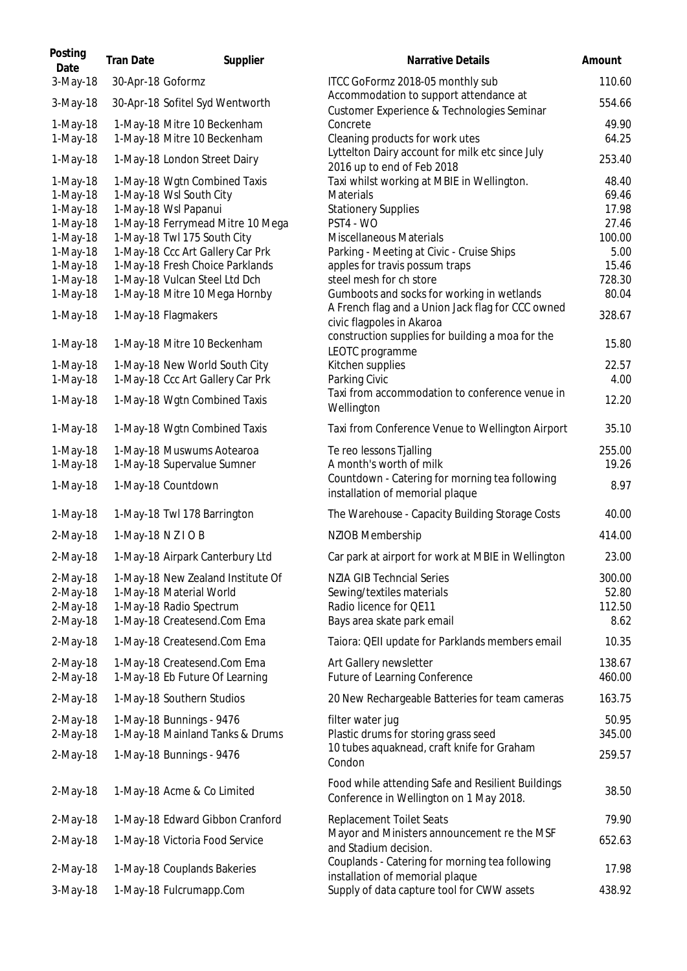| Posting<br>Date        | <b>Tran Date</b>   | Supplier                                                        | <b>Narrative Details</b>                                                                     | Amount           |
|------------------------|--------------------|-----------------------------------------------------------------|----------------------------------------------------------------------------------------------|------------------|
| 3-May-18               | 30-Apr-18 Goformz  |                                                                 | ITCC GoFormz 2018-05 monthly sub                                                             | 110.60           |
| 3-May-18               |                    | 30-Apr-18 Sofitel Syd Wentworth                                 | Accommodation to support attendance at<br>Customer Experience & Technologies Seminar         | 554.66           |
| 1-May-18               |                    | 1-May-18 Mitre 10 Beckenham                                     | Concrete                                                                                     | 49.90            |
| 1-May-18               |                    | 1-May-18 Mitre 10 Beckenham                                     | Cleaning products for work utes                                                              | 64.25            |
| 1-May-18               |                    | 1-May-18 London Street Dairy                                    | Lyttelton Dairy account for milk etc since July<br>2016 up to end of Feb 2018                | 253.40           |
| 1-May-18               |                    | 1-May-18 Wgtn Combined Taxis                                    | Taxi whilst working at MBIE in Wellington.                                                   | 48.40            |
| 1-May-18               |                    | 1-May-18 Wsl South City                                         | Materials                                                                                    | 69.46            |
| 1-May-18               |                    | 1-May-18 Wsl Papanui                                            | <b>Stationery Supplies</b>                                                                   | 17.98            |
| 1-May-18               |                    | 1-May-18 Ferrymead Mitre 10 Mega                                | PST4 - WO                                                                                    | 27.46            |
| 1-May-18<br>1-May-18   |                    | 1-May-18 Twl 175 South City<br>1-May-18 Ccc Art Gallery Car Prk | <b>Miscellaneous Materials</b><br>Parking - Meeting at Civic - Cruise Ships                  | 100.00<br>5.00   |
| 1-May-18               |                    | 1-May-18 Fresh Choice Parklands                                 | apples for travis possum traps                                                               | 15.46            |
| 1-May-18               |                    | 1-May-18 Vulcan Steel Ltd Dch                                   | steel mesh for ch store                                                                      | 728.30           |
| $1-May-18$             |                    | 1-May-18 Mitre 10 Mega Hornby                                   | Gumboots and socks for working in wetlands                                                   | 80.04            |
| $1-May-18$             |                    | 1-May-18 Flagmakers                                             | A French flag and a Union Jack flag for CCC owned<br>civic flagpoles in Akaroa               | 328.67           |
| 1-May-18               |                    | 1-May-18 Mitre 10 Beckenham                                     | construction supplies for building a moa for the<br>LEOTC programme                          | 15.80            |
| $1-May-18$             |                    | 1-May-18 New World South City                                   | Kitchen supplies                                                                             | 22.57            |
| 1-May-18               |                    | 1-May-18 Ccc Art Gallery Car Prk                                | Parking Civic                                                                                | 4.00             |
| 1-May-18               |                    | 1-May-18 Wgtn Combined Taxis                                    | Taxi from accommodation to conference venue in<br>Wellington                                 | 12.20            |
| 1-May-18               |                    | 1-May-18 Wgtn Combined Taxis                                    | Taxi from Conference Venue to Wellington Airport                                             | 35.10            |
| 1-May-18               |                    | 1-May-18 Muswums Aotearoa                                       | Te reo lessons Tjalling                                                                      | 255.00           |
| 1-May-18               |                    | 1-May-18 Supervalue Sumner                                      | A month's worth of milk                                                                      | 19.26            |
| 1-May-18               |                    | 1-May-18 Countdown                                              | Countdown - Catering for morning tea following<br>installation of memorial plaque            | 8.97             |
| 1-May-18               |                    | 1-May-18 Twl 178 Barrington                                     | The Warehouse - Capacity Building Storage Costs                                              | 40.00            |
| 2-May-18               | 1-May-18 N Z I O B |                                                                 | NZIOB Membership                                                                             | 414.00           |
| 2-May-18               |                    | 1-May-18 Airpark Canterbury Ltd                                 | Car park at airport for work at MBIE in Wellington                                           | 23.00            |
| $2$ -May-18            |                    | 1-May-18 New Zealand Institute Of                               | <b>NZIA GIB Techncial Series</b>                                                             | 300.00           |
| $2-May-18$             |                    | 1-May-18 Material World                                         | Sewing/textiles materials                                                                    | 52.80            |
| 2-May-18               |                    | 1-May-18 Radio Spectrum                                         | Radio licence for QE11                                                                       | 112.50           |
| 2-May-18               |                    | 1-May-18 Createsend.Com Ema                                     | Bays area skate park email                                                                   | 8.62             |
| $2-May-18$             |                    | 1-May-18 Createsend.Com Ema                                     | Taiora: QEII update for Parklands members email                                              | 10.35            |
| $2-May-18$<br>2-May-18 |                    | 1-May-18 Createsend.Com Ema<br>1-May-18 Eb Future Of Learning   | Art Gallery newsletter<br>Future of Learning Conference                                      | 138.67<br>460.00 |
| $2$ -May-18            |                    | 1-May-18 Southern Studios                                       | 20 New Rechargeable Batteries for team cameras                                               | 163.75           |
| $2-May-18$             |                    | 1-May-18 Bunnings - 9476                                        | filter water jug                                                                             | 50.95            |
| 2-May-18               |                    | 1-May-18 Mainland Tanks & Drums                                 | Plastic drums for storing grass seed                                                         | 345.00           |
| 2-May-18               |                    | 1-May-18 Bunnings - 9476                                        | 10 tubes aquaknead, craft knife for Graham<br>Condon                                         | 259.57           |
| 2-May-18               |                    | 1-May-18 Acme & Co Limited                                      | Food while attending Safe and Resilient Buildings<br>Conference in Wellington on 1 May 2018. | 38.50            |
| 2-May-18               |                    | 1-May-18 Edward Gibbon Cranford                                 | <b>Replacement Toilet Seats</b>                                                              | 79.90            |
| $2-May-18$             |                    | 1-May-18 Victoria Food Service                                  | Mayor and Ministers announcement re the MSF<br>and Stadium decision.                         | 652.63           |
| 2-May-18               |                    | 1-May-18 Couplands Bakeries                                     | Couplands - Catering for morning tea following<br>installation of memorial plaque            | 17.98            |
| 3-May-18               |                    | 1-May-18 Fulcrumapp.Com                                         | Supply of data capture tool for CWW assets                                                   | 438.92           |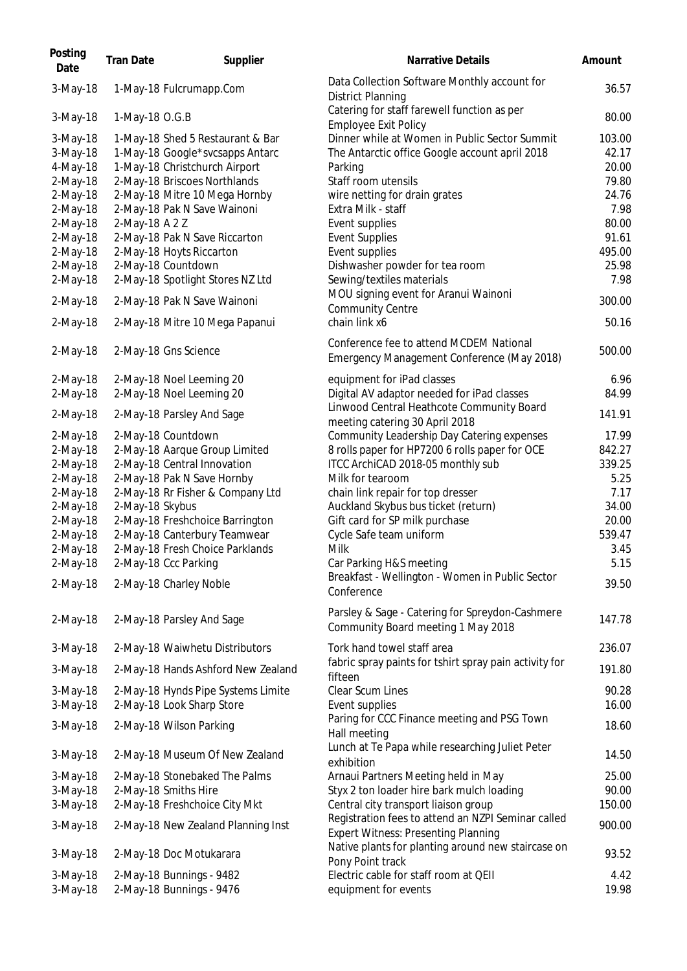| Posting<br>Date      | <b>Tran Date</b> | Supplier                                             | Narrative Details                                                                                | Amount        |
|----------------------|------------------|------------------------------------------------------|--------------------------------------------------------------------------------------------------|---------------|
| 3-May-18             |                  | 1-May-18 Fulcrumapp.Com                              | Data Collection Software Monthly account for<br><b>District Planning</b>                         | 36.57         |
| 3-May-18             | 1-May-18 O.G.B   |                                                      | Catering for staff farewell function as per<br><b>Employee Exit Policy</b>                       | 80.00         |
| 3-May-18             |                  | 1-May-18 Shed 5 Restaurant & Bar                     | Dinner while at Women in Public Sector Summit                                                    | 103.00        |
| 3-May-18             |                  | 1-May-18 Google*svcsapps Antarc                      | The Antarctic office Google account april 2018                                                   | 42.17         |
| 4-May-18             |                  | 1-May-18 Christchurch Airport                        | Parking                                                                                          | 20.00         |
| 2-May-18             |                  | 2-May-18 Briscoes Northlands                         | Staff room utensils                                                                              | 79.80         |
| 2-May-18             |                  | 2-May-18 Mitre 10 Mega Hornby                        | wire netting for drain grates                                                                    | 24.76         |
| 2-May-18             |                  | 2-May-18 Pak N Save Wainoni                          | Extra Milk - staff                                                                               | 7.98          |
| 2-May-18             | 2-May-18 A 2 Z   |                                                      | Event supplies                                                                                   | 80.00         |
| 2-May-18             |                  | 2-May-18 Pak N Save Riccarton                        | <b>Event Supplies</b>                                                                            | 91.61         |
| 2-May-18             |                  | 2-May-18 Hoyts Riccarton                             | Event supplies                                                                                   | 495.00        |
| 2-May-18             |                  | 2-May-18 Countdown                                   | Dishwasher powder for tea room                                                                   | 25.98         |
| $2-May-18$           |                  | 2-May-18 Spotlight Stores NZ Ltd                     | Sewing/textiles materials                                                                        | 7.98          |
| 2-May-18             |                  | 2-May-18 Pak N Save Wainoni                          | MOU signing event for Aranui Wainoni<br><b>Community Centre</b>                                  | 300.00        |
| 2-May-18             |                  | 2-May-18 Mitre 10 Mega Papanui                       | chain link x6                                                                                    | 50.16         |
| $2-May-18$           |                  | 2-May-18 Gns Science                                 | Conference fee to attend MCDEM National<br>Emergency Management Conference (May 2018)            | 500.00        |
| 2-May-18             |                  | 2-May-18 Noel Leeming 20                             | equipment for iPad classes                                                                       | 6.96          |
| 2-May-18             |                  | 2-May-18 Noel Leeming 20                             | Digital AV adaptor needed for iPad classes                                                       | 84.99         |
| 2-May-18             |                  | 2-May-18 Parsley And Sage                            | Linwood Central Heathcote Community Board<br>meeting catering 30 April 2018                      | 141.91        |
| 2-May-18             |                  | 2-May-18 Countdown                                   | Community Leadership Day Catering expenses                                                       | 17.99         |
| 2-May-18             |                  | 2-May-18 Aarque Group Limited                        | 8 rolls paper for HP7200 6 rolls paper for OCE                                                   | 842.27        |
| 2-May-18             |                  | 2-May-18 Central Innovation                          | ITCC ArchiCAD 2018-05 monthly sub                                                                | 339.25        |
| 2-May-18             |                  | 2-May-18 Pak N Save Hornby                           | Milk for tearoom                                                                                 | 5.25          |
| 2-May-18             |                  | 2-May-18 Rr Fisher & Company Ltd                     | chain link repair for top dresser                                                                | 7.17          |
| 2-May-18             | 2-May-18 Skybus  |                                                      | Auckland Skybus bus ticket (return)                                                              | 34.00         |
| 2-May-18             |                  | 2-May-18 Freshchoice Barrington                      | Gift card for SP milk purchase                                                                   | 20.00         |
| 2-May-18             |                  | 2-May-18 Canterbury Teamwear                         | Cycle Safe team uniform                                                                          | 539.47        |
| 2-May-18             |                  | 2-May-18 Fresh Choice Parklands                      | Milk                                                                                             | 3.45          |
| 2-May-18             |                  | 2-May-18 Ccc Parking                                 | Car Parking H&S meeting                                                                          | 5.15          |
|                      |                  |                                                      | Breakfast - Wellington - Women in Public Sector                                                  |               |
| $2-May-18$           |                  | 2-May-18 Charley Noble                               | Conference                                                                                       | 39.50         |
| $2$ -May-18          |                  | 2-May-18 Parsley And Sage                            | Parsley & Sage - Catering for Spreydon-Cashmere<br>Community Board meeting 1 May 2018            | 147.78        |
| $3-May-18$           |                  | 2-May-18 Waiwhetu Distributors                       | Tork hand towel staff area                                                                       | 236.07        |
| $3-May-18$           |                  | 2-May-18 Hands Ashford New Zealand                   | fabric spray paints for tshirt spray pain activity for<br>fifteen                                | 191.80        |
| 3-May-18             |                  | 2-May-18 Hynds Pipe Systems Limite                   | Clear Scum Lines                                                                                 | 90.28         |
| 3-May-18             |                  | 2-May-18 Look Sharp Store                            | Event supplies                                                                                   | 16.00         |
| $3-May-18$           |                  | 2-May-18 Wilson Parking                              | Paring for CCC Finance meeting and PSG Town<br>Hall meeting                                      | 18.60         |
| 3-May-18             |                  | 2-May-18 Museum Of New Zealand                       | Lunch at Te Papa while researching Juliet Peter<br>exhibition                                    | 14.50         |
| 3-May-18             |                  | 2-May-18 Stonebaked The Palms                        | Arnaui Partners Meeting held in May                                                              | 25.00         |
| 3-May-18             |                  | 2-May-18 Smiths Hire                                 | Styx 2 ton loader hire bark mulch loading                                                        | 90.00         |
| 3-May-18             |                  | 2-May-18 Freshchoice City Mkt                        | Central city transport liaison group                                                             | 150.00        |
| $3-May-18$           |                  | 2-May-18 New Zealand Planning Inst                   | Registration fees to attend an NZPI Seminar called<br><b>Expert Witness: Presenting Planning</b> | 900.00        |
| $3-May-18$           |                  | 2-May-18 Doc Motukarara                              | Native plants for planting around new staircase on                                               | 93.52         |
|                      |                  |                                                      | Pony Point track                                                                                 |               |
| 3-May-18<br>3-May-18 |                  | 2-May-18 Bunnings - 9482<br>2-May-18 Bunnings - 9476 | Electric cable for staff room at QEII<br>equipment for events                                    | 4.42<br>19.98 |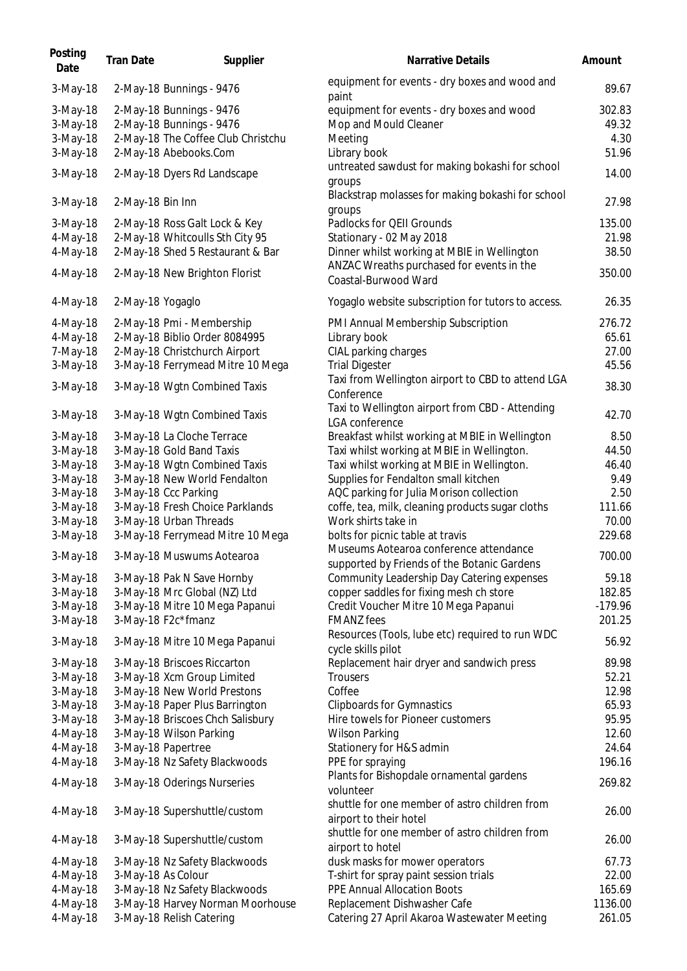| Posting<br>Date                                          | <b>Tran Date</b>     | Supplier                                                                                                                                                        | <b>Narrative Details</b>                                                                                                                                                  | Amount                                     |
|----------------------------------------------------------|----------------------|-----------------------------------------------------------------------------------------------------------------------------------------------------------------|---------------------------------------------------------------------------------------------------------------------------------------------------------------------------|--------------------------------------------|
| 3-May-18                                                 |                      | 2-May-18 Bunnings - 9476                                                                                                                                        | equipment for events - dry boxes and wood and<br>paint                                                                                                                    | 89.67                                      |
| 3-May-18<br>3-May-18<br>3-May-18<br>3-May-18             |                      | 2-May-18 Bunnings - 9476<br>2-May-18 Bunnings - 9476<br>2-May-18 The Coffee Club Christchu<br>2-May-18 Abebooks.Com                                             | equipment for events - dry boxes and wood<br>Mop and Mould Cleaner<br>Meeting<br>Library book                                                                             | 302.83<br>49.32<br>4.30<br>51.96           |
| 3-May-18                                                 |                      | 2-May-18 Dyers Rd Landscape                                                                                                                                     | untreated sawdust for making bokashi for school<br>groups                                                                                                                 | 14.00                                      |
| 3-May-18                                                 | 2-May-18 Bin Inn     |                                                                                                                                                                 | Blackstrap molasses for making bokashi for school<br>groups                                                                                                               | 27.98                                      |
| 3-May-18<br>4-May-18<br>4-May-18<br>4-May-18             |                      | 2-May-18 Ross Galt Lock & Key<br>2-May-18 Whitcoulls Sth City 95<br>2-May-18 Shed 5 Restaurant & Bar<br>2-May-18 New Brighton Florist                           | Padlocks for QEII Grounds<br>Stationary - 02 May 2018<br>Dinner whilst working at MBIE in Wellington<br>ANZAC Wreaths purchased for events in the<br>Coastal-Burwood Ward | 135.00<br>21.98<br>38.50<br>350.00         |
| 4-May-18                                                 | 2-May-18 Yogaglo     |                                                                                                                                                                 | Yogaglo website subscription for tutors to access.                                                                                                                        | 26.35                                      |
| 4-May-18<br>4-May-18<br>7-May-18<br>3-May-18<br>3-May-18 |                      | 2-May-18 Pmi - Membership<br>2-May-18 Biblio Order 8084995<br>2-May-18 Christchurch Airport<br>3-May-18 Ferrymead Mitre 10 Mega<br>3-May-18 Wgtn Combined Taxis | PMI Annual Membership Subscription<br>Library book<br>CIAL parking charges<br><b>Trial Digester</b><br>Taxi from Wellington airport to CBD to attend LGA                  | 276.72<br>65.61<br>27.00<br>45.56<br>38.30 |
| 3-May-18                                                 |                      | 3-May-18 Wgtn Combined Taxis                                                                                                                                    | Conference<br>Taxi to Wellington airport from CBD - Attending                                                                                                             | 42.70                                      |
| 3-May-18                                                 |                      | 3-May-18 La Cloche Terrace                                                                                                                                      | LGA conference<br>Breakfast whilst working at MBIE in Wellington                                                                                                          | 8.50                                       |
| 3-May-18                                                 |                      | 3-May-18 Gold Band Taxis                                                                                                                                        | Taxi whilst working at MBIE in Wellington.                                                                                                                                | 44.50                                      |
| 3-May-18                                                 |                      | 3-May-18 Wgtn Combined Taxis                                                                                                                                    | Taxi whilst working at MBIE in Wellington.                                                                                                                                | 46.40                                      |
| 3-May-18                                                 |                      | 3-May-18 New World Fendalton                                                                                                                                    | Supplies for Fendalton small kitchen                                                                                                                                      | 9.49                                       |
| 3-May-18                                                 | 3-May-18 Ccc Parking |                                                                                                                                                                 | AQC parking for Julia Morison collection                                                                                                                                  | 2.50                                       |
| 3-May-18                                                 |                      | 3-May-18 Fresh Choice Parklands                                                                                                                                 | coffe, tea, milk, cleaning products sugar cloths                                                                                                                          | 111.66                                     |
| 3-May-18                                                 |                      | 3-May-18 Urban Threads                                                                                                                                          | Work shirts take in                                                                                                                                                       | 70.00                                      |
| 3-May-18                                                 |                      | 3-May-18 Ferrymead Mitre 10 Mega                                                                                                                                | bolts for picnic table at travis                                                                                                                                          | 229.68                                     |
| $3-May-18$                                               |                      | 3-May-18 Muswums Aotearoa                                                                                                                                       | Museums Aotearoa conference attendance<br>supported by Friends of the Botanic Gardens                                                                                     | 700.00                                     |
| 3-May-18                                                 |                      | 3-May-18 Pak N Save Hornby                                                                                                                                      | Community Leadership Day Catering expenses                                                                                                                                | 59.18                                      |
| 3-May-18                                                 |                      | 3-May-18 Mrc Global (NZ) Ltd                                                                                                                                    | copper saddles for fixing mesh ch store                                                                                                                                   | 182.85                                     |
| $3-May-18$                                               |                      | 3-May-18 Mitre 10 Mega Papanui                                                                                                                                  | Credit Voucher Mitre 10 Mega Papanui                                                                                                                                      | $-179.96$                                  |
| 3-May-18                                                 | 3-May-18 F2c*fmanz   |                                                                                                                                                                 | <b>FMANZ</b> fees                                                                                                                                                         | 201.25                                     |
| 3-May-18                                                 |                      | 3-May-18 Mitre 10 Mega Papanui                                                                                                                                  | Resources (Tools, lube etc) required to run WDC<br>cycle skills pilot                                                                                                     | 56.92                                      |
| $3-May-18$                                               |                      | 3-May-18 Briscoes Riccarton                                                                                                                                     | Replacement hair dryer and sandwich press                                                                                                                                 | 89.98                                      |
| 3-May-18                                                 |                      | 3-May-18 Xcm Group Limited                                                                                                                                      | <b>Trousers</b>                                                                                                                                                           | 52.21                                      |
| 3-May-18                                                 |                      | 3-May-18 New World Prestons                                                                                                                                     | Coffee                                                                                                                                                                    | 12.98                                      |
| 3-May-18                                                 |                      | 3-May-18 Paper Plus Barrington                                                                                                                                  | <b>Clipboards for Gymnastics</b>                                                                                                                                          | 65.93                                      |
| 3-May-18                                                 |                      | 3-May-18 Briscoes Chch Salisbury                                                                                                                                | Hire towels for Pioneer customers                                                                                                                                         | 95.95<br>12.60                             |
| 4-May-18<br>4-May-18                                     | 3-May-18 Papertree   | 3-May-18 Wilson Parking                                                                                                                                         | <b>Wilson Parking</b><br>Stationery for H&S admin                                                                                                                         | 24.64                                      |
| 4-May-18                                                 |                      | 3-May-18 Nz Safety Blackwoods                                                                                                                                   | PPE for spraying                                                                                                                                                          | 196.16                                     |
| 4-May-18                                                 |                      | 3-May-18 Oderings Nurseries                                                                                                                                     | Plants for Bishopdale ornamental gardens                                                                                                                                  | 269.82                                     |
| 4-May-18                                                 |                      | 3-May-18 Supershuttle/custom                                                                                                                                    | volunteer<br>shuttle for one member of astro children from<br>airport to their hotel                                                                                      | 26.00                                      |
| 4-May-18                                                 |                      | 3-May-18 Supershuttle/custom                                                                                                                                    | shuttle for one member of astro children from<br>airport to hotel                                                                                                         | 26.00                                      |
| 4-May-18                                                 |                      | 3-May-18 Nz Safety Blackwoods                                                                                                                                   | dusk masks for mower operators                                                                                                                                            | 67.73                                      |
| 4-May-18                                                 | 3-May-18 As Colour   |                                                                                                                                                                 | T-shirt for spray paint session trials                                                                                                                                    | 22.00                                      |
| 4-May-18                                                 |                      | 3-May-18 Nz Safety Blackwoods                                                                                                                                   | PPE Annual Allocation Boots                                                                                                                                               | 165.69                                     |
| 4-May-18                                                 |                      | 3-May-18 Harvey Norman Moorhouse                                                                                                                                | Replacement Dishwasher Cafe                                                                                                                                               | 1136.00                                    |
| 4-May-18                                                 |                      | 3-May-18 Relish Catering                                                                                                                                        | Catering 27 April Akaroa Wastewater Meeting                                                                                                                               | 261.05                                     |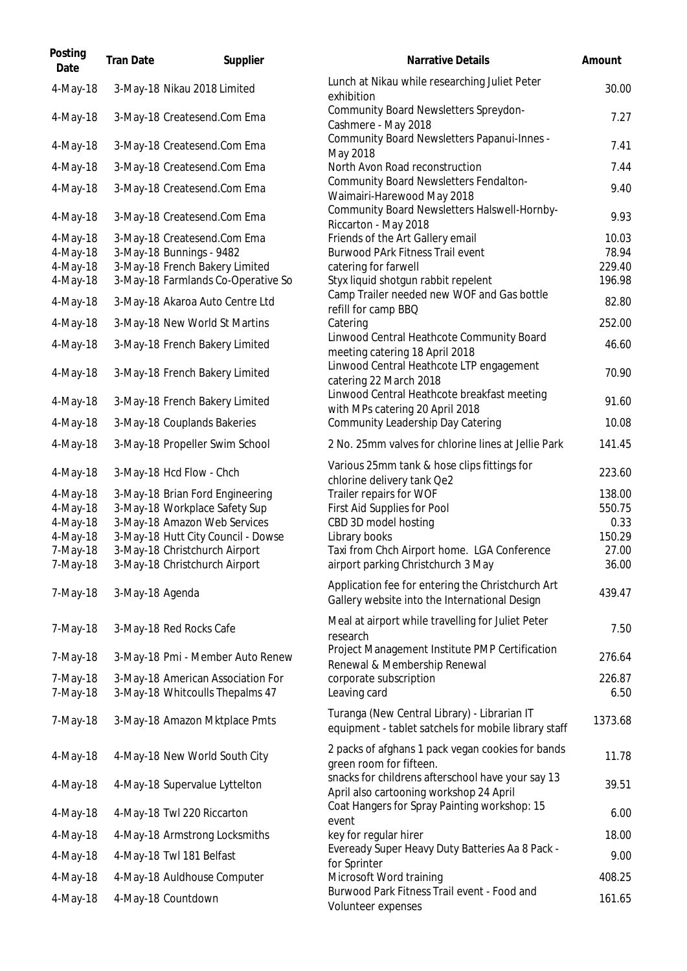| Posting<br>Date      | <b>Tran Date</b> | Supplier                                                             | <b>Narrative Details</b>                                                                             | Amount           |
|----------------------|------------------|----------------------------------------------------------------------|------------------------------------------------------------------------------------------------------|------------------|
| 4-May-18             |                  | 3-May-18 Nikau 2018 Limited                                          | Lunch at Nikau while researching Juliet Peter<br>exhibition                                          | 30.00            |
| 4-May-18             |                  | 3-May-18 Createsend.Com Ema                                          | Community Board Newsletters Spreydon-<br>Cashmere - May 2018                                         | 7.27             |
| 4-May-18             |                  | 3-May-18 Createsend.Com Ema                                          | Community Board Newsletters Papanui-Innes -<br>May 2018                                              | 7.41             |
| 4-May-18             |                  | 3-May-18 Createsend.Com Ema                                          | North Avon Road reconstruction                                                                       | 7.44             |
| 4-May-18             |                  | 3-May-18 Createsend.Com Ema                                          | Community Board Newsletters Fendalton-<br>Waimairi-Harewood May 2018                                 | 9.40             |
| 4-May-18             |                  | 3-May-18 Createsend.Com Ema                                          | Community Board Newsletters Halswell-Hornby-<br>Riccarton - May 2018                                 | 9.93             |
| 4-May-18             |                  | 3-May-18 Createsend.Com Ema                                          | Friends of the Art Gallery email                                                                     | 10.03            |
| 4-May-18             |                  | 3-May-18 Bunnings - 9482                                             | <b>Burwood PArk Fitness Trail event</b>                                                              | 78.94            |
| 4-May-18<br>4-May-18 |                  | 3-May-18 French Bakery Limited<br>3-May-18 Farmlands Co-Operative So | catering for farwell<br>Styx liquid shotgun rabbit repelent                                          | 229.40<br>196.98 |
| 4-May-18             |                  |                                                                      | Camp Trailer needed new WOF and Gas bottle                                                           | 82.80            |
|                      |                  | 3-May-18 Akaroa Auto Centre Ltd                                      | refill for camp BBQ                                                                                  |                  |
| 4-May-18             |                  | 3-May-18 New World St Martins                                        | Catering                                                                                             | 252.00           |
| 4-May-18             |                  | 3-May-18 French Bakery Limited                                       | Linwood Central Heathcote Community Board<br>meeting catering 18 April 2018                          | 46.60            |
| 4-May-18             |                  | 3-May-18 French Bakery Limited                                       | Linwood Central Heathcote LTP engagement<br>catering 22 March 2018                                   | 70.90            |
| 4-May-18             |                  | 3-May-18 French Bakery Limited                                       | Linwood Central Heathcote breakfast meeting<br>with MPs catering 20 April 2018                       | 91.60            |
| 4-May-18             |                  | 3-May-18 Couplands Bakeries                                          | Community Leadership Day Catering                                                                    | 10.08            |
| 4-May-18             |                  | 3-May-18 Propeller Swim School                                       | 2 No. 25mm valves for chlorine lines at Jellie Park                                                  | 141.45           |
| 4-May-18             |                  | 3-May-18 Hcd Flow - Chch                                             | Various 25mm tank & hose clips fittings for<br>chlorine delivery tank Qe2                            | 223.60           |
| 4-May-18             |                  | 3-May-18 Brian Ford Engineering                                      | Trailer repairs for WOF                                                                              | 138.00           |
| 4-May-18             |                  | 3-May-18 Workplace Safety Sup                                        | First Aid Supplies for Pool                                                                          | 550.75           |
| 4-May-18             |                  | 3-May-18 Amazon Web Services                                         | CBD 3D model hosting                                                                                 | 0.33             |
| 4-May-18<br>7-May-18 |                  | 3-May-18 Hutt City Council - Dowse<br>3-May-18 Christchurch Airport  | Library books<br>Taxi from Chch Airport home. LGA Conference                                         | 150.29<br>27.00  |
| 7-May-18             |                  | 3-May-18 Christchurch Airport                                        | airport parking Christchurch 3 May                                                                   | 36.00            |
| 7-May-18             | 3-May-18 Agenda  |                                                                      | Application fee for entering the Christchurch Art<br>Gallery website into the International Design   | 439.47           |
| 7-May-18             |                  | 3-May-18 Red Rocks Cafe                                              | Meal at airport while travelling for Juliet Peter<br>research                                        | 7.50             |
| 7-May-18             |                  | 3-May-18 Pmi - Member Auto Renew                                     | Project Management Institute PMP Certification<br>Renewal & Membership Renewal                       | 276.64           |
| 7-May-18             |                  | 3-May-18 American Association For                                    | corporate subscription                                                                               | 226.87           |
| 7-May-18             |                  | 3-May-18 Whitcoulls Thepalms 47                                      | Leaving card                                                                                         | 6.50             |
| 7-May-18             |                  | 3-May-18 Amazon Mktplace Pmts                                        | Turanga (New Central Library) - Librarian IT<br>equipment - tablet satchels for mobile library staff | 1373.68          |
| 4-May-18             |                  | 4-May-18 New World South City                                        | 2 packs of afghans 1 pack vegan cookies for bands<br>green room for fifteen.                         | 11.78            |
| 4-May-18             |                  | 4-May-18 Supervalue Lyttelton                                        | snacks for childrens afterschool have your say 13<br>April also cartooning workshop 24 April         | 39.51            |
| 4-May-18             |                  | 4-May-18 Twl 220 Riccarton                                           | Coat Hangers for Spray Painting workshop: 15<br>event                                                | 6.00             |
| 4-May-18             |                  | 4-May-18 Armstrong Locksmiths                                        | key for regular hirer                                                                                | 18.00            |
| 4-May-18             |                  | 4-May-18 Twl 181 Belfast                                             | Eveready Super Heavy Duty Batteries Aa 8 Pack -<br>for Sprinter                                      | 9.00             |
| 4-May-18             |                  | 4-May-18 Auldhouse Computer                                          | Microsoft Word training                                                                              | 408.25           |
| 4-May-18             |                  | 4-May-18 Countdown                                                   | Burwood Park Fitness Trail event - Food and<br>Volunteer expenses                                    | 161.65           |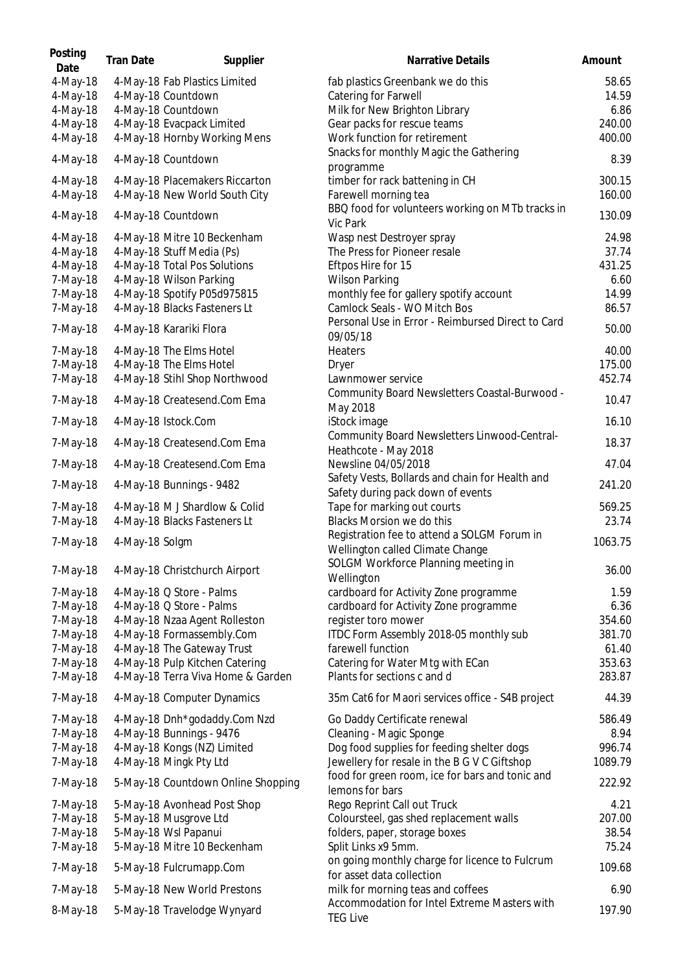| Posting<br>Date | <b>Tran Date</b> | Supplier                           | Narrative Details                                                           | Amount  |
|-----------------|------------------|------------------------------------|-----------------------------------------------------------------------------|---------|
| 4-May-18        |                  | 4-May-18 Fab Plastics Limited      | fab plastics Greenbank we do this                                           | 58.65   |
| 4-May-18        |                  | 4-May-18 Countdown                 | Catering for Farwell                                                        | 14.59   |
| 4-May-18        |                  | 4-May-18 Countdown                 | Milk for New Brighton Library                                               | 6.86    |
| 4-May-18        |                  | 4-May-18 Evacpack Limited          | Gear packs for rescue teams                                                 | 240.00  |
| 4-May-18        |                  | 4-May-18 Hornby Working Mens       | Work function for retirement                                                | 400.00  |
|                 |                  |                                    | Snacks for monthly Magic the Gathering                                      |         |
| 4-May-18        |                  | 4-May-18 Countdown                 | programme                                                                   | 8.39    |
| 4-May-18        |                  | 4-May-18 Placemakers Riccarton     | timber for rack battening in CH                                             | 300.15  |
| 4-May-18        |                  | 4-May-18 New World South City      | Farewell morning tea                                                        | 160.00  |
| 4-May-18        |                  | 4-May-18 Countdown                 | BBQ food for volunteers working on MTb tracks in                            | 130.09  |
|                 |                  |                                    | Vic Park                                                                    |         |
| 4-May-18        |                  | 4-May-18 Mitre 10 Beckenham        | Wasp nest Destroyer spray                                                   | 24.98   |
| 4-May-18        |                  | 4-May-18 Stuff Media (Ps)          | The Press for Pioneer resale                                                | 37.74   |
| 4-May-18        |                  | 4-May-18 Total Pos Solutions       | Eftpos Hire for 15                                                          | 431.25  |
| 7-May-18        |                  | 4-May-18 Wilson Parking            | <b>Wilson Parking</b>                                                       | 6.60    |
| 7-May-18        |                  | 4-May-18 Spotify P05d975815        | monthly fee for gallery spotify account                                     | 14.99   |
| 7-May-18        |                  | 4-May-18 Blacks Fasteners Lt       | Camlock Seals - WO Mitch Bos                                                | 86.57   |
|                 |                  |                                    | Personal Use in Error - Reimbursed Direct to Card                           |         |
| 7-May-18        |                  | 4-May-18 Karariki Flora            | 09/05/18                                                                    | 50.00   |
| 7-May-18        |                  | 4-May-18 The Elms Hotel            | Heaters                                                                     | 40.00   |
| 7-May-18        |                  | 4-May-18 The Elms Hotel            | Dryer                                                                       | 175.00  |
| 7-May-18        |                  | 4-May-18 Stihl Shop Northwood      | Lawnmower service                                                           | 452.74  |
|                 |                  |                                    | Community Board Newsletters Coastal-Burwood -                               |         |
| 7-May-18        |                  | 4-May-18 Createsend.Com Ema        | May 2018                                                                    | 10.47   |
| 7-May-18        |                  | 4-May-18 Istock.Com                | iStock image                                                                | 16.10   |
| 7-May-18        |                  | 4-May-18 Createsend.Com Ema        | Community Board Newsletters Linwood-Central-<br>Heathcote - May 2018        | 18.37   |
| 7-May-18        |                  | 4-May-18 Createsend.Com Ema        | Newsline 04/05/2018                                                         | 47.04   |
| 7-May-18        |                  | 4-May-18 Bunnings - 9482           | Safety Vests, Bollards and chain for Health and                             | 241.20  |
|                 |                  |                                    | Safety during pack down of events                                           |         |
| 7-May-18        |                  | 4-May-18 M J Shardlow & Colid      | Tape for marking out courts                                                 | 569.25  |
| 7-May-18        |                  | 4-May-18 Blacks Fasteners Lt       | <b>Blacks Morsion we do this</b>                                            | 23.74   |
|                 |                  |                                    | Registration fee to attend a SOLGM Forum in                                 |         |
| 7-May-18        | 4-May-18 Solgm   |                                    | Wellington called Climate Change                                            | 1063.75 |
|                 |                  |                                    | SOLGM Workforce Planning meeting in                                         |         |
| 7-May-18        |                  | 4-May-18 Christchurch Airport      | Wellington                                                                  | 36.00   |
| 7-May-18        |                  | 4-May-18 Q Store - Palms           | cardboard for Activity Zone programme                                       | 1.59    |
|                 |                  |                                    |                                                                             |         |
| 7-May-18        |                  | 4-May-18 Q Store - Palms           | cardboard for Activity Zone programme                                       | 6.36    |
| 7-May-18        |                  | 4-May-18 Nzaa Agent Rolleston      | register toro mower                                                         | 354.60  |
| 7-May-18        |                  | 4-May-18 Formassembly.Com          | ITDC Form Assembly 2018-05 monthly sub                                      | 381.70  |
| 7-May-18        |                  | 4-May-18 The Gateway Trust         | farewell function                                                           | 61.40   |
| 7-May-18        |                  | 4-May-18 Pulp Kitchen Catering     | Catering for Water Mtg with ECan                                            | 353.63  |
| 7-May-18        |                  | 4-May-18 Terra Viva Home & Garden  | Plants for sections c and d                                                 | 283.87  |
| 7-May-18        |                  | 4-May-18 Computer Dynamics         | 35m Cat6 for Maori services office - S4B project                            | 44.39   |
| 7-May-18        |                  | 4-May-18 Dnh*godaddy.Com Nzd       | Go Daddy Certificate renewal                                                | 586.49  |
| 7-May-18        |                  | 4-May-18 Bunnings - 9476           | Cleaning - Magic Sponge                                                     | 8.94    |
| 7-May-18        |                  | 4-May-18 Kongs (NZ) Limited        | Dog food supplies for feeding shelter dogs                                  | 996.74  |
|                 |                  |                                    |                                                                             |         |
| 7-May-18        |                  | 4-May-18 Mingk Pty Ltd             | Jewellery for resale in the B G V C Giftshop                                | 1089.79 |
| 7-May-18        |                  | 5-May-18 Countdown Online Shopping | food for green room, ice for bars and tonic and<br>lemons for bars          | 222.92  |
| 7-May-18        |                  | 5-May-18 Avonhead Post Shop        | Rego Reprint Call out Truck                                                 | 4.21    |
| 7-May-18        |                  | 5-May-18 Musgrove Ltd              | Coloursteel, gas shed replacement walls                                     | 207.00  |
|                 |                  |                                    |                                                                             |         |
| 7-May-18        |                  | 5-May-18 Wsl Papanui               | folders, paper, storage boxes                                               | 38.54   |
| 7-May-18        |                  | 5-May-18 Mitre 10 Beckenham        | Split Links x9 5mm.                                                         | 75.24   |
| 7-May-18        |                  | 5-May-18 Fulcrumapp.Com            | on going monthly charge for licence to Fulcrum<br>for asset data collection | 109.68  |
| 7-May-18        |                  | 5-May-18 New World Prestons        | milk for morning teas and coffees                                           | 6.90    |
| 8-May-18        |                  | 5-May-18 Travelodge Wynyard        | Accommodation for Intel Extreme Masters with<br><b>TEG Live</b>             | 197.90  |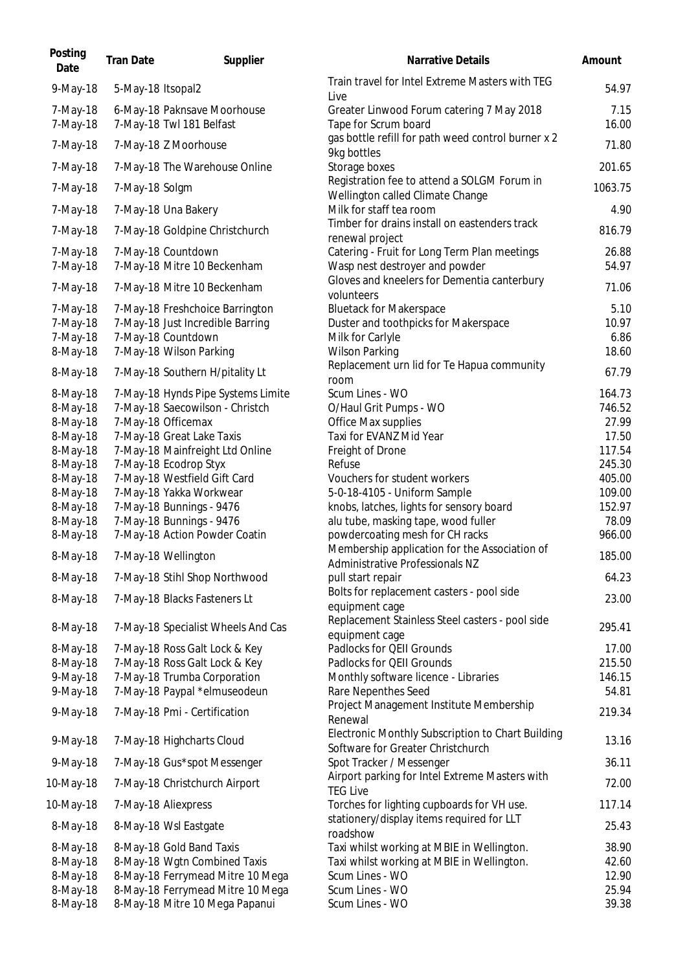| Posting<br>Date      | <b>Tran Date</b>  | Supplier                                                | <b>Narrative Details</b>                                                               | Amount        |
|----------------------|-------------------|---------------------------------------------------------|----------------------------------------------------------------------------------------|---------------|
| 9-May-18             | 5-May-18 Itsopal2 |                                                         | Train travel for Intel Extreme Masters with TEG<br>Live                                | 54.97         |
| 7-May-18<br>7-May-18 |                   | 6-May-18 Paknsave Moorhouse<br>7-May-18 Twl 181 Belfast | Greater Linwood Forum catering 7 May 2018<br>Tape for Scrum board                      | 7.15<br>16.00 |
| 7-May-18             |                   | 7-May-18 Z Moorhouse                                    | gas bottle refill for path weed control burner x 2<br>9kg bottles                      | 71.80         |
| 7-May-18             |                   | 7-May-18 The Warehouse Online                           | Storage boxes                                                                          | 201.65        |
| 7-May-18             | 7-May-18 Solgm    |                                                         | Registration fee to attend a SOLGM Forum in<br>Wellington called Climate Change        | 1063.75       |
| 7-May-18             |                   | 7-May-18 Una Bakery                                     | Milk for staff tea room                                                                | 4.90          |
| 7-May-18             |                   | 7-May-18 Goldpine Christchurch                          | Timber for drains install on eastenders track<br>renewal project                       | 816.79        |
| 7-May-18             |                   | 7-May-18 Countdown                                      | Catering - Fruit for Long Term Plan meetings                                           | 26.88         |
| 7-May-18             |                   | 7-May-18 Mitre 10 Beckenham                             | Wasp nest destroyer and powder                                                         | 54.97         |
| 7-May-18             |                   | 7-May-18 Mitre 10 Beckenham                             | Gloves and kneelers for Dementia canterbury<br>volunteers                              | 71.06         |
| 7-May-18             |                   | 7-May-18 Freshchoice Barrington                         | <b>Bluetack for Makerspace</b>                                                         | 5.10          |
| 7-May-18<br>7-May-18 |                   | 7-May-18 Just Incredible Barring<br>7-May-18 Countdown  | Duster and toothpicks for Makerspace                                                   | 10.97<br>6.86 |
| 8-May-18             |                   | 7-May-18 Wilson Parking                                 | Milk for Carlyle<br><b>Wilson Parking</b>                                              | 18.60         |
|                      |                   |                                                         | Replacement urn lid for Te Hapua community                                             |               |
| 8-May-18             |                   | 7-May-18 Southern H/pitality Lt                         | room                                                                                   | 67.79         |
| 8-May-18             |                   | 7-May-18 Hynds Pipe Systems Limite                      | Scum Lines - WO                                                                        | 164.73        |
| 8-May-18             |                   | 7-May-18 Saecowilson - Christch                         | O/Haul Grit Pumps - WO                                                                 | 746.52        |
| 8-May-18             |                   | 7-May-18 Officemax                                      | Office Max supplies                                                                    | 27.99         |
| 8-May-18             |                   | 7-May-18 Great Lake Taxis                               | Taxi for EVANZ Mid Year                                                                | 17.50         |
| 8-May-18             |                   | 7-May-18 Mainfreight Ltd Online                         | Freight of Drone                                                                       | 117.54        |
| 8-May-18             |                   | 7-May-18 Ecodrop Styx                                   | Refuse                                                                                 | 245.30        |
| 8-May-18             |                   | 7-May-18 Westfield Gift Card                            | Vouchers for student workers                                                           | 405.00        |
| 8-May-18             |                   | 7-May-18 Yakka Workwear                                 | 5-0-18-4105 - Uniform Sample                                                           | 109.00        |
| 8-May-18             |                   | 7-May-18 Bunnings - 9476                                | knobs, latches, lights for sensory board                                               | 152.97        |
| 8-May-18             |                   | 7-May-18 Bunnings - 9476                                | alu tube, masking tape, wood fuller                                                    | 78.09         |
| 8-May-18             |                   | 7-May-18 Action Powder Coatin                           | powdercoating mesh for CH racks                                                        | 966.00        |
| 8-May-18             |                   | 7-May-18 Wellington                                     | Membership application for the Association of                                          | 185.00        |
|                      |                   |                                                         | Administrative Professionals NZ                                                        |               |
| 8-May-18             |                   | 7-May-18 Stihl Shop Northwood                           | pull start repair<br>Bolts for replacement casters - pool side                         | 64.23         |
| 8-May-18             |                   | 7-May-18 Blacks Fasteners Lt                            | equipment cage                                                                         | 23.00         |
| 8-May-18             |                   | 7-May-18 Specialist Wheels And Cas                      | Replacement Stainless Steel casters - pool side<br>equipment cage                      | 295.41        |
| 8-May-18             |                   | 7-May-18 Ross Galt Lock & Key                           | Padlocks for QEII Grounds                                                              | 17.00         |
| 8-May-18             |                   | 7-May-18 Ross Galt Lock & Key                           | Padlocks for QEII Grounds                                                              | 215.50        |
| 9-May-18             |                   | 7-May-18 Trumba Corporation                             | Monthly software licence - Libraries                                                   | 146.15        |
| 9-May-18             |                   | 7-May-18 Paypal *elmuseodeun                            | Rare Nepenthes Seed                                                                    | 54.81         |
| 9-May-18             |                   | 7-May-18 Pmi - Certification                            | Project Management Institute Membership<br>Renewal                                     | 219.34        |
| 9-May-18             |                   | 7-May-18 Highcharts Cloud                               | Electronic Monthly Subscription to Chart Building<br>Software for Greater Christchurch | 13.16         |
| 9-May-18             |                   | 7-May-18 Gus*spot Messenger                             | Spot Tracker / Messenger                                                               | 36.11         |
| 10-May-18            |                   | 7-May-18 Christchurch Airport                           | Airport parking for Intel Extreme Masters with<br><b>TEG Live</b>                      | 72.00         |
| 10-May-18            |                   | 7-May-18 Aliexpress                                     | Torches for lighting cupboards for VH use.                                             | 117.14        |
| 8-May-18             |                   | 8-May-18 Wsl Eastgate                                   | stationery/display items required for LLT<br>roadshow                                  | 25.43         |
| 8-May-18             |                   | 8-May-18 Gold Band Taxis                                | Taxi whilst working at MBIE in Wellington.                                             | 38.90         |
| 8-May-18             |                   | 8-May-18 Wgtn Combined Taxis                            | Taxi whilst working at MBIE in Wellington.                                             | 42.60         |
| 8-May-18             |                   | 8-May-18 Ferrymead Mitre 10 Mega                        | Scum Lines - WO                                                                        | 12.90         |
| 8-May-18             |                   | 8-May-18 Ferrymead Mitre 10 Mega                        | Scum Lines - WO                                                                        | 25.94         |
| 8-May-18             |                   | 8-May-18 Mitre 10 Mega Papanui                          | Scum Lines - WO                                                                        | 39.38         |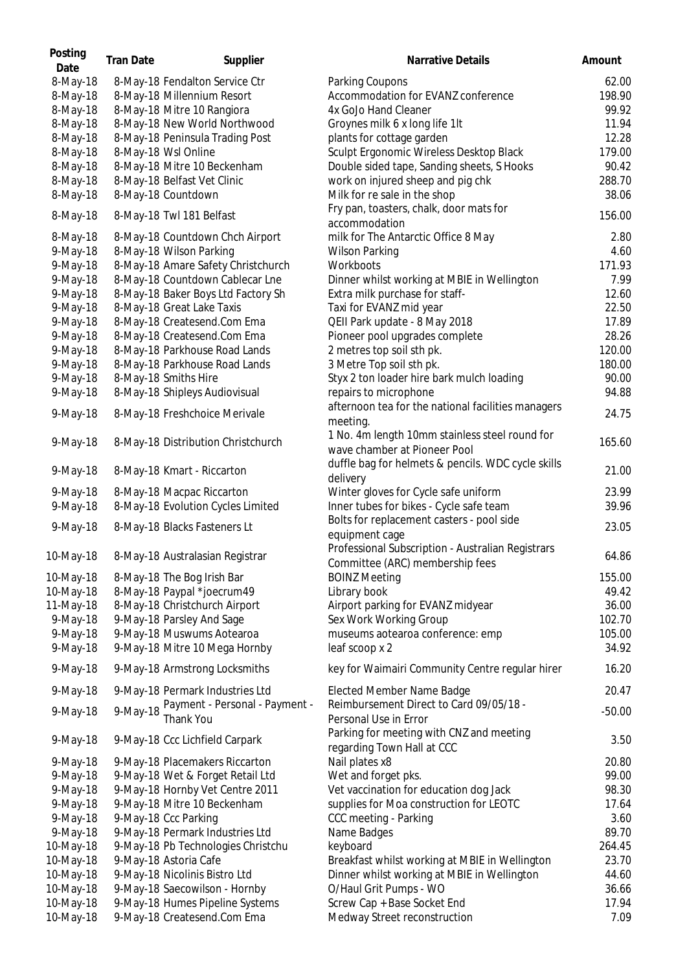| Posting<br>Date | <b>Tran Date</b> | Supplier                           | Narrative Details                                              | Amount   |
|-----------------|------------------|------------------------------------|----------------------------------------------------------------|----------|
| 8-May-18        |                  | 8-May-18 Fendalton Service Ctr     | Parking Coupons                                                | 62.00    |
| 8-May-18        |                  | 8-May-18 Millennium Resort         | Accommodation for EVANZ conference                             | 198.90   |
| 8-May-18        |                  | 8-May-18 Mitre 10 Rangiora         | 4x GoJo Hand Cleaner                                           | 99.92    |
| 8-May-18        |                  | 8-May-18 New World Northwood       | Groynes milk 6 x long life 1lt                                 | 11.94    |
| 8-May-18        |                  | 8-May-18 Peninsula Trading Post    | plants for cottage garden                                      | 12.28    |
| 8-May-18        |                  | 8-May-18 Wsl Online                | Sculpt Ergonomic Wireless Desktop Black                        | 179.00   |
| 8-May-18        |                  | 8-May-18 Mitre 10 Beckenham        | Double sided tape, Sanding sheets, S Hooks                     | 90.42    |
| 8-May-18        |                  | 8-May-18 Belfast Vet Clinic        | work on injured sheep and pig chk                              | 288.70   |
| 8-May-18        |                  | 8-May-18 Countdown                 | Milk for re sale in the shop                                   | 38.06    |
| 8-May-18        |                  | 8-May-18 Twl 181 Belfast           | Fry pan, toasters, chalk, door mats for                        | 156.00   |
|                 |                  |                                    | accommodation                                                  |          |
| 8-May-18        |                  | 8-May-18 Countdown Chch Airport    | milk for The Antarctic Office 8 May                            | 2.80     |
| 9-May-18        |                  | 8-May-18 Wilson Parking            | <b>Wilson Parking</b>                                          | 4.60     |
| 9-May-18        |                  | 8-May-18 Amare Safety Christchurch | Workboots                                                      | 171.93   |
| 9-May-18        |                  | 8-May-18 Countdown Cablecar Lne    | Dinner whilst working at MBIE in Wellington                    | 7.99     |
| 9-May-18        |                  | 8-May-18 Baker Boys Ltd Factory Sh | Extra milk purchase for staff-                                 | 12.60    |
| 9-May-18        |                  | 8-May-18 Great Lake Taxis          | Taxi for EVANZ mid year                                        | 22.50    |
| 9-May-18        |                  | 8-May-18 Createsend.Com Ema        | QEII Park update - 8 May 2018                                  | 17.89    |
| 9-May-18        |                  | 8-May-18 Createsend.Com Ema        | Pioneer pool upgrades complete                                 | 28.26    |
| 9-May-18        |                  | 8-May-18 Parkhouse Road Lands      | 2 metres top soil sth pk.                                      | 120.00   |
| 9-May-18        |                  | 8-May-18 Parkhouse Road Lands      | 3 Metre Top soil sth pk.                                       | 180.00   |
| 9-May-18        |                  | 8-May-18 Smiths Hire               | Styx 2 ton loader hire bark mulch loading                      | 90.00    |
| 9-May-18        |                  | 8-May-18 Shipleys Audiovisual      | repairs to microphone                                          | 94.88    |
| 9-May-18        |                  | 8-May-18 Freshchoice Merivale      | afternoon tea for the national facilities managers<br>meeting. | 24.75    |
|                 |                  |                                    | 1 No. 4m length 10mm stainless steel round for                 |          |
| 9-May-18        |                  | 8-May-18 Distribution Christchurch | wave chamber at Pioneer Pool                                   | 165.60   |
|                 |                  |                                    | duffle bag for helmets & pencils. WDC cycle skills             |          |
| 9-May-18        |                  | 8-May-18 Kmart - Riccarton         | delivery                                                       | 21.00    |
| 9-May-18        |                  | 8-May-18 Macpac Riccarton          | Winter gloves for Cycle safe uniform                           | 23.99    |
| 9-May-18        |                  | 8-May-18 Evolution Cycles Limited  | Inner tubes for bikes - Cycle safe team                        | 39.96    |
|                 |                  |                                    | Bolts for replacement casters - pool side                      |          |
| 9-May-18        |                  | 8-May-18 Blacks Fasteners Lt       | equipment cage                                                 | 23.05    |
|                 |                  |                                    | Professional Subscription - Australian Registrars              |          |
| 10-May-18       |                  | 8-May-18 Australasian Registrar    | Committee (ARC) membership fees                                | 64.86    |
| 10-May-18       |                  | 8-May-18 The Bog Irish Bar         | <b>BOINZ Meeting</b>                                           | 155.00   |
| 10-May-18       |                  | 8-May-18 Paypal *joecrum49         | Library book                                                   | 49.42    |
| 11-May-18       |                  | 8-May-18 Christchurch Airport      | Airport parking for EVANZ midyear                              | 36.00    |
| 9-May-18        |                  | 9-May-18 Parsley And Sage          | Sex Work Working Group                                         | 102.70   |
| 9-May-18        |                  | 9-May-18 Muswums Aotearoa          | museums aotearoa conference: emp                               | 105.00   |
| 9-May-18        |                  | 9-May-18 Mitre 10 Mega Hornby      | leaf scoop x 2                                                 | 34.92    |
| 9-May-18        |                  | 9-May-18 Armstrong Locksmiths      | key for Waimairi Community Centre regular hirer                | 16.20    |
| 9-May-18        |                  | 9-May-18 Permark Industries Ltd    | Elected Member Name Badge                                      | 20.47    |
|                 |                  | Payment - Personal - Payment -     | Reimbursement Direct to Card 09/05/18 -                        |          |
| 9-May-18        | 9-May-18         | Thank You                          | Personal Use in Error                                          | $-50.00$ |
|                 |                  |                                    | Parking for meeting with CNZ and meeting                       | 3.50     |
| 9-May-18        |                  | 9-May-18 Ccc Lichfield Carpark     | regarding Town Hall at CCC                                     |          |
| 9-May-18        |                  | 9-May-18 Placemakers Riccarton     | Nail plates x8                                                 | 20.80    |
| 9-May-18        |                  | 9-May-18 Wet & Forget Retail Ltd   | Wet and forget pks.                                            | 99.00    |
| 9-May-18        |                  | 9-May-18 Hornby Vet Centre 2011    | Vet vaccination for education dog Jack                         | 98.30    |
| 9-May-18        |                  | 9-May-18 Mitre 10 Beckenham        | supplies for Moa construction for LEOTC                        | 17.64    |
| 9-May-18        |                  | 9-May-18 Ccc Parking               | CCC meeting - Parking                                          | 3.60     |
| 9-May-18        |                  | 9-May-18 Permark Industries Ltd    | Name Badges                                                    | 89.70    |
| 10-May-18       |                  | 9-May-18 Pb Technologies Christchu | keyboard                                                       | 264.45   |
| 10-May-18       |                  | 9-May-18 Astoria Cafe              | Breakfast whilst working at MBIE in Wellington                 | 23.70    |
| 10-May-18       |                  | 9-May-18 Nicolinis Bistro Ltd      | Dinner whilst working at MBIE in Wellington                    | 44.60    |
| 10-May-18       |                  | 9-May-18 Saecowilson - Hornby      | O/Haul Grit Pumps - WO                                         | 36.66    |
| 10-May-18       |                  | 9-May-18 Humes Pipeline Systems    | Screw Cap + Base Socket End                                    | 17.94    |
| 10-May-18       |                  | 9-May-18 Createsend.Com Ema        | Medway Street reconstruction                                   | 7.09     |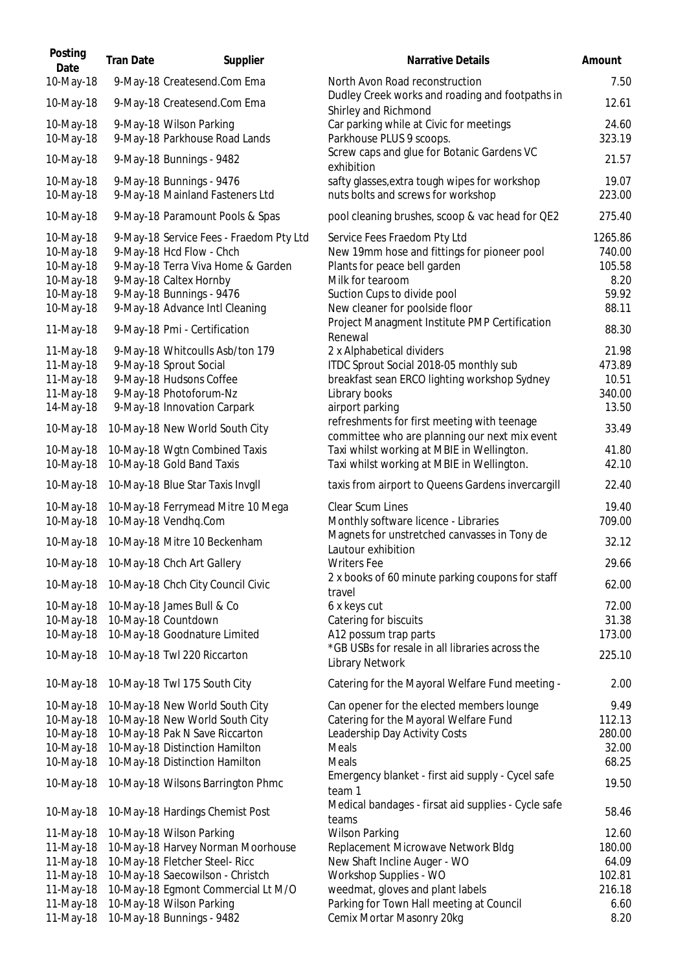| Posting<br>Date                                                            | <b>Tran Date</b> | Supplier                                                                                                                                                                                         | <b>Narrative Details</b>                                                                                                                                                                         | Amount                                                |
|----------------------------------------------------------------------------|------------------|--------------------------------------------------------------------------------------------------------------------------------------------------------------------------------------------------|--------------------------------------------------------------------------------------------------------------------------------------------------------------------------------------------------|-------------------------------------------------------|
| 10-May-18                                                                  |                  | 9-May-18 Createsend.Com Ema                                                                                                                                                                      | North Avon Road reconstruction<br>Dudley Creek works and roading and footpaths in                                                                                                                | 7.5C                                                  |
| 10-May-18                                                                  |                  | 9-May-18 Createsend.Com Ema                                                                                                                                                                      | Shirley and Richmond                                                                                                                                                                             | 12.61                                                 |
| 10-May-18<br>10-May-18                                                     |                  | 9-May-18 Wilson Parking<br>9-May-18 Parkhouse Road Lands                                                                                                                                         | Car parking while at Civic for meetings<br>Parkhouse PLUS 9 scoops.                                                                                                                              | 24.60<br>323.19                                       |
| 10-May-18                                                                  |                  | 9-May-18 Bunnings - 9482                                                                                                                                                                         | Screw caps and glue for Botanic Gardens VC<br>exhibition                                                                                                                                         | 21.57                                                 |
| 10-May-18<br>10-May-18                                                     |                  | 9-May-18 Bunnings - 9476<br>9-May-18 Mainland Fasteners Ltd                                                                                                                                      | safty glasses, extra tough wipes for workshop<br>nuts bolts and screws for workshop                                                                                                              | 19.07<br>223.00                                       |
| 10-May-18                                                                  |                  | 9-May-18 Paramount Pools & Spas                                                                                                                                                                  | pool cleaning brushes, scoop & vac head for QE2                                                                                                                                                  | 275.40                                                |
| 10-May-18<br>10-May-18<br>10-May-18<br>10-May-18<br>10-May-18<br>10-May-18 |                  | 9-May-18 Service Fees - Fraedom Pty Ltd<br>9-May-18 Hcd Flow - Chch<br>9-May-18 Terra Viva Home & Garden<br>9-May-18 Caltex Hornby<br>9-May-18 Bunnings - 9476<br>9-May-18 Advance Intl Cleaning | Service Fees Fraedom Pty Ltd<br>New 19mm hose and fittings for pioneer pool<br>Plants for peace bell garden<br>Milk for tearoom<br>Suction Cups to divide pool<br>New cleaner for poolside floor | 1265.86<br>740.00<br>105.58<br>8.20<br>59.92<br>88.11 |
| 11-May-18                                                                  |                  | 9-May-18 Pmi - Certification                                                                                                                                                                     | Project Managment Institute PMP Certification<br>Renewal                                                                                                                                         | 88.30                                                 |
| 11-May-18<br>11-May-18<br>11-May-18<br>11-May-18<br>14-May-18              |                  | 9-May-18 Whitcoulls Asb/ton 179<br>9-May-18 Sprout Social<br>9-May-18 Hudsons Coffee<br>9-May-18 Photoforum-Nz<br>9-May-18 Innovation Carpark                                                    | 2 x Alphabetical dividers<br>ITDC Sprout Social 2018-05 monthly sub<br>breakfast sean ERCO lighting workshop Sydney<br>Library books<br>airport parking                                          | 21.98<br>473.89<br>10.51<br>340.00<br>13.50           |
| 10-May-18                                                                  |                  | 10-May-18 New World South City                                                                                                                                                                   | refreshments for first meeting with teenage<br>committee who are planning our next mix event                                                                                                     | 33.49                                                 |
| 10-May-18<br>10-May-18                                                     |                  | 10-May-18 Wgtn Combined Taxis<br>10-May-18 Gold Band Taxis                                                                                                                                       | Taxi whilst working at MBIE in Wellington.<br>Taxi whilst working at MBIE in Wellington.                                                                                                         | 41.80<br>42.10                                        |
| 10-May-18                                                                  |                  | 10-May-18 Blue Star Taxis Invgll                                                                                                                                                                 | taxis from airport to Queens Gardens invercargill                                                                                                                                                | 22.40                                                 |
| 10-May-18<br>10-May-18                                                     |                  | 10-May-18 Ferrymead Mitre 10 Mega<br>10-May-18 Vendhq.Com                                                                                                                                        | Clear Scum Lines<br>Monthly software licence - Libraries                                                                                                                                         | 19.40<br>709.00                                       |
| 10-May-18                                                                  |                  | 10-May-18 Mitre 10 Beckenham                                                                                                                                                                     | Magnets for unstretched canvasses in Tony de<br>Lautour exhibition                                                                                                                               | 32.12                                                 |
| 10-May-18                                                                  |                  | 10-May-18 Chch Art Gallery                                                                                                                                                                       | <b>Writers Fee</b>                                                                                                                                                                               | 29.66                                                 |
| 10-May-18                                                                  |                  | 10-May-18 Chch City Council Civic                                                                                                                                                                | 2 x books of 60 minute parking coupons for staff<br>travel                                                                                                                                       | 62.00                                                 |
| 10-May-18<br>10-May-18<br>10-May-18<br>10-May-18                           |                  | 10-May-18 James Bull & Co<br>10-May-18 Countdown<br>10-May-18 Goodnature Limited<br>10-May-18 Twl 220 Riccarton                                                                                  | 6 x keys cut<br>Catering for biscuits<br>A12 possum trap parts<br>*GB USBs for resale in all libraries across the                                                                                | 72.00<br>31.38<br>173.00<br>225.10                    |
|                                                                            |                  |                                                                                                                                                                                                  | Library Network                                                                                                                                                                                  |                                                       |
| 10-May-18<br>10-May-18                                                     |                  | 10-May-18 Twl 175 South City<br>10-May-18 New World South City                                                                                                                                   | Catering for the Mayoral Welfare Fund meeting -<br>Can opener for the elected members lounge                                                                                                     | 2.0C<br>9.49                                          |
| 10-May-18<br>10-May-18<br>10-May-18<br>10-May-18                           |                  | 10-May-18 New World South City<br>10-May-18 Pak N Save Riccarton<br>10-May-18 Distinction Hamilton<br>10-May-18 Distinction Hamilton                                                             | Catering for the Mayoral Welfare Fund<br>Leadership Day Activity Costs<br>Meals<br>Meals                                                                                                         | 112.13<br>280.00<br>32.00<br>68.25                    |
| 10-May-18                                                                  |                  | 10-May-18 Wilsons Barrington Phmc                                                                                                                                                                | Emergency blanket - first aid supply - Cycel safe<br>team 1                                                                                                                                      | 19.50                                                 |
| 10-May-18                                                                  |                  | 10-May-18 Hardings Chemist Post                                                                                                                                                                  | Medical bandages - firsat aid supplies - Cycle safe<br>teams                                                                                                                                     | 58.46                                                 |
| 11-May-18                                                                  |                  | 10-May-18 Wilson Parking                                                                                                                                                                         | <b>Wilson Parking</b>                                                                                                                                                                            | 12.60                                                 |
| 11-May-18<br>11-May-18                                                     |                  | 10-May-18 Harvey Norman Moorhouse<br>10-May-18 Fletcher Steel- Ricc                                                                                                                              | Replacement Microwave Network Bldg<br>New Shaft Incline Auger - WO                                                                                                                               | 180.00<br>64.09                                       |
| 11-May-18                                                                  |                  | 10-May-18 Saecowilson - Christch                                                                                                                                                                 | Workshop Supplies - WO                                                                                                                                                                           | 102.81                                                |
| 11-May-18                                                                  |                  | 10-May-18 Egmont Commercial Lt M/O                                                                                                                                                               | weedmat, gloves and plant labels                                                                                                                                                                 | 216.18                                                |
| 11-May-18                                                                  |                  | 10-May-18 Wilson Parking                                                                                                                                                                         | Parking for Town Hall meeting at Council                                                                                                                                                         | 6.6C                                                  |
| 11-May-18                                                                  |                  | 10-May-18 Bunnings - 9482                                                                                                                                                                        | Cemix Mortar Masonry 20kg                                                                                                                                                                        | 8.20                                                  |

| Narrative Details                                                                                                                                                                                                                                 | Amount                                                         |
|---------------------------------------------------------------------------------------------------------------------------------------------------------------------------------------------------------------------------------------------------|----------------------------------------------------------------|
| North Avon Road reconstruction                                                                                                                                                                                                                    | 7.50                                                           |
| Dudley Creek works and roading and footpaths in<br>Shirley and Richmond                                                                                                                                                                           | 12.61                                                          |
| Car parking while at Civic for meetings<br>Parkhouse PLUS 9 scoops.                                                                                                                                                                               | 24.60<br>323.19                                                |
| Screw caps and glue for Botanic Gardens VC<br>exhibition                                                                                                                                                                                          | 21.57                                                          |
| safty glasses, extra tough wipes for workshop<br>nuts bolts and screws for workshop                                                                                                                                                               | 19.07<br>223.00                                                |
| pool cleaning brushes, scoop & vac head for QE2                                                                                                                                                                                                   | 275.40                                                         |
| Service Fees Fraedom Pty Ltd<br>New 19mm hose and fittings for pioneer pool<br>Plants for peace bell garden<br>Milk for tearoom<br>Suction Cups to divide pool<br>New cleaner for poolside floor<br>Project Managment Institute PMP Certification | 1265.86<br>740.00<br>105.58<br>8.20<br>59.92<br>88.11<br>88.30 |
| Renewal<br>2 x Alphabetical dividers                                                                                                                                                                                                              | 21.98                                                          |
| ITDC Sprout Social 2018-05 monthly sub<br>breakfast sean ERCO lighting workshop Sydney<br>Library books<br>airport parking                                                                                                                        | 473.89<br>10.51<br>340.00<br>13.50                             |
| refreshments for first meeting with teenage                                                                                                                                                                                                       | 33.49                                                          |
| committee who are planning our next mix event<br>Taxi whilst working at MBIE in Wellington.<br>Taxi whilst working at MBIE in Wellington.                                                                                                         | 41.80<br>42.10                                                 |
| taxis from airport to Queens Gardens invercargill                                                                                                                                                                                                 | 22.40                                                          |
| <b>Clear Scum Lines</b><br>Monthly software licence - Libraries                                                                                                                                                                                   | 19.40<br>709.00                                                |
| Magnets for unstretched canvasses in Tony de<br>Lautour exhibition                                                                                                                                                                                | 32.12                                                          |
| Writers Fee<br>2 x books of 60 minute parking coupons for staff                                                                                                                                                                                   | 29.66                                                          |
| travel                                                                                                                                                                                                                                            | 62.00                                                          |
| 6 x keys cut<br>Catering for biscuits<br>A12 possum trap parts                                                                                                                                                                                    | 72.00<br>31.38<br>173.00                                       |
| *GB USBs for resale in all libraries across the<br>Library Network                                                                                                                                                                                | 225.10                                                         |
| Catering for the Mayoral Welfare Fund meeting -                                                                                                                                                                                                   | 2.00                                                           |
| Can opener for the elected members lounge<br>Catering for the Mayoral Welfare Fund<br>Leadership Day Activity Costs<br>Meals<br>Meals                                                                                                             | 9.49<br>112.13<br>280.00<br>32.00<br>68.25                     |
| Emergency blanket - first aid supply - Cycel safe                                                                                                                                                                                                 | 19.50                                                          |
| team 1<br>Medical bandages - firsat aid supplies - Cycle safe<br>teams                                                                                                                                                                            | 58.46                                                          |
| <b>Wilson Parking</b>                                                                                                                                                                                                                             | 12.60                                                          |
| Replacement Microwave Network Bldg<br>New Shaft Incline Auger - WO                                                                                                                                                                                | 180.00<br>64.09                                                |
| Workshop Supplies - WO                                                                                                                                                                                                                            | 102.81                                                         |
| weedmat, gloves and plant labels<br>Parking for Town Hall meeting at Council                                                                                                                                                                      | 216.18<br>6.60                                                 |
| Cemix Mortar Masonry 20kg                                                                                                                                                                                                                         | 8.20                                                           |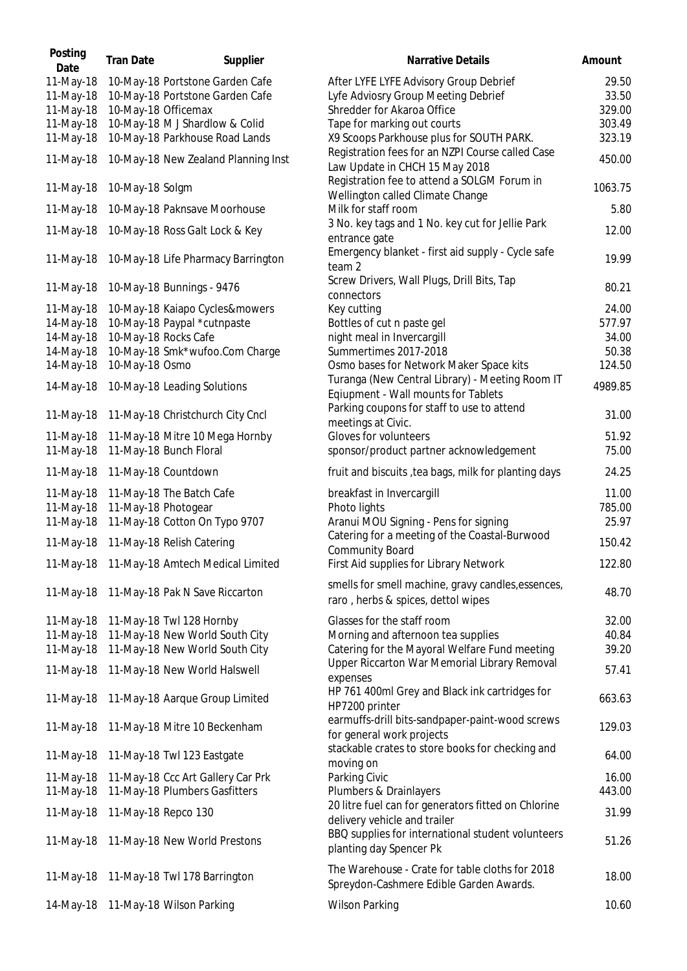| Posting<br>Date        | <b>Tran Date</b> | Supplier                                                           | <b>Narrative Details</b>                                                                     | Amount  |
|------------------------|------------------|--------------------------------------------------------------------|----------------------------------------------------------------------------------------------|---------|
| 11-May-18              |                  | 10-May-18 Portstone Garden Cafe                                    | After LYFE LYFE Advisory Group Debrief                                                       | 29.50   |
| 11-May-18              |                  | 10-May-18 Portstone Garden Cafe                                    | Lyfe Adviosry Group Meeting Debrief                                                          | 33.50   |
| 11-May-18              |                  | 10-May-18 Officemax                                                | Shredder for Akaroa Office                                                                   | 329.00  |
| 11-May-18              |                  | 10-May-18 M J Shardlow & Colid                                     | Tape for marking out courts                                                                  | 303.49  |
| 11-May-18              |                  | 10-May-18 Parkhouse Road Lands                                     | X9 Scoops Parkhouse plus for SOUTH PARK.<br>Registration fees for an NZPI Course called Case | 323.19  |
| 11-May-18              |                  | 10-May-18 New Zealand Planning Inst                                | Law Update in CHCH 15 May 2018<br>Registration fee to attend a SOLGM Forum in                | 450.00  |
| 11-May-18              | 10-May-18 Solgm  |                                                                    | Wellington called Climate Change                                                             | 1063.75 |
| 11-May-18              |                  | 10-May-18 Paknsave Moorhouse                                       | Milk for staff room                                                                          | 5.80    |
| 11-May-18              |                  | 10-May-18 Ross Galt Lock & Key                                     | 3 No. key tags and 1 No. key cut for Jellie Park<br>entrance gate                            | 12.00   |
| 11-May-18              |                  | 10-May-18 Life Pharmacy Barrington                                 | Emergency blanket - first aid supply - Cycle safe<br>team 2                                  | 19.99   |
| 11-May-18              |                  | 10-May-18 Bunnings - 9476                                          | Screw Drivers, Wall Plugs, Drill Bits, Tap<br>connectors                                     | 80.21   |
| 11-May-18              |                  | 10-May-18 Kaiapo Cycles&mowers                                     | Key cutting                                                                                  | 24.00   |
| 14-May-18              |                  | 10-May-18 Paypal *cutnpaste                                        | Bottles of cut n paste gel                                                                   | 577.97  |
| 14-May-18              |                  | 10-May-18 Rocks Cafe                                               | night meal in Invercargill                                                                   | 34.00   |
| 14-May-18              |                  | 10-May-18 Smk*wufoo.Com Charge                                     | Summertimes 2017-2018                                                                        | 50.38   |
| 14-May-18              | 10-May-18 Osmo   |                                                                    | Osmo bases for Network Maker Space kits                                                      | 124.50  |
| 14-May-18              |                  | 10-May-18 Leading Solutions                                        | Turanga (New Central Library) - Meeting Room IT<br>Eqiupment - Wall mounts for Tablets       | 4989.85 |
| 11-May-18              |                  | 11-May-18 Christchurch City Cncl                                   | Parking coupons for staff to use to attend<br>meetings at Civic.                             | 31.00   |
| 11-May-18              |                  | 11-May-18 Mitre 10 Mega Hornby                                     | Gloves for volunteers                                                                        | 51.92   |
| 11-May-18              |                  | 11-May-18 Bunch Floral                                             | sponsor/product partner acknowledgement                                                      | 75.00   |
| 11-May-18              |                  | 11-May-18 Countdown                                                | fruit and biscuits, tea bags, milk for planting days                                         | 24.25   |
| 11-May-18              |                  | 11-May-18 The Batch Cafe                                           | breakfast in Invercargill                                                                    | 11.00   |
| 11-May-18              |                  | 11-May-18 Photogear                                                | Photo lights                                                                                 | 785.00  |
| 11-May-18              |                  | 11-May-18 Cotton On Typo 9707                                      | Aranui MOU Signing - Pens for signing                                                        | 25.97   |
| 11-May-18              |                  | 11-May-18 Relish Catering                                          | Catering for a meeting of the Coastal-Burwood                                                | 150.42  |
|                        |                  | 11-May-18 11-May-18 Amtech Medical Limited                         | <b>Community Board</b><br>First Aid supplies for Library Network                             | 122.80  |
|                        |                  |                                                                    | smells for smell machine, gravy candles, essences,                                           |         |
| 11-May-18              |                  | 11-May-18 Pak N Save Riccarton                                     | raro, herbs & spices, dettol wipes                                                           | 48.70   |
| 11-May-18              |                  | 11-May-18 Twl 128 Hornby                                           | Glasses for the staff room                                                                   | 32.00   |
| 11-May-18              |                  | 11-May-18 New World South City                                     | Morning and afternoon tea supplies                                                           | 40.84   |
| 11-May-18              |                  | 11-May-18 New World South City                                     | Catering for the Mayoral Welfare Fund meeting                                                | 39.20   |
| 11-May-18              |                  | 11-May-18 New World Halswell                                       | Upper Riccarton War Memorial Library Removal<br>expenses                                     | 57.41   |
| 11-May-18              |                  | 11-May-18 Aarque Group Limited                                     | HP 761 400ml Grey and Black ink cartridges for<br>HP7200 printer                             | 663.63  |
| 11-May-18              |                  | 11-May-18 Mitre 10 Beckenham                                       | earmuffs-drill bits-sandpaper-paint-wood screws<br>for general work projects                 | 129.03  |
| 11-May-18              |                  | 11-May-18 Twl 123 Eastgate                                         | stackable crates to store books for checking and                                             | 64.00   |
|                        |                  |                                                                    | moving on                                                                                    | 16.00   |
| 11-May-18<br>11-May-18 |                  | 11-May-18 Ccc Art Gallery Car Prk<br>11-May-18 Plumbers Gasfitters | Parking Civic<br>Plumbers & Drainlayers                                                      | 443.00  |
| 11-May-18              |                  | 11-May-18 Repco 130                                                | 20 litre fuel can for generators fitted on Chlorine<br>delivery vehicle and trailer          | 31.99   |
| 11-May-18              |                  | 11-May-18 New World Prestons                                       | BBQ supplies for international student volunteers<br>planting day Spencer Pk                 | 51.26   |
| 11-May-18              |                  | 11-May-18 Twl 178 Barrington                                       | The Warehouse - Crate for table cloths for 2018<br>Spreydon-Cashmere Edible Garden Awards.   | 18.00   |
| 14-May-18              |                  | 11-May-18 Wilson Parking                                           | <b>Wilson Parking</b>                                                                        | 10.60   |
|                        |                  |                                                                    |                                                                                              |         |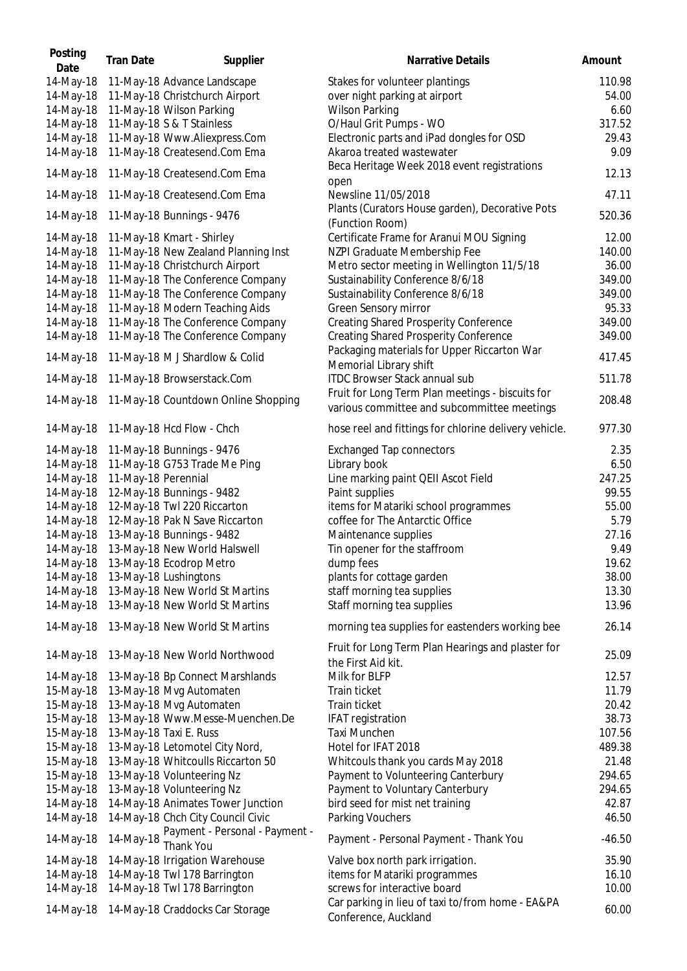| Posting<br>Date | <b>Tran Date</b>    | Supplier                                    | <b>Narrative Details</b>                              | Amount   |
|-----------------|---------------------|---------------------------------------------|-------------------------------------------------------|----------|
| 14-May-18       |                     | 11-May-18 Advance Landscape                 | Stakes for volunteer plantings                        | 110.98   |
| 14-May-18       |                     | 11-May-18 Christchurch Airport              | over night parking at airport                         | 54.00    |
| 14-May-18       |                     | 11-May-18 Wilson Parking                    | <b>Wilson Parking</b>                                 | 6.60     |
| 14-May-18       |                     | 11-May-18 S & T Stainless                   | O/Haul Grit Pumps - WO                                | 317.52   |
| 14-May-18       |                     | 11-May-18 Www.Aliexpress.Com                | Electronic parts and iPad dongles for OSD             | 29.43    |
| 14-May-18       |                     | 11-May-18 Createsend.Com Ema                | Akaroa treated wastewater                             | 9.09     |
| 14-May-18       |                     | 11-May-18 Createsend.Com Ema                | Beca Heritage Week 2018 event registrations           | 12.13    |
| 14-May-18       |                     | 11-May-18 Createsend.Com Ema                | open<br>Newsline 11/05/2018                           | 47.11    |
|                 |                     |                                             | Plants (Curators House garden), Decorative Pots       |          |
| 14-May-18       |                     | 11-May-18 Bunnings - 9476                   | (Function Room)                                       | 520.36   |
| 14-May-18       |                     | 11-May-18 Kmart - Shirley                   | Certificate Frame for Aranui MOU Signing              | 12.00    |
| 14-May-18       |                     | 11-May-18 New Zealand Planning Inst         | NZPI Graduate Membership Fee                          | 140.00   |
| 14-May-18       |                     | 11-May-18 Christchurch Airport              | Metro sector meeting in Wellington 11/5/18            | 36.00    |
| 14-May-18       |                     | 11-May-18 The Conference Company            | Sustainability Conference 8/6/18                      | 349.00   |
| 14-May-18       |                     | 11-May-18 The Conference Company            | Sustainability Conference 8/6/18                      | 349.00   |
| 14-May-18       |                     | 11-May-18 Modern Teaching Aids              | Green Sensory mirror                                  | 95.33    |
| 14-May-18       |                     | 11-May-18 The Conference Company            | <b>Creating Shared Prosperity Conference</b>          | 349.00   |
| 14-May-18       |                     | 11-May-18 The Conference Company            | <b>Creating Shared Prosperity Conference</b>          | 349.00   |
|                 |                     |                                             | Packaging materials for Upper Riccarton War           |          |
| 14-May-18       |                     | 11-May-18 M J Shardlow & Colid              | Memorial Library shift                                | 417.45   |
|                 |                     |                                             | <b>ITDC Browser Stack annual sub</b>                  | 511.78   |
| 14-May-18       |                     | 11-May-18 Browserstack.Com                  | Fruit for Long Term Plan meetings - biscuits for      |          |
| 14-May-18       |                     | 11-May-18 Countdown Online Shopping         |                                                       | 208.48   |
|                 |                     |                                             | various committee and subcommittee meetings           | 977.30   |
| 14-May-18       |                     | 11-May-18 Hcd Flow - Chch                   | hose reel and fittings for chlorine delivery vehicle. |          |
| 14-May-18       |                     | 11-May-18 Bunnings - 9476                   | <b>Exchanged Tap connectors</b>                       | 2.35     |
| 14-May-18       |                     | 11-May-18 G753 Trade Me Ping                | Library book                                          | 6.50     |
| 14-May-18       | 11-May-18 Perennial |                                             | Line marking paint QEII Ascot Field                   | 247.25   |
| 14-May-18       |                     | 12-May-18 Bunnings - 9482                   | Paint supplies                                        | 99.55    |
| 14-May-18       |                     | 12-May-18 Twl 220 Riccarton                 | items for Matariki school programmes                  | 55.00    |
| 14-May-18       |                     | 12-May-18 Pak N Save Riccarton              | coffee for The Antarctic Office                       | 5.79     |
| 14-May-18       |                     | 13-May-18 Bunnings - 9482                   | Maintenance supplies                                  | 27.16    |
| 14-May-18       |                     | 13-May-18 New World Halswell                | Tin opener for the staffroom                          | 9.49     |
| 14-May-18       |                     | 13-May-18 Ecodrop Metro                     | dump fees                                             | 19.62    |
| 14-May-18       |                     | 13-May-18 Lushingtons                       | plants for cottage garden                             | 38.00    |
| 14-May-18       |                     | 13-May-18 New World St Martins              | staff morning tea supplies                            | 13.30    |
| 14-May-18       |                     | 13-May-18 New World St Martins              | Staff morning tea supplies                            | 13.96    |
| 14-May-18       |                     | 13-May-18 New World St Martins              | morning tea supplies for eastenders working bee       | 26.14    |
|                 |                     |                                             |                                                       |          |
| 14-May-18       |                     | 13-May-18 New World Northwood               | Fruit for Long Term Plan Hearings and plaster for     | 25.09    |
|                 |                     | 13-May-18 Bp Connect Marshlands             | the First Aid kit.<br>Milk for BLFP                   | 12.57    |
| 14-May-18       |                     |                                             | Train ticket                                          |          |
| 15-May-18       |                     | 13-May-18 Mvg Automaten                     |                                                       | 11.79    |
| 15-May-18       |                     | 13-May-18 Mvg Automaten                     | Train ticket                                          | 20.42    |
| 15-May-18       |                     | 13-May-18 Www.Messe-Muenchen.De             | <b>IFAT registration</b>                              | 38.73    |
| 15-May-18       |                     | 13-May-18 Taxi E. Russ                      | Taxi Munchen                                          | 107.56   |
| 15-May-18       |                     | 13-May-18 Letomotel City Nord,              | Hotel for IFAT 2018                                   | 489.38   |
| 15-May-18       |                     | 13-May-18 Whitcoulls Riccarton 50           | Whitcouls thank you cards May 2018                    | 21.48    |
| 15-May-18       |                     | 13-May-18 Volunteering Nz                   | Payment to Volunteering Canterbury                    | 294.65   |
| 15-May-18       |                     | 13-May-18 Volunteering Nz                   | Payment to Voluntary Canterbury                       | 294.65   |
| 14-May-18       |                     | 14-May-18 Animates Tower Junction           | bird seed for mist net training                       | 42.87    |
| 14-May-18       |                     | 14-May-18 Chch City Council Civic           | Parking Vouchers                                      | 46.50    |
| 14-May-18       | 14-May-18           | Payment - Personal - Payment -<br>Thank You | Payment - Personal Payment - Thank You                | $-46.50$ |
| 14-May-18       |                     | 14-May-18 Irrigation Warehouse              | Valve box north park irrigation.                      | 35.90    |
| 14-May-18       |                     | 14-May-18 Twl 178 Barrington                | items for Matariki programmes                         | 16.10    |
| 14-May-18       |                     | 14-May-18 Twl 178 Barrington                | screws for interactive board                          | 10.00    |
| 14-May-18       |                     | 14-May-18 Craddocks Car Storage             | Car parking in lieu of taxi to/from home - EA&PA      | 60.00    |
|                 |                     |                                             | Conference, Auckland                                  |          |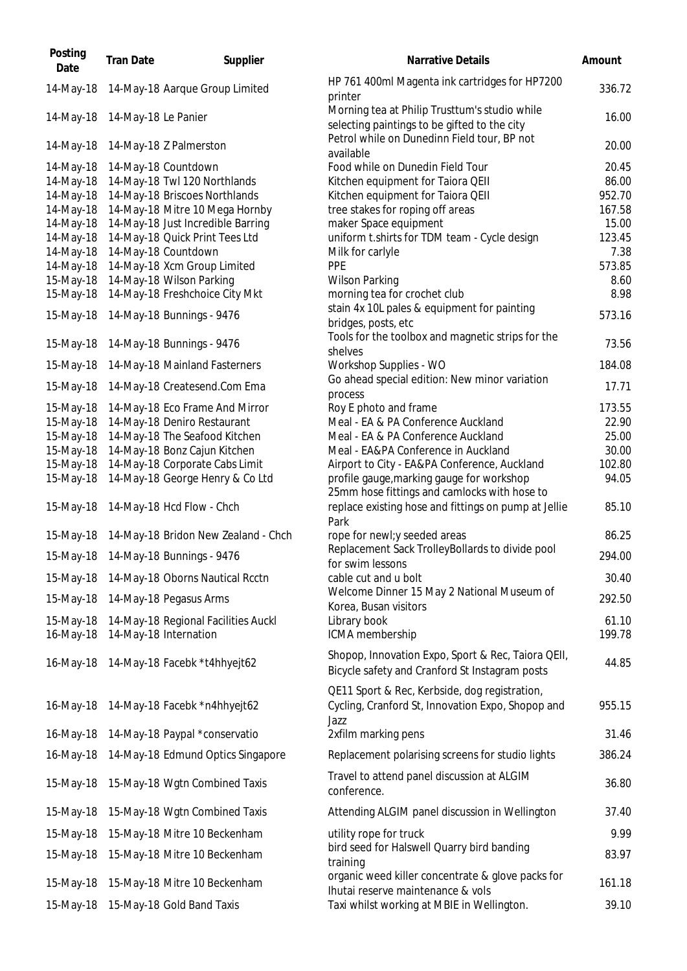| Posting<br>Date        | <b>Tran Date</b>    | Supplier                                              | Narrative Details                                                                                    | Amount         |
|------------------------|---------------------|-------------------------------------------------------|------------------------------------------------------------------------------------------------------|----------------|
| 14-May-18              |                     | 14-May-18 Aarque Group Limited                        | HP 761 400ml Magenta ink cartridges for HP7200<br>printer                                            | 336.72         |
| 14-May-18              | 14-May-18 Le Panier |                                                       | Morning tea at Philip Trusttum's studio while<br>selecting paintings to be gifted to the city        | 16.00          |
| 14-May-18              |                     | 14-May-18 Z Palmerston                                | Petrol while on Dunedinn Field tour, BP not<br>available                                             | 20.00          |
| 14-May-18              |                     | 14-May-18 Countdown                                   | Food while on Dunedin Field Tour                                                                     | 20.45          |
| 14-May-18              |                     | 14-May-18 Twl 120 Northlands                          | Kitchen equipment for Taiora QEII                                                                    | 86.00          |
| 14-May-18              |                     | 14-May-18 Briscoes Northlands                         | Kitchen equipment for Taiora QEII                                                                    | 952.70         |
| 14-May-18              |                     | 14-May-18 Mitre 10 Mega Hornby                        | tree stakes for roping off areas                                                                     | 167.58         |
| 14-May-18              |                     | 14-May-18 Just Incredible Barring                     | maker Space equipment                                                                                | 15.00          |
| 14-May-18<br>14-May-18 |                     | 14-May-18 Quick Print Tees Ltd<br>14-May-18 Countdown | uniform t.shirts for TDM team - Cycle design<br>Milk for carlyle                                     | 123.45<br>7.38 |
| 14-May-18              |                     | 14-May-18 Xcm Group Limited                           | <b>PPE</b>                                                                                           | 573.85         |
| 15-May-18              |                     | 14-May-18 Wilson Parking                              | <b>Wilson Parking</b>                                                                                | 8.60           |
| 15-May-18              |                     | 14-May-18 Freshchoice City Mkt                        | morning tea for crochet club                                                                         | 8.98           |
| 15-May-18              |                     | 14-May-18 Bunnings - 9476                             | stain 4x 10L pales & equipment for painting<br>bridges, posts, etc                                   | 573.16         |
| 15-May-18              |                     | 14-May-18 Bunnings - 9476                             | Tools for the toolbox and magnetic strips for the<br>shelves                                         | 73.56          |
| 15-May-18              |                     | 14-May-18 Mainland Fasterners                         | Workshop Supplies - WO                                                                               | 184.08         |
| 15-May-18              |                     | 14-May-18 Createsend.Com Ema                          | Go ahead special edition: New minor variation<br>process                                             | 17.71          |
| 15-May-18              |                     | 14-May-18 Eco Frame And Mirror                        | Roy E photo and frame                                                                                | 173.55         |
| 15-May-18              |                     | 14-May-18 Deniro Restaurant                           | Meal - EA & PA Conference Auckland                                                                   | 22.90          |
| 15-May-18              |                     | 14-May-18 The Seafood Kitchen                         | Meal - EA & PA Conference Auckland                                                                   | 25.00          |
| 15-May-18              |                     | 14-May-18 Bonz Cajun Kitchen                          | Meal - EA&PA Conference in Auckland                                                                  | 30.00          |
| 15-May-18              |                     | 14-May-18 Corporate Cabs Limit                        | Airport to City - EA&PA Conference, Auckland                                                         | 102.80         |
| 15-May-18              |                     | 14-May-18 George Henry & Co Ltd                       | profile gauge, marking gauge for workshop<br>25mm hose fittings and camlocks with hose to            | 94.05          |
| 15-May-18              |                     | 14-May-18 Hcd Flow - Chch                             | replace existing hose and fittings on pump at Jellie<br>Park                                         | 85.10          |
| 15-May-18              |                     | 14-May-18 Bridon New Zealand - Chch                   | rope for newl;y seeded areas<br>Replacement Sack TrolleyBollards to divide pool                      | 86.25          |
|                        |                     | 15-May-18  14-May-18 Bunnings - 9476                  | for swim lessons                                                                                     | 294.00         |
| 15-May-18              |                     | 14-May-18 Oborns Nautical Rcctn                       | cable cut and u bolt<br>Welcome Dinner 15 May 2 National Museum of                                   | 30.40          |
| 15-May-18              |                     | 14-May-18 Pegasus Arms                                | Korea, Busan visitors                                                                                | 292.50         |
| 15-May-18              |                     | 14-May-18 Regional Facilities Auckl                   | Library book                                                                                         | 61.10          |
| 16-May-18              |                     | 14-May-18 Internation                                 | ICMA membership                                                                                      | 199.78         |
| 16-May-18              |                     | 14-May-18 Facebk *t4hhyejt62                          | Shopop, Innovation Expo, Sport & Rec, Taiora QEII,<br>Bicycle safety and Cranford St Instagram posts | 44.85          |
|                        |                     |                                                       | QE11 Sport & Rec, Kerbside, dog registration,                                                        |                |
| 16-May-18              |                     | 14-May-18 Facebk *n4hhyejt62                          | Cycling, Cranford St, Innovation Expo, Shopop and<br>Jazz                                            | 955.15         |
| 16-May-18              |                     | 14-May-18 Paypal *conservatio                         | 2xfilm marking pens                                                                                  | 31.46          |
| 16-May-18              |                     | 14-May-18 Edmund Optics Singapore                     | Replacement polarising screens for studio lights                                                     | 386.24         |
| 15-May-18              |                     | 15-May-18 Wgtn Combined Taxis                         | Travel to attend panel discussion at ALGIM<br>conference.                                            | 36.80          |
| 15-May-18              |                     | 15-May-18 Wgtn Combined Taxis                         | Attending ALGIM panel discussion in Wellington                                                       | 37.40          |
| 15-May-18              |                     | 15-May-18 Mitre 10 Beckenham                          | utility rope for truck                                                                               | 9.99           |
| 15-May-18              |                     | 15-May-18 Mitre 10 Beckenham                          | bird seed for Halswell Quarry bird banding<br>training                                               | 83.97          |
| 15-May-18              |                     | 15-May-18 Mitre 10 Beckenham                          | organic weed killer concentrate & glove packs for                                                    | 161.18         |
| 15-May-18              |                     | 15-May-18 Gold Band Taxis                             | Ihutai reserve maintenance & vols<br>Taxi whilst working at MBIE in Wellington.                      | 39.10          |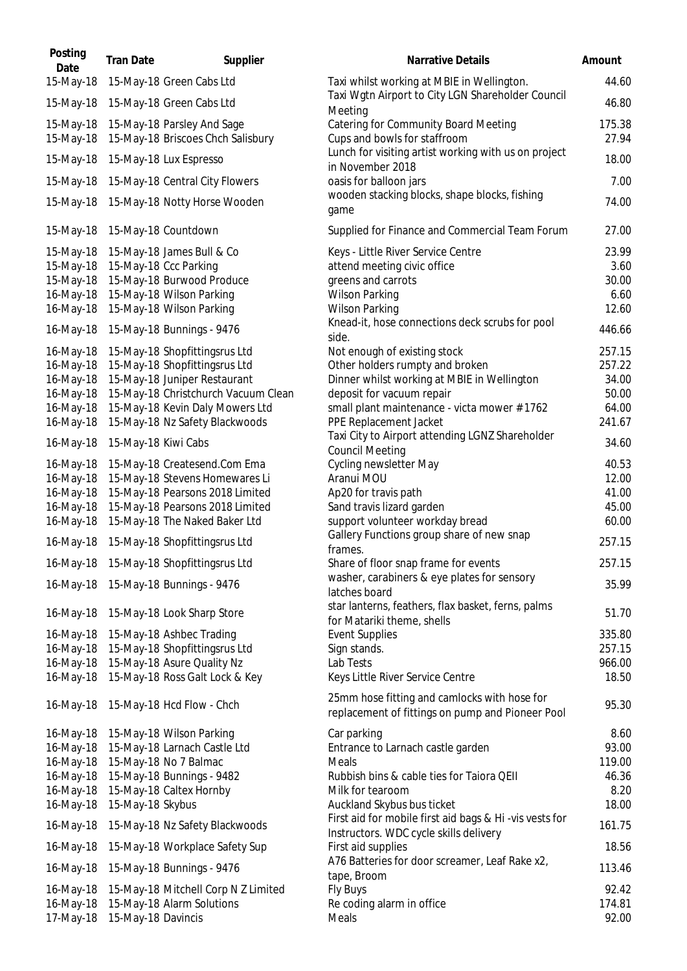| Posting<br>Date        | <b>Tran Date</b>    | Supplier                                | <b>Narrative Details</b>                                                                         | Amount          |
|------------------------|---------------------|-----------------------------------------|--------------------------------------------------------------------------------------------------|-----------------|
| 15-May-18              |                     | 15-May-18 Green Cabs Ltd                | Taxi whilst working at MBIE in Wellington.                                                       | 44.60           |
| 15-May-18              |                     | 15-May-18 Green Cabs Ltd                | Taxi Wgtn Airport to City LGN Shareholder Council<br>Meeting                                     | 46.80           |
| 15-May-18              |                     | 15-May-18 Parsley And Sage              | Catering for Community Board Meeting                                                             | 175.38          |
| 15-May-18              |                     | 15-May-18 Briscoes Chch Salisbury       | Cups and bowls for staffroom<br>Lunch for visiting artist working with us on project             | 27.94           |
| 15-May-18              |                     | 15-May-18 Lux Espresso                  | in November 2018                                                                                 | 18.00           |
| 15-May-18              |                     | 15-May-18 Central City Flowers          | oasis for balloon jars<br>wooden stacking blocks, shape blocks, fishing                          | 7.00            |
| 15-May-18              |                     | 15-May-18 Notty Horse Wooden            | game                                                                                             | 74.00           |
| 15-May-18              |                     | 15-May-18 Countdown                     | Supplied for Finance and Commercial Team Forum                                                   | 27.00           |
| 15-May-18              |                     | 15-May-18 James Bull & Co               | Keys - Little River Service Centre                                                               | 23.99           |
| 15-May-18              |                     | 15-May-18 Ccc Parking                   | attend meeting civic office                                                                      | 3.60            |
| 15-May-18              |                     | 15-May-18 Burwood Produce               | greens and carrots                                                                               | 30.00           |
| 16-May-18              |                     | 15-May-18 Wilson Parking                | <b>Wilson Parking</b>                                                                            | 6.60            |
| 16-May-18              |                     | 15-May-18 Wilson Parking                | <b>Wilson Parking</b><br>Knead-it, hose connections deck scrubs for pool                         | 12.60           |
| 16-May-18              |                     | 15-May-18 Bunnings - 9476               | side.                                                                                            | 446.66          |
| 16-May-18              |                     | 15-May-18 Shopfittingsrus Ltd           | Not enough of existing stock                                                                     | 257.15          |
| 16-May-18              |                     | 15-May-18 Shopfittingsrus Ltd           | Other holders rumpty and broken                                                                  | 257.22          |
| 16-May-18              |                     | 15-May-18 Juniper Restaurant            | Dinner whilst working at MBIE in Wellington                                                      | 34.00           |
| 16-May-18              |                     | 15-May-18 Christchurch Vacuum Clean     | deposit for vacuum repair                                                                        | 50.00           |
| 16-May-18              |                     | 15-May-18 Kevin Daly Mowers Ltd         | small plant maintenance - victa mower #1762                                                      | 64.00           |
| 16-May-18<br>16-May-18 | 15-May-18 Kiwi Cabs | 15-May-18 Nz Safety Blackwoods          | PPE Replacement Jacket<br>Taxi City to Airport attending LGNZ Shareholder                        | 241.67<br>34.60 |
|                        |                     |                                         | <b>Council Meeting</b>                                                                           |                 |
| 16-May-18              |                     | 15-May-18 Createsend.Com Ema            | Cycling newsletter May                                                                           | 40.53           |
| 16-May-18              |                     | 15-May-18 Stevens Homewares Li          | Aranui MOU                                                                                       | 12.00           |
| 16-May-18              |                     | 15-May-18 Pearsons 2018 Limited         | Ap20 for travis path                                                                             | 41.00           |
| 16-May-18              |                     | 15-May-18 Pearsons 2018 Limited         | Sand travis lizard garden                                                                        | 45.00           |
| 16-May-18              |                     | 15-May-18 The Naked Baker Ltd           | support volunteer workday bread                                                                  | 60.00           |
| 16-May-18              |                     | 15-May-18 Shopfittingsrus Ltd           | Gallery Functions group share of new snap<br>frames.                                             | 257.15          |
|                        |                     | 16-May-18 15-May-18 Shopfittingsrus Ltd | Share of floor snap frame for events<br>washer, carabiners & eye plates for sensory              | 257.15          |
| 16-May-18              |                     | 15-May-18 Bunnings - 9476               | latches board                                                                                    | 35.99           |
| 16-May-18              |                     | 15-May-18 Look Sharp Store              | star lanterns, feathers, flax basket, ferns, palms<br>for Matariki theme, shells                 | 51.70           |
| 16-May-18              |                     | 15-May-18 Ashbec Trading                | <b>Event Supplies</b>                                                                            | 335.80          |
| 16-May-18              |                     | 15-May-18 Shopfittingsrus Ltd           | Sign stands.                                                                                     | 257.15          |
| 16-May-18              |                     | 15-May-18 Asure Quality Nz              | Lab Tests                                                                                        | 966.00          |
| 16-May-18              |                     | 15-May-18 Ross Galt Lock & Key          | Keys Little River Service Centre                                                                 | 18.50           |
| 16-May-18              |                     | 15-May-18 Hcd Flow - Chch               | 25mm hose fitting and camlocks with hose for<br>replacement of fittings on pump and Pioneer Pool | 95.30           |
| 16-May-18              |                     | 15-May-18 Wilson Parking                | Car parking                                                                                      | 8.60            |
| 16-May-18              |                     | 15-May-18 Larnach Castle Ltd            | Entrance to Larnach castle garden                                                                | 93.00           |
| 16-May-18              |                     | 15-May-18 No 7 Balmac                   | Meals                                                                                            | 119.00          |
| 16-May-18              |                     | 15-May-18 Bunnings - 9482               | Rubbish bins & cable ties for Taiora QEII                                                        | 46.36           |
| 16-May-18              |                     | 15-May-18 Caltex Hornby                 | Milk for tearoom                                                                                 | 8.20            |
| 16-May-18              | 15-May-18 Skybus    |                                         | Auckland Skybus bus ticket                                                                       | 18.00           |
| 16-May-18              |                     | 15-May-18 Nz Safety Blackwoods          | First aid for mobile first aid bags & Hi -vis vests for                                          | 161.75          |
| 16-May-18              |                     | 15-May-18 Workplace Safety Sup          | Instructors. WDC cycle skills delivery<br>First aid supplies                                     | 18.56           |
| 16-May-18              |                     | 15-May-18 Bunnings - 9476               | A76 Batteries for door screamer, Leaf Rake x2,<br>tape, Broom                                    | 113.46          |
| 16-May-18              |                     | 15-May-18 Mitchell Corp N Z Limited     | Fly Buys                                                                                         | 92.42           |
| 16-May-18              |                     | 15-May-18 Alarm Solutions               | Re coding alarm in office                                                                        | 174.81          |
| 17-May-18              | 15-May-18 Davincis  |                                         | Meals                                                                                            | 92.00           |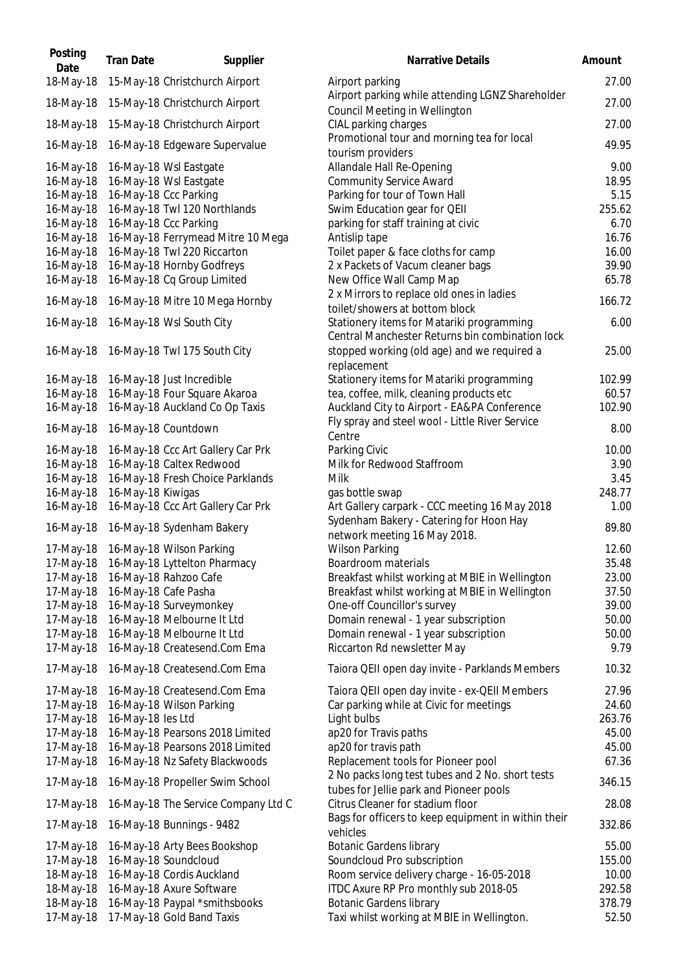| Posting<br>Date        | <b>Tran Date</b>  | Supplier                                                   | Narrative Details                                                                                |
|------------------------|-------------------|------------------------------------------------------------|--------------------------------------------------------------------------------------------------|
| 18-May-18              |                   | 15-May-18 Christchurch Airport                             | Airport parking                                                                                  |
| 18-May-18              |                   | 15-May-18 Christchurch Airport                             | Airport parking while attending LGNZ Shareholder<br>Council Meeting in Wellington                |
| 18-May-18              |                   | 15-May-18 Christchurch Airport                             | CIAL parking charges                                                                             |
| 16-May-18              |                   | 16-May-18 Edgeware Supervalue                              | Promotional tour and morning tea for local<br>tourism providers                                  |
| 16-May-18              |                   | 16-May-18 Wsl Eastgate                                     | Allandale Hall Re-Opening                                                                        |
| 16-May-18              |                   | 16-May-18 Wsl Eastgate                                     | <b>Community Service Award</b>                                                                   |
| 16-May-18              |                   | 16-May-18 Ccc Parking                                      | Parking for tour of Town Hall                                                                    |
| 16-May-18              |                   | 16-May-18 Twl 120 Northlands                               | Swim Education gear for QEII                                                                     |
| 16-May-18              |                   | 16-May-18 Ccc Parking<br>16-May-18 Ferrymead Mitre 10 Mega | parking for staff training at civic                                                              |
| 16-May-18<br>16-May-18 |                   | 16-May-18 Twl 220 Riccarton                                | Antislip tape<br>Toilet paper & face cloths for camp                                             |
| 16-May-18              |                   | 16-May-18 Hornby Godfreys                                  | 2 x Packets of Vacum cleaner bags                                                                |
| 16-May-18              |                   | 16-May-18 Cq Group Limited                                 | New Office Wall Camp Map                                                                         |
|                        |                   |                                                            | 2 x Mirrors to replace old ones in ladies                                                        |
| 16-May-18              |                   | 16-May-18 Mitre 10 Mega Hornby                             | toilet/showers at bottom block                                                                   |
| 16-May-18              |                   | 16-May-18 Wsl South City                                   | Stationery items for Matariki programming<br>Central Manchester Returns bin combination lock     |
| 16-May-18              |                   | 16-May-18 Twl 175 South City                               | stopped working (old age) and we required a<br>replacement                                       |
| 16-May-18              |                   | 16-May-18 Just Incredible                                  | Stationery items for Matariki programming                                                        |
| 16-May-18              |                   | 16-May-18 Four Square Akaroa                               | tea, coffee, milk, cleaning products etc                                                         |
| 16-May-18              |                   | 16-May-18 Auckland Co Op Taxis                             | Auckland City to Airport - EA&PA Conference                                                      |
| 16-May-18              |                   | 16-May-18 Countdown                                        | Fly spray and steel wool - Little River Service<br>Centre                                        |
| 16-May-18              |                   | 16-May-18 Ccc Art Gallery Car Prk                          | Parking Civic                                                                                    |
| 16-May-18              |                   | 16-May-18 Caltex Redwood                                   | Milk for Redwood Staffroom                                                                       |
| 16-May-18              |                   | 16-May-18 Fresh Choice Parklands                           | Milk                                                                                             |
| 16-May-18              | 16-May-18 Kiwigas |                                                            | gas bottle swap                                                                                  |
| 16-May-18              |                   | 16-May-18 Ccc Art Gallery Car Prk                          | Art Gallery carpark - CCC meeting 16 May 2018<br>Sydenham Bakery - Catering for Hoon Hay         |
| 16-May-18              |                   | 16-May-18 Sydenham Bakery                                  | network meeting 16 May 2018.                                                                     |
| 17-May-18              |                   | 16-May-18 Wilson Parking                                   | <b>Wilson Parking</b>                                                                            |
| 17-May-18              |                   | 16-May-18 Lyttelton Pharmacy                               | Boardroom materials                                                                              |
| 17-May-18<br>17-May-18 |                   | 16-May-18 Rahzoo Cafe<br>16-May-18 Cafe Pasha              | Breakfast whilst working at MBIE in Wellington<br>Breakfast whilst working at MBIE in Wellington |
| 17-May-18              |                   | 16-May-18 Surveymonkey                                     | One-off Councillor's survey                                                                      |
| 17-May-18              |                   | 16-May-18 Melbourne It Ltd                                 | Domain renewal - 1 year subscription                                                             |
| 17-May-18              |                   | 16-May-18 Melbourne It Ltd                                 | Domain renewal - 1 year subscription                                                             |
| 17-May-18              |                   | 16-May-18 Createsend.Com Ema                               | Riccarton Rd newsletter May                                                                      |
| 17-May-18              |                   | 16-May-18 Createsend.Com Ema                               | Taiora QEII open day invite - Parklands Members                                                  |
| 17-May-18              |                   | 16-May-18 Createsend.Com Ema                               | Taiora QEII open day invite - ex-QEII Members                                                    |
| 17-May-18              |                   | 16-May-18 Wilson Parking                                   | Car parking while at Civic for meetings                                                          |
| 17-May-18              | 16-May-18 les Ltd |                                                            | Light bulbs                                                                                      |
| 17-May-18              |                   | 16-May-18 Pearsons 2018 Limited                            | ap20 for Travis paths                                                                            |
| 17-May-18              |                   | 16-May-18 Pearsons 2018 Limited                            | ap20 for travis path                                                                             |
| 17-May-18              |                   | 16-May-18 Nz Safety Blackwoods                             | Replacement tools for Pioneer pool<br>2 No packs long test tubes and 2 No. short tests           |
| 17-May-18              |                   | 16-May-18 Propeller Swim School                            | tubes for Jellie park and Pioneer pools                                                          |
| 17-May-18              |                   | 16-May-18 The Service Company Ltd C                        | Citrus Cleaner for stadium floor                                                                 |
| 17-May-18              |                   | 16-May-18 Bunnings - 9482                                  | Bags for officers to keep equipment in within their<br>vehicles                                  |
| 17-May-18              |                   | 16-May-18 Arty Bees Bookshop                               | <b>Botanic Gardens library</b>                                                                   |
| 17-May-18              |                   | 16-May-18 Soundcloud                                       | Soundcloud Pro subscription                                                                      |
| 18-May-18              |                   | 16-May-18 Cordis Auckland                                  | Room service delivery charge - 16-05-2018                                                        |
| 18-May-18              |                   | 16-May-18 Axure Software                                   | ITDC Axure RP Pro monthly sub 2018-05                                                            |
| 18-May-18              |                   | 16-May-18 Paypal *smithsbooks                              | <b>Botanic Gardens library</b>                                                                   |
| 17-May-18              |                   | 17-May-18 Gold Band Taxis                                  | Taxi whilst working at MBIE in Wellington.                                                       |

| Posting<br>Date | <b>Tran Date</b>  | Supplier                               | <b>Narrative Details</b>                                                                     | Amount |
|-----------------|-------------------|----------------------------------------|----------------------------------------------------------------------------------------------|--------|
| 18-May-18       |                   | 15-May-18 Christchurch Airport         | Airport parking                                                                              | 27.00  |
| 18-May-18       |                   | 15-May-18 Christchurch Airport         | Airport parking while attending LGNZ Shareholder<br>Council Meeting in Wellington            | 27.00  |
| 18-May-18       |                   | 15-May-18 Christchurch Airport         | CIAL parking charges                                                                         | 27.00  |
| 16-May-18       |                   | 16-May-18 Edgeware Supervalue          | Promotional tour and morning tea for local<br>tourism providers                              | 49.95  |
| 16-May-18       |                   | 16-May-18 Wsl Eastgate                 | Allandale Hall Re-Opening                                                                    | 9.00   |
| 16-May-18       |                   | 16-May-18 Wsl Eastgate                 | <b>Community Service Award</b>                                                               | 18.95  |
| 16-May-18       |                   | 16-May-18 Ccc Parking                  | Parking for tour of Town Hall                                                                | 5.15   |
| 16-May-18       |                   | 16-May-18 Twl 120 Northlands           | Swim Education gear for QEII                                                                 | 255.62 |
| 16-May-18       |                   | 16-May-18 Ccc Parking                  | parking for staff training at civic                                                          | 6.70   |
| 16-May-18       |                   | 16-May-18 Ferrymead Mitre 10 Mega      | Antislip tape                                                                                | 16.76  |
| 16-May-18       |                   | 16-May-18 Twl 220 Riccarton            | Toilet paper & face cloths for camp                                                          | 16.00  |
| 16-May-18       |                   | 16-May-18 Hornby Godfreys              | 2 x Packets of Vacum cleaner bags                                                            | 39.90  |
| 16-May-18       |                   | 16-May-18 Cq Group Limited             | New Office Wall Camp Map                                                                     | 65.78  |
| 16-May-18       |                   | 16-May-18 Mitre 10 Mega Hornby         | 2 x Mirrors to replace old ones in ladies<br>toilet/showers at bottom block                  | 166.72 |
| 16-May-18       |                   | 16-May-18 Wsl South City               | Stationery items for Matariki programming<br>Central Manchester Returns bin combination lock | 6.00   |
| 16-May-18       |                   | 16-May-18 Twl 175 South City           | stopped working (old age) and we required a<br>replacement                                   | 25.00  |
| 16-May-18       |                   | 16-May-18 Just Incredible              | Stationery items for Matariki programming                                                    | 102.99 |
| 16-May-18       |                   | 16-May-18 Four Square Akaroa           | tea, coffee, milk, cleaning products etc                                                     | 60.57  |
| 16-May-18       |                   | 16-May-18 Auckland Co Op Taxis         | Auckland City to Airport - EA&PA Conference                                                  | 102.90 |
| 16-May-18       |                   | 16-May-18 Countdown                    | Fly spray and steel wool - Little River Service                                              | 8.00   |
| 16-May-18       |                   | 16-May-18 Ccc Art Gallery Car Prk      | Centre<br>Parking Civic                                                                      | 10.00  |
| 16-May-18       |                   | 16-May-18 Caltex Redwood               | Milk for Redwood Staffroom                                                                   | 3.90   |
| 16-May-18       |                   | 16-May-18 Fresh Choice Parklands       | <b>Milk</b>                                                                                  | 3.45   |
| 16-May-18       | 16-May-18 Kiwigas |                                        | gas bottle swap                                                                              | 248.77 |
| 16-May-18       |                   | 16-May-18 Ccc Art Gallery Car Prk      | Art Gallery carpark - CCC meeting 16 May 2018                                                | 1.00   |
| 16-May-18       |                   | 16-May-18 Sydenham Bakery              | Sydenham Bakery - Catering for Hoon Hay<br>network meeting 16 May 2018.                      | 89.80  |
| 17-May-18       |                   | 16-May-18 Wilson Parking               | <b>Wilson Parking</b>                                                                        | 12.60  |
|                 |                   | 17-May-18 16-May-18 Lyttelton Pharmacy | Boardroom materials                                                                          | 35.48  |
| 17-May-18       |                   | 16-May-18 Rahzoo Cafe                  | Breakfast whilst working at MBIE in Wellington                                               | 23.00  |
| 17-May-18       |                   | 16-May-18 Cafe Pasha                   | Breakfast whilst working at MBIE in Wellington                                               | 37.50  |
| 17-May-18       |                   | 16-May-18 Surveymonkey                 | One-off Councillor's survey                                                                  | 39.00  |
| 17-May-18       |                   | 16-May-18 Melbourne It Ltd             | Domain renewal - 1 year subscription                                                         | 50.00  |
| 17-May-18       |                   | 16-May-18 Melbourne It Ltd             | Domain renewal - 1 year subscription                                                         | 50.00  |
| 17-May-18       |                   | 16-May-18 Createsend.Com Ema           | Riccarton Rd newsletter May                                                                  | 9.79   |
| 17-May-18       |                   | 16-May-18 Createsend.Com Ema           | Taiora QEII open day invite - Parklands Members                                              | 10.32  |
| 17-May-18       |                   | 16-May-18 Createsend.Com Ema           | Taiora QEII open day invite - ex-QEII Members                                                | 27.96  |
| 17-May-18       |                   | 16-May-18 Wilson Parking               | Car parking while at Civic for meetings                                                      | 24.60  |
| 17-May-18       | 16-May-18 les Ltd |                                        | Light bulbs                                                                                  | 263.76 |
| 17-May-18       |                   | 16-May-18 Pearsons 2018 Limited        | ap20 for Travis paths                                                                        | 45.00  |
| 17-May-18       |                   | 16-May-18 Pearsons 2018 Limited        | ap20 for travis path                                                                         | 45.00  |
| 17-May-18       |                   | 16-May-18 Nz Safety Blackwoods         | Replacement tools for Pioneer pool                                                           | 67.36  |
| 17-May-18       |                   | 16-May-18 Propeller Swim School        | 2 No packs long test tubes and 2 No. short tests<br>tubes for Jellie park and Pioneer pools  | 346.15 |
| 17-May-18       |                   | 16-May-18 The Service Company Ltd C    | Citrus Cleaner for stadium floor<br>Bags for officers to keep equipment in within their      | 28.08  |
| 17-May-18       |                   | 16-May-18 Bunnings - 9482              | vehicles                                                                                     | 332.86 |
| 17-May-18       |                   | 16-May-18 Arty Bees Bookshop           | <b>Botanic Gardens library</b>                                                               | 55.00  |
| 17-May-18       |                   | 16-May-18 Soundcloud                   | Soundcloud Pro subscription                                                                  | 155.00 |
| 18-May-18       |                   | 16-May-18 Cordis Auckland              | Room service delivery charge - 16-05-2018                                                    | 10.00  |
| 18-May-18       |                   | 16-May-18 Axure Software               | ITDC Axure RP Pro monthly sub 2018-05                                                        | 292.58 |
| 18-May-18       |                   | 16-May-18 Paypal *smithsbooks          | <b>Botanic Gardens library</b>                                                               | 378.79 |
| 17-May-18       |                   | 17-May-18 Gold Band Taxis              | Taxi whilst working at MBIE in Wellington.                                                   | 52.50  |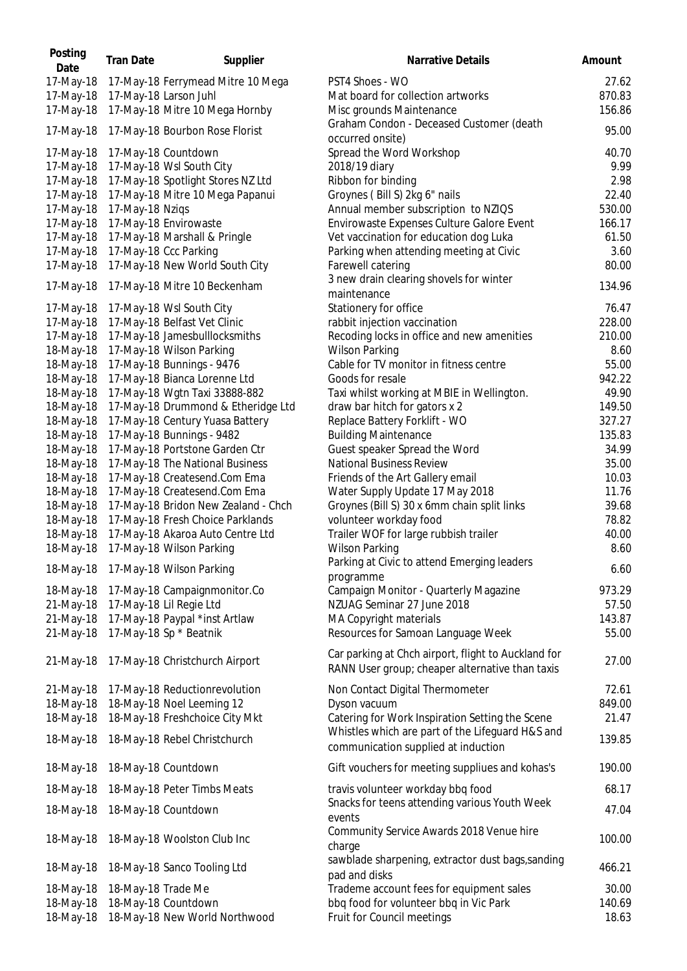| Posting<br>Date | <b>Tran Date</b>   | Supplier                            | <b>Narrative Details</b>                                                                               | Amount |
|-----------------|--------------------|-------------------------------------|--------------------------------------------------------------------------------------------------------|--------|
| 17-May-18       |                    | 17-May-18 Ferrymead Mitre 10 Mega   | PST4 Shoes - WO                                                                                        | 27.62  |
| 17-May-18       |                    | 17-May-18 Larson Juhl               | Mat board for collection artworks                                                                      | 870.83 |
| 17-May-18       |                    | 17-May-18 Mitre 10 Mega Hornby      | Misc grounds Maintenance                                                                               | 156.86 |
| 17-May-18       |                    | 17-May-18 Bourbon Rose Florist      | Graham Condon - Deceased Customer (death<br>occurred onsite)                                           | 95.00  |
| 17-May-18       |                    | 17-May-18 Countdown                 | Spread the Word Workshop                                                                               | 40.70  |
| 17-May-18       |                    | 17-May-18 Wsl South City            | 2018/19 diary                                                                                          | 9.99   |
| 17-May-18       |                    | 17-May-18 Spotlight Stores NZ Ltd   | Ribbon for binding                                                                                     | 2.98   |
| 17-May-18       |                    | 17-May-18 Mitre 10 Mega Papanui     | Groynes (Bill S) 2kg 6" nails                                                                          | 22.40  |
| 17-May-18       | 17-May-18 Nziqs    |                                     | Annual member subscription to NZIQS                                                                    | 530.00 |
| 17-May-18       |                    | 17-May-18 Envirowaste               | Envirowaste Expenses Culture Galore Event                                                              | 166.17 |
| 17-May-18       |                    | 17-May-18 Marshall & Pringle        | Vet vaccination for education dog Luka                                                                 | 61.50  |
|                 |                    |                                     |                                                                                                        |        |
| 17-May-18       |                    | 17-May-18 Ccc Parking               | Parking when attending meeting at Civic                                                                | 3.60   |
| 17-May-18       |                    | 17-May-18 New World South City      | Farewell catering                                                                                      | 80.00  |
| 17-May-18       |                    | 17-May-18 Mitre 10 Beckenham        | 3 new drain clearing shovels for winter                                                                | 134.96 |
|                 |                    |                                     | maintenance                                                                                            |        |
| 17-May-18       |                    | 17-May-18 Wsl South City            | Stationery for office                                                                                  | 76.47  |
| 17-May-18       |                    | 17-May-18 Belfast Vet Clinic        | rabbit injection vaccination                                                                           | 228.00 |
| 17-May-18       |                    | 17-May-18 Jamesbulllocksmiths       | Recoding locks in office and new amenities                                                             | 210.00 |
| 18-May-18       |                    | 17-May-18 Wilson Parking            | <b>Wilson Parking</b>                                                                                  | 8.60   |
| 18-May-18       |                    | 17-May-18 Bunnings - 9476           | Cable for TV monitor in fitness centre                                                                 | 55.00  |
| 18-May-18       |                    | 17-May-18 Bianca Lorenne Ltd        | Goods for resale                                                                                       | 942.22 |
| 18-May-18       |                    | 17-May-18 Wgtn Taxi 33888-882       | Taxi whilst working at MBIE in Wellington.                                                             | 49.90  |
| 18-May-18       |                    | 17-May-18 Drummond & Etheridge Ltd  | draw bar hitch for gators x 2                                                                          | 149.50 |
| 18-May-18       |                    | 17-May-18 Century Yuasa Battery     | Replace Battery Forklift - WO                                                                          | 327.27 |
| 18-May-18       |                    | 17-May-18 Bunnings - 9482           | <b>Building Maintenance</b>                                                                            | 135.83 |
| 18-May-18       |                    | 17-May-18 Portstone Garden Ctr      | Guest speaker Spread the Word                                                                          | 34.99  |
| 18-May-18       |                    | 17-May-18 The National Business     | <b>National Business Review</b>                                                                        | 35.00  |
| 18-May-18       |                    | 17-May-18 Createsend.Com Ema        | Friends of the Art Gallery email                                                                       | 10.03  |
| 18-May-18       |                    | 17-May-18 Createsend.Com Ema        | Water Supply Update 17 May 2018                                                                        | 11.76  |
| 18-May-18       |                    | 17-May-18 Bridon New Zealand - Chch | Groynes (Bill S) 30 x 6mm chain split links                                                            | 39.68  |
| 18-May-18       |                    | 17-May-18 Fresh Choice Parklands    | volunteer workday food                                                                                 | 78.82  |
| 18-May-18       |                    | 17-May-18 Akaroa Auto Centre Ltd    | Trailer WOF for large rubbish trailer                                                                  | 40.00  |
| 18-May-18       |                    | 17-May-18 Wilson Parking            | <b>Wilson Parking</b>                                                                                  | 8.60   |
| 18-May-18       |                    | 17-May-18 Wilson Parking            | Parking at Civic to attend Emerging leaders<br>programme                                               | 6.60   |
| 18-May-18       |                    | 17-May-18 Campaignmonitor.Co        | Campaign Monitor - Quarterly Magazine                                                                  | 973.29 |
| 21-May-18       |                    | 17-May-18 Lil Regie Ltd             | NZUAG Seminar 27 June 2018                                                                             | 57.50  |
| 21-May-18       |                    | 17-May-18 Paypal *inst Artlaw       | MA Copyright materials                                                                                 | 143.87 |
| 21-May-18       |                    | 17-May-18 Sp * Beatnik              | Resources for Samoan Language Week                                                                     | 55.00  |
| 21-May-18       |                    | 17-May-18 Christchurch Airport      | Car parking at Chch airport, flight to Auckland for<br>RANN User group; cheaper alternative than taxis | 27.00  |
|                 |                    |                                     |                                                                                                        |        |
| 21-May-18       |                    | 17-May-18 Reductionrevolution       | Non Contact Digital Thermometer                                                                        | 72.61  |
| 18-May-18       |                    | 18-May-18 Noel Leeming 12           | Dyson vacuum                                                                                           | 849.00 |
| 18-May-18       |                    | 18-May-18 Freshchoice City Mkt      | Catering for Work Inspiration Setting the Scene                                                        | 21.47  |
| 18-May-18       |                    | 18-May-18 Rebel Christchurch        | Whistles which are part of the Lifeguard H&S and<br>communication supplied at induction                | 139.85 |
| 18-May-18       |                    | 18-May-18 Countdown                 | Gift vouchers for meeting suppliues and kohas's                                                        | 190.00 |
| 18-May-18       |                    | 18-May-18 Peter Timbs Meats         | travis volunteer workday bbq food                                                                      | 68.17  |
| 18-May-18       |                    | 18-May-18 Countdown                 | Snacks for teens attending various Youth Week<br>events                                                | 47.04  |
| 18-May-18       |                    | 18-May-18 Woolston Club Inc         | Community Service Awards 2018 Venue hire<br>charge                                                     | 100.00 |
| 18-May-18       |                    | 18-May-18 Sanco Tooling Ltd         | sawblade sharpening, extractor dust bags, sanding<br>pad and disks                                     | 466.21 |
| 18-May-18       | 18-May-18 Trade Me |                                     | Trademe account fees for equipment sales                                                               | 30.00  |
| 18-May-18       |                    | 18-May-18 Countdown                 | bbq food for volunteer bbq in Vic Park                                                                 | 140.69 |
| 18-May-18       |                    | 18-May-18 New World Northwood       | Fruit for Council meetings                                                                             | 18.63  |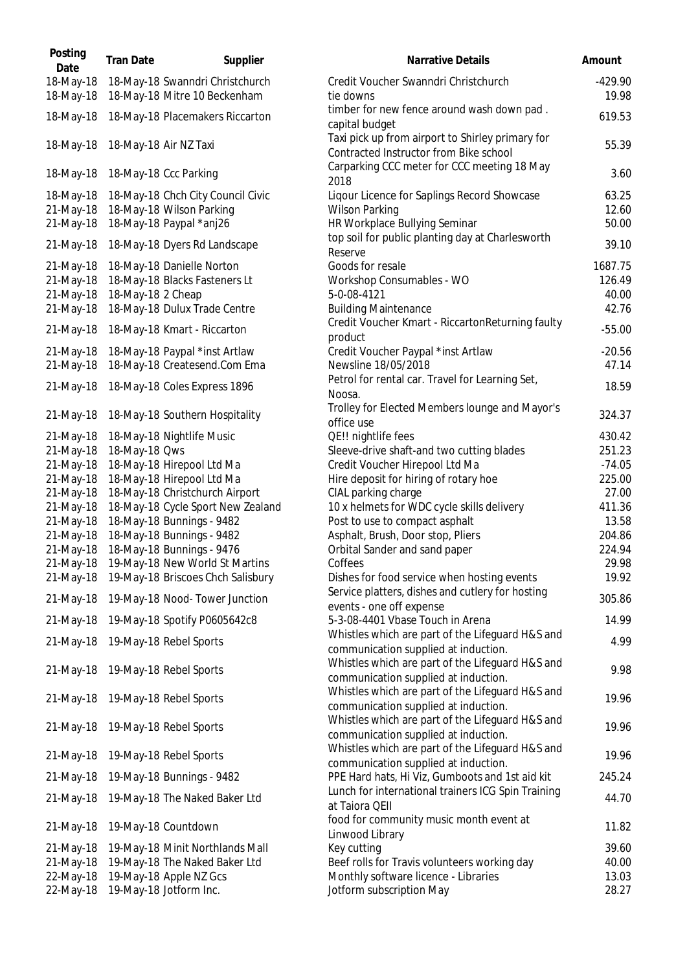| Posting<br>Date        | <b>Tran Date</b>                                                | Supplier | <b>Narrative Details</b>                                                                   | Amount             |
|------------------------|-----------------------------------------------------------------|----------|--------------------------------------------------------------------------------------------|--------------------|
| 18-May-18<br>18-May-18 | 18-May-18 Swanndri Christchurch<br>18-May-18 Mitre 10 Beckenham |          | Credit Voucher Swanndri Christchurch<br>tie downs                                          | $-429.90$<br>19.98 |
| 18-May-18              | 18-May-18 Placemakers Riccarton                                 |          | timber for new fence around wash down pad.<br>capital budget                               | 619.53             |
| 18-May-18              | 18-May-18 Air NZ Taxi                                           |          | Taxi pick up from airport to Shirley primary for<br>Contracted Instructor from Bike school | 55.39              |
| 18-May-18              | 18-May-18 Ccc Parking                                           |          | Carparking CCC meter for CCC meeting 18 May<br>2018                                        | 3.6C               |
| 18-May-18              | 18-May-18 Chch City Council Civic                               |          | Liqour Licence for Saplings Record Showcase                                                | 63.25              |
| 21-May-18              | 18-May-18 Wilson Parking                                        |          | <b>Wilson Parking</b>                                                                      | 12.60              |
| 21-May-18              | 18-May-18 Paypal *anj26                                         |          | HR Workplace Bullying Seminar                                                              | 50.00              |
| 21-May-18              | 18-May-18 Dyers Rd Landscape                                    |          | top soil for public planting day at Charlesworth<br>Reserve                                | 39.10              |
| 21-May-18              | 18-May-18 Danielle Norton                                       |          | Goods for resale                                                                           | 1687.75            |
| 21-May-18              | 18-May-18 Blacks Fasteners Lt                                   |          | Workshop Consumables - WO                                                                  | 126.49             |
| 21-May-18              | 18-May-18 2 Cheap                                               |          | 5-0-08-4121                                                                                | 40.00              |
| 21-May-18              | 18-May-18 Dulux Trade Centre                                    |          | <b>Building Maintenance</b>                                                                | 42.76              |
| 21-May-18              | 18-May-18 Kmart - Riccarton                                     |          | Credit Voucher Kmart - RiccartonReturning faulty<br>product                                | $-55.00$           |
| 21-May-18              | 18-May-18 Paypal *inst Artlaw                                   |          | Credit Voucher Paypal *inst Artlaw                                                         | $-20.56$           |
| 21-May-18              | 18-May-18 Createsend.Com Ema                                    |          | Newsline 18/05/2018                                                                        | 47.14              |
| 21-May-18              | 18-May-18 Coles Express 1896                                    |          | Petrol for rental car. Travel for Learning Set,<br>Noosa.                                  | 18.59              |
| 21-May-18              | 18-May-18 Southern Hospitality                                  |          | Trolley for Elected Members lounge and Mayor's<br>office use                               | 324.37             |
| 21-May-18              | 18-May-18 Nightlife Music                                       |          | QE!! nightlife fees                                                                        | 430.42             |
| 21-May-18              | 18-May-18 Qws                                                   |          | Sleeve-drive shaft-and two cutting blades                                                  | 251.23             |
| 21-May-18              | 18-May-18 Hirepool Ltd Ma                                       |          | Credit Voucher Hirepool Ltd Ma                                                             | $-74.05$           |
| 21-May-18              | 18-May-18 Hirepool Ltd Ma                                       |          | Hire deposit for hiring of rotary hoe                                                      | 225.00             |
| 21-May-18              | 18-May-18 Christchurch Airport                                  |          | CIAL parking charge                                                                        | 27.00              |
| 21-May-18              | 18-May-18 Cycle Sport New Zealand                               |          | 10 x helmets for WDC cycle skills delivery                                                 | 411.36             |
| 21-May-18              | 18-May-18 Bunnings - 9482                                       |          | Post to use to compact asphalt                                                             | 13.58              |
| 21-May-18              | 18-May-18 Bunnings - 9482                                       |          | Asphalt, Brush, Door stop, Pliers                                                          | 204.86             |
| 21-May-18              | 18-May-18 Bunnings - 9476                                       |          | Orbital Sander and sand paper                                                              | 224.94             |
| 21-May-18              | 19-May-18 New World St Martins                                  |          | Coffees                                                                                    | 29.98              |
| 21-May-18              | 19-May-18 Briscoes Chch Salisbury                               |          | Dishes for food service when hosting events                                                | 19.92              |
| 21-May-18              | 19-May-18 Nood- Tower Junction                                  |          | Service platters, dishes and cutlery for hosting<br>events - one off expense               | 305.86             |
| 21-May-18              | 19-May-18 Spotify P0605642c8                                    |          | 5-3-08-4401 Vbase Touch in Arena                                                           | 14.99              |
|                        |                                                                 |          | Whistles which are part of the Lifeguard H&S and                                           |                    |
| 21-May-18              | 19-May-18 Rebel Sports                                          |          | communication supplied at induction.<br>Whistles which are part of the Lifeguard H&S and   | 4.99               |
| 21-May-18              | 19-May-18 Rebel Sports                                          |          | communication supplied at induction.<br>Whistles which are part of the Lifeguard H&S and   | 9.98               |
| 21-May-18              | 19-May-18 Rebel Sports                                          |          | communication supplied at induction.                                                       | 19.96              |
| 21-May-18              | 19-May-18 Rebel Sports                                          |          | Whistles which are part of the Lifeguard H&S and<br>communication supplied at induction.   | 19.96              |
| 21-May-18              | 19-May-18 Rebel Sports                                          |          | Whistles which are part of the Lifeguard H&S and<br>communication supplied at induction.   | 19.96              |
| 21-May-18              | 19-May-18 Bunnings - 9482                                       |          | PPE Hard hats, Hi Viz, Gumboots and 1st aid kit                                            | 245.24             |
| 21-May-18              | 19-May-18 The Naked Baker Ltd                                   |          | Lunch for international trainers ICG Spin Training<br>at Taiora QEII                       | 44.70              |
| 21-May-18              | 19-May-18 Countdown                                             |          | food for community music month event at<br>Linwood Library                                 | 11.82              |
| 21-May-18              | 19-May-18 Minit Northlands Mall                                 |          | Key cutting                                                                                | 39.60              |
| 21-May-18              | 19-May-18 The Naked Baker Ltd                                   |          | Beef rolls for Travis volunteers working day                                               | 40.00              |
| 22-May-18              | 19-May-18 Apple NZ Gcs                                          |          | Monthly software licence - Libraries                                                       | 13.03              |
| 22-May-18              | 19-May-18 Jotform Inc.                                          |          | Jotform subscription May                                                                   | 28.27              |

| Narrative Details                                                                          | Amount             |
|--------------------------------------------------------------------------------------------|--------------------|
| Credit Voucher Swanndri Christchurch<br>tie downs                                          | $-429.90$<br>19.98 |
| timber for new fence around wash down pad.<br>capital budget                               | 619.53             |
| Taxi pick up from airport to Shirley primary for<br>Contracted Instructor from Bike school | 55.39              |
| Carparking CCC meter for CCC meeting 18 May<br>2018                                        | 3.60               |
| Liqour Licence for Saplings Record Showcase<br><b>Wilson Parking</b>                       | 63.25<br>12.60     |
| HR Workplace Bullying Seminar<br>top soil for public planting day at Charlesworth          | 50.00              |
| Reserve                                                                                    | 39.10              |
| Goods for resale                                                                           | 1687.75            |
| Workshop Consumables - WO                                                                  | 126.49             |
| 5-0-08-4121<br><b>Building Maintenance</b>                                                 | 40.00<br>42.76     |
| Credit Voucher Kmart - RiccartonReturning faulty                                           |                    |
| product                                                                                    | $-55.00$           |
| Credit Voucher Paypal *inst Artlaw                                                         | $-20.56$           |
| Newsline 18/05/2018                                                                        | 47.14              |
| Petrol for rental car. Travel for Learning Set,                                            | 18.59              |
| Noosa.<br>Trolley for Elected Members lounge and Mayor's                                   |                    |
| office use                                                                                 | 324.37             |
| QE!! nightlife fees                                                                        | 430.42             |
| Sleeve-drive shaft-and two cutting blades                                                  | 251.23             |
| Credit Voucher Hirepool Ltd Ma                                                             | $-74.05$           |
| Hire deposit for hiring of rotary hoe                                                      | 225.00             |
| CIAL parking charge                                                                        | 27.00              |
| 10 x helmets for WDC cycle skills delivery                                                 | 411.36             |
| Post to use to compact asphalt                                                             | 13.58              |
| Asphalt, Brush, Door stop, Pliers                                                          | 204.86             |
| Orbital Sander and sand paper                                                              | 224.94             |
| Coffees                                                                                    | 29.98              |
| Dishes for food service when hosting events                                                | 19.92              |
| Service platters, dishes and cutlery for hosting<br>events - one off expense               | 305.86             |
| 5-3-08-4401 Vbase Touch in Arena                                                           | 14.99              |
| Whistles which are part of the Lifeguard H&S and                                           | 4.99               |
| communication supplied at induction.<br>Whistles which are part of the Lifeguard H&S and   | 9.98               |
| communication supplied at induction.<br>Whistles which are part of the Lifeguard H&S and   | 19.96              |
| communication supplied at induction.<br>Whistles which are part of the Lifeguard H&S and   |                    |
| communication supplied at induction.                                                       | 19.96              |
| Whistles which are part of the Lifeguard H&S and<br>communication supplied at induction.   | 19.96              |
| PPE Hard hats, Hi Viz, Gumboots and 1st aid kit                                            | 245.24             |
| Lunch for international trainers ICG Spin Training                                         | 44.70              |
| at Taiora QEII                                                                             |                    |
| food for community music month event at<br>Linwood Library                                 | 11.82              |
| Key cutting                                                                                | 39.60              |
| Beef rolls for Travis volunteers working day                                               | 40.00              |
| Monthly software licence - Libraries                                                       | 13.03              |
| Jotform subscription May                                                                   | 28.27              |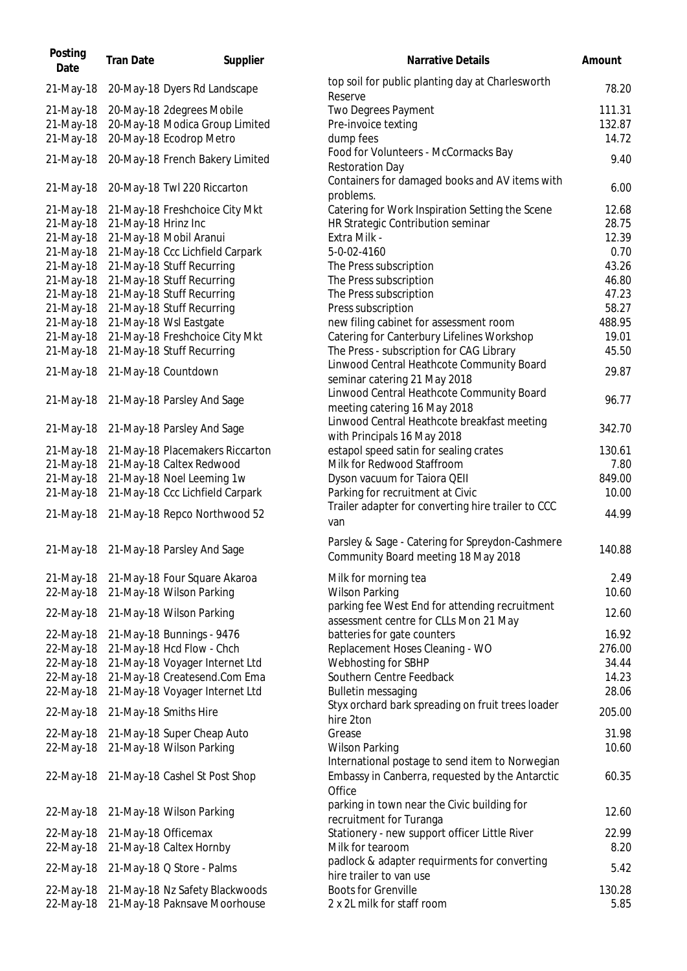| Posting<br>Date | <b>Tran Date</b>      | Supplier                                | <b>Narrative Details</b>                                                               | Amount |
|-----------------|-----------------------|-----------------------------------------|----------------------------------------------------------------------------------------|--------|
| 21-May-18       |                       | 20-May-18 Dyers Rd Landscape            | top soil for public planting day at Charlesworth<br>Reserve                            | 78.20  |
| 21-May-18       |                       | 20-May-18 2degrees Mobile               | Two Degrees Payment                                                                    | 111.31 |
| 21-May-18       |                       | 20-May-18 Modica Group Limited          | Pre-invoice texting                                                                    | 132.87 |
| 21-May-18       |                       | 20-May-18 Ecodrop Metro                 | dump fees                                                                              | 14.72  |
| 21-May-18       |                       | 20-May-18 French Bakery Limited         | Food for Volunteers - McCormacks Bay                                                   | 9.40   |
| 21-May-18       |                       | 20-May-18 Twl 220 Riccarton             | <b>Restoration Day</b><br>Containers for damaged books and AV items with<br>problems.  | 6.0C   |
| 21-May-18       |                       | 21-May-18 Freshchoice City Mkt          | Catering for Work Inspiration Setting the Scene                                        | 12.68  |
| 21-May-18       | 21-May-18 Hrinz Inc   |                                         | HR Strategic Contribution seminar                                                      | 28.75  |
| 21-May-18       |                       | 21-May-18 Mobil Aranui                  | Extra Milk -                                                                           | 12.39  |
| 21-May-18       |                       | 21-May-18 Ccc Lichfield Carpark         | 5-0-02-4160                                                                            | 0.70   |
| 21-May-18       |                       | 21-May-18 Stuff Recurring               | The Press subscription                                                                 | 43.26  |
| 21-May-18       |                       | 21-May-18 Stuff Recurring               | The Press subscription                                                                 | 46.80  |
| 21-May-18       |                       | 21-May-18 Stuff Recurring               | The Press subscription                                                                 | 47.23  |
|                 |                       | 21-May-18 Stuff Recurring               | Press subscription                                                                     | 58.27  |
| 21-May-18       |                       |                                         |                                                                                        |        |
| 21-May-18       |                       | 21-May-18 Wsl Eastgate                  | new filing cabinet for assessment room                                                 | 488.95 |
| 21-May-18       |                       | 21-May-18 Freshchoice City Mkt          | Catering for Canterbury Lifelines Workshop                                             | 19.01  |
| 21-May-18       |                       | 21-May-18 Stuff Recurring               | The Press - subscription for CAG Library                                               | 45.50  |
| 21-May-18       |                       | 21-May-18 Countdown                     | Linwood Central Heathcote Community Board<br>seminar catering 21 May 2018              | 29.87  |
| 21-May-18       |                       | 21-May-18 Parsley And Sage              | Linwood Central Heathcote Community Board<br>meeting catering 16 May 2018              | 96.77  |
| 21-May-18       |                       | 21-May-18 Parsley And Sage              | Linwood Central Heathcote breakfast meeting<br>with Principals 16 May 2018             | 342.70 |
| 21-May-18       |                       | 21-May-18 Placemakers Riccarton         | estapol speed satin for sealing crates                                                 | 130.61 |
| 21-May-18       |                       | 21-May-18 Caltex Redwood                | Milk for Redwood Staffroom                                                             | 7.80   |
| 21-May-18       |                       | 21-May-18 Noel Leeming 1w               | Dyson vacuum for Taiora QEII                                                           | 849.00 |
| 21-May-18       |                       | 21-May-18 Ccc Lichfield Carpark         | Parking for recruitment at Civic                                                       | 10.00  |
| 21-May-18       |                       | 21-May-18 Repco Northwood 52            | Trailer adapter for converting hire trailer to CCC<br>van                              | 44.99  |
|                 |                       | 21-May-18 21-May-18 Parsley And Sage    | Parsley & Sage - Catering for Spreydon-Cashmere<br>Community Board meeting 18 May 2018 | 140.88 |
|                 |                       | 21-May-18 21-May-18 Four Square Akaroa  | Milk for morning tea                                                                   | 2.49   |
| 22-May-18       |                       | 21-May-18 Wilson Parking                | <b>Wilson Parking</b>                                                                  | 10.60  |
|                 |                       |                                         | parking fee West End for attending recruitment                                         |        |
| 22-May-18       |                       | 21-May-18 Wilson Parking                | assessment centre for CLLs Mon 21 May                                                  | 12.60  |
| 22-May-18       |                       | 21-May-18 Bunnings - 9476               | batteries for gate counters                                                            | 16.92  |
| 22-May-18       |                       | 21-May-18 Hcd Flow - Chch               | Replacement Hoses Cleaning - WO                                                        | 276.00 |
| 22-May-18       |                       | 21-May-18 Voyager Internet Ltd          | Webhosting for SBHP                                                                    | 34.44  |
| 22-May-18       |                       | 21-May-18 Createsend.Com Ema            | Southern Centre Feedback                                                               | 14.23  |
| 22-May-18       |                       | 21-May-18 Voyager Internet Ltd          | <b>Bulletin messaging</b>                                                              | 28.06  |
| 22-May-18       | 21-May-18 Smiths Hire |                                         | Styx orchard bark spreading on fruit trees loader<br>hire 2ton                         | 205.00 |
| 22-May-18       |                       | 21-May-18 Super Cheap Auto              | Grease                                                                                 | 31.98  |
| 22-May-18       |                       | 21-May-18 Wilson Parking                | <b>Wilson Parking</b><br>International postage to send item to Norwegian               | 10.60  |
|                 |                       | 22-May-18 21-May-18 Cashel St Post Shop | Embassy in Canberra, requested by the Antarctic<br>Office                              | 60.35  |
| 22-May-18       |                       | 21-May-18 Wilson Parking                | parking in town near the Civic building for<br>recruitment for Turanga                 | 12.60  |
| 22-May-18       | 21-May-18 Officemax   |                                         | Stationery - new support officer Little River                                          | 22.99  |
| 22-May-18       |                       | 21-May-18 Caltex Hornby                 | Milk for tearoom                                                                       | 8.20   |
|                 |                       |                                         | padlock & adapter requirments for converting                                           |        |
| 22-May-18       |                       | 21-May-18 Q Store - Palms               | hire trailer to van use                                                                | 5.42   |
| 22-May-18       |                       | 21-May-18 Nz Safety Blackwoods          | <b>Boots for Grenville</b>                                                             | 130.28 |
| 22-May-18       |                       | 21-May-18 Paknsave Moorhouse            | 2 x 2L milk for staff room                                                             | 5.85   |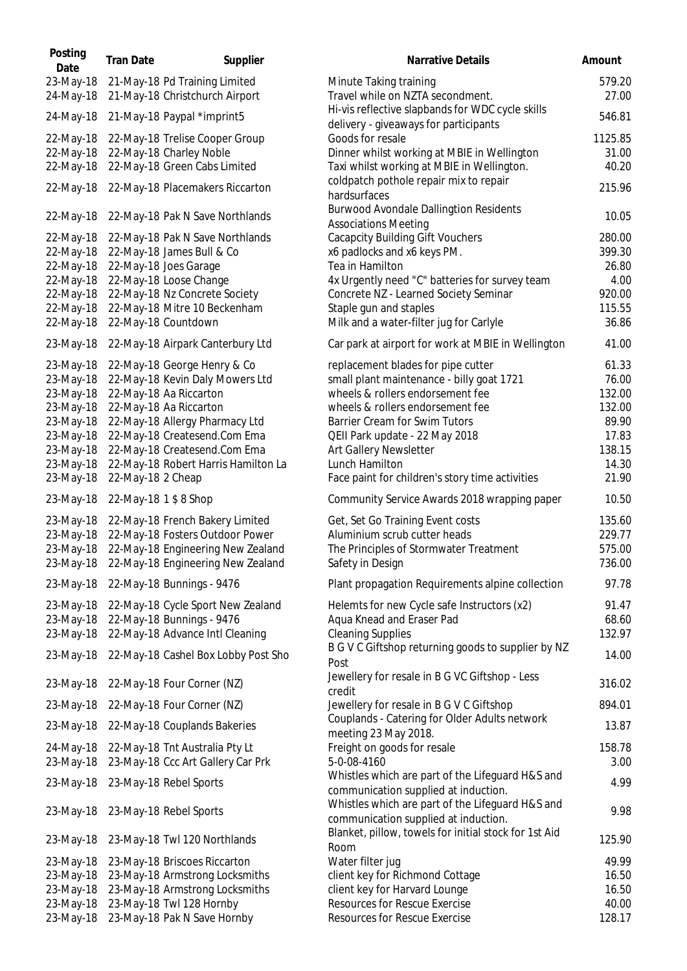**Posting** 23-May-18 21-May-18 Pd Training Limited 24-May-18 21-May-18 Christchurch Airport 24-May-18 21-May-18 Paypal \*imprint5 22-May-18 22-May-18 Trelise Cooper Group 22-May-18 22-May-18 Charley Noble 22-May-18 22-May-18 Green Cabs Limited 22-May-18 22-May-18 Placemakers Riccarton 22-May-18 22-May-18 Pak N Save Northlands 22-May-18 22-May-18 Pak N Save Northlands 22-May-18 22-May-18 James Bull & Co 22-May-18 22-May-18 Joes Garage 22-May-18 22-May-18 Loose Change 22-May-18 22-May-18 Nz Concrete Society 22-May-18 22-May-18 Mitre 10 Beckenham 22-May-18 22-May-18 Countdown 23-May-18 22-May-18 Airpark Canterbury Ltd 23-May-18 22-May-18 George Henry & Co 23-May-18 22-May-18 Kevin Daly Mowers Ltd 23-May-18 22-May-18 Aa Riccarton 23-May-18 22-May-18 Aa Riccarton 23-May-18 22-May-18 Allergy Pharmacy Ltd 23-May-18 22-May-18 Createsend.Com Ema 23-May-18 22-May-18 Createsend.Com Ema 23-May-18 22-May-18 Robert Harris Hamilton La 23-May-18 22-May-18 2 Cheap 23-May-18 22-May-18 1 \$ 8 Shop 23-May-18 22-May-18 French Bakery Limited 23-May-18 22-May-18 Fosters Outdoor Power 23-May-18 22-May-18 Engineering New Zealand 23-May-18 22-May-18 Engineering New Zealand 23-May-18 22-May-18 Bunnings - 9476 23-May-18 22-May-18 Cycle Sport New Zealand 23-May-18 22-May-18 Bunnings - 9476 23-May-18 22-May-18 Advance Intl Cleaning 23-May-18 22-May-18 Cashel Box Lobby Post Sho 23-May-18 22-May-18 Four Corner (NZ) 23-May-18 22-May-18 Four Corner (NZ) 23-May-18 22-May-18 Couplands Bakeries 24-May-18 22-May-18 Tnt Australia Pty Lt 23-May-18 23-May-18 Ccc Art Gallery Car Prk 23-May-18 23-May-18 Rebel Sports 23-May-18 23-May-18 Rebel Sports 23-May-18 23-May-18 Twl 120 Northlands 23-May-18 23-May-18 Briscoes Riccarton 23-May-18 23-May-18 Armstrong Locksmiths 23-May-18 23-May-18 Armstrong Locksmiths 23-May-18 23-May-18 Twl 128 Hornby 23-May-18 23-May-18 Pak N Save Hornby

| osting<br>Date     | <b>Tran Date</b>      | Supplier                                                     | <b>Narrative Details</b>                                                      | Amount         |
|--------------------|-----------------------|--------------------------------------------------------------|-------------------------------------------------------------------------------|----------------|
| -May-18            |                       | 21-May-18 Pd Training Limited                                | Minute Taking training                                                        | 579.20         |
| -May-18            |                       | 21-May-18 Christchurch Airport                               | Travel while on NZTA secondment.                                              | 27.00          |
|                    |                       |                                                              | Hi-vis reflective slapbands for WDC cycle skills                              |                |
| -May-18            |                       | 21-May-18 Paypal *imprint5                                   | delivery - giveaways for participants                                         | 546.81         |
| -May-18            |                       | 22-May-18 Trelise Cooper Group                               | Goods for resale                                                              | 1125.85        |
| !-May-18           |                       | 22-May-18 Charley Noble                                      | Dinner whilst working at MBIE in Wellington                                   | 31.00          |
| !-May-18           |                       | 22-May-18 Green Cabs Limited                                 | Taxi whilst working at MBIE in Wellington.                                    | 40.20          |
|                    |                       |                                                              | coldpatch pothole repair mix to repair                                        |                |
| -May-18            |                       | 22-May-18 Placemakers Riccarton                              | hardsurfaces                                                                  | 215.96         |
|                    |                       |                                                              | <b>Burwood Avondale Dallingtion Residents</b>                                 | 10.05          |
| -May-18            |                       | 22-May-18 Pak N Save Northlands                              | <b>Associations Meeting</b>                                                   |                |
| !-May-18           |                       | 22-May-18 Pak N Save Northlands                              | <b>Cacapcity Building Gift Vouchers</b>                                       | 280.00         |
| !-May-18           |                       | 22-May-18 James Bull & Co                                    | x6 padlocks and x6 keys PM.                                                   | 399.30         |
| -May-18            |                       | 22-May-18 Joes Garage                                        | Tea in Hamilton                                                               | 26.80          |
| !-May-18           |                       | 22-May-18 Loose Change                                       | 4x Urgently need "C" batteries for survey team                                | 4.00           |
| !-May-18           |                       | 22-May-18 Nz Concrete Society                                | Concrete NZ - Learned Society Seminar                                         | 920.00         |
| !-May-18           |                       | 22-May-18 Mitre 10 Beckenham                                 | Staple gun and staples                                                        | 115.55         |
| !-May-18           |                       | 22-May-18 Countdown                                          | Milk and a water-filter jug for Carlyle                                       | 36.86          |
| -May-18            |                       | 22-May-18 Airpark Canterbury Ltd                             | Car park at airport for work at MBIE in Wellington                            | 41.00          |
|                    |                       |                                                              |                                                                               |                |
| -May-18            |                       | 22-May-18 George Henry & Co                                  | replacement blades for pipe cutter                                            | 61.33<br>76.00 |
| -May-18<br>-May-18 |                       | 22-May-18 Kevin Daly Mowers Ltd                              | small plant maintenance - billy goat 1721<br>wheels & rollers endorsement fee | 132.00         |
|                    |                       | 22-May-18 Aa Riccarton                                       | wheels & rollers endorsement fee                                              | 132.00         |
| -May-18            |                       | 22-May-18 Aa Riccarton                                       |                                                                               | 89.90          |
| -May-18<br>-May-18 |                       | 22-May-18 Allergy Pharmacy Ltd                               | Barrier Cream for Swim Tutors                                                 | 17.83          |
| -May-18            |                       | 22-May-18 Createsend.Com Ema<br>22-May-18 Createsend.Com Ema | QEII Park update - 22 May 2018<br>Art Gallery Newsletter                      | 138.15         |
| -May-18            |                       | 22-May-18 Robert Harris Hamilton La                          | Lunch Hamilton                                                                | 14.30          |
| -May-18            | 22-May-18 2 Cheap     |                                                              | Face paint for children's story time activities                               | 21.90          |
|                    |                       |                                                              |                                                                               |                |
| -May-18            | 22-May-18 1 \$ 8 Shop |                                                              | Community Service Awards 2018 wrapping paper                                  | 10.50          |
| -May-18            |                       | 22-May-18 French Bakery Limited                              | Get, Set Go Training Event costs                                              | 135.60         |
| -May-18            |                       | 22-May-18 Fosters Outdoor Power                              | Aluminium scrub cutter heads                                                  | 229.77         |
| -May-18            |                       | 22-May-18 Engineering New Zealand                            | The Principles of Stormwater Treatment                                        | 575.00         |
| -May-18            |                       | 22-May-18 Engineering New Zealand                            | Safety in Design                                                              | 736.00         |
|                    |                       | -May-18 22-May-18 Bunnings - 9476                            | Plant propagation Requirements alpine collection                              | 97.78          |
| -May-18            |                       | 22-May-18 Cycle Sport New Zealand                            | Helemts for new Cycle safe Instructors (x2)                                   | 91.47          |
| -May-18            |                       | 22-May-18 Bunnings - 9476                                    | Aqua Knead and Eraser Pad                                                     | 68.60          |
| -May-18            |                       | 22-May-18 Advance Intl Cleaning                              | <b>Cleaning Supplies</b>                                                      | 132.97         |
|                    |                       |                                                              | B G V C Giftshop returning goods to supplier by NZ                            |                |
| -May-18            |                       | 22-May-18 Cashel Box Lobby Post Sho                          | Post                                                                          | 14.00          |
| -May-18            |                       | 22-May-18 Four Corner (NZ)                                   | Jewellery for resale in B G VC Giftshop - Less                                | 316.02         |
|                    |                       |                                                              | credit                                                                        |                |
| -May-18            |                       | 22-May-18 Four Corner (NZ)                                   | Jewellery for resale in B G V C Giftshop                                      | 894.01         |
| -May-18            |                       | 22-May-18 Couplands Bakeries                                 | Couplands - Catering for Older Adults network<br>meeting 23 May 2018.         | 13.87          |
| -May-18            |                       | 22-May-18 Tnt Australia Pty Lt                               | Freight on goods for resale                                                   | 158.78         |
| -May-18            |                       | 23-May-18 Ccc Art Gallery Car Prk                            | 5-0-08-4160                                                                   | 3.00           |
|                    |                       |                                                              | Whistles which are part of the Lifeguard H&S and                              |                |
| -May-18            |                       | 23-May-18 Rebel Sports                                       | communication supplied at induction.                                          | 4.99           |
|                    |                       |                                                              | Whistles which are part of the Lifeguard H&S and                              |                |
| -May-18            |                       | 23-May-18 Rebel Sports                                       | communication supplied at induction.                                          | 9.98           |
|                    |                       |                                                              | Blanket, pillow, towels for initial stock for 1st Aid                         |                |
| -May-18            |                       | 23-May-18 Twl 120 Northlands                                 | Room                                                                          | 125.90         |
| -May-18            |                       | 23-May-18 Briscoes Riccarton                                 | Water filter jug                                                              | 49.99          |
| -May-18            |                       | 23-May-18 Armstrong Locksmiths                               | client key for Richmond Cottage                                               | 16.50          |
| -May-18            |                       | 23-May-18 Armstrong Locksmiths                               | client key for Harvard Lounge                                                 | 16.50          |
| -May-18            |                       | 23-May-18 Twl 128 Hornby                                     | <b>Resources for Rescue Exercise</b>                                          | 40.00          |
| -May-18            |                       | 23-May-18 Pak N Save Hornby                                  | <b>Resources for Rescue Exercise</b>                                          | 128.17         |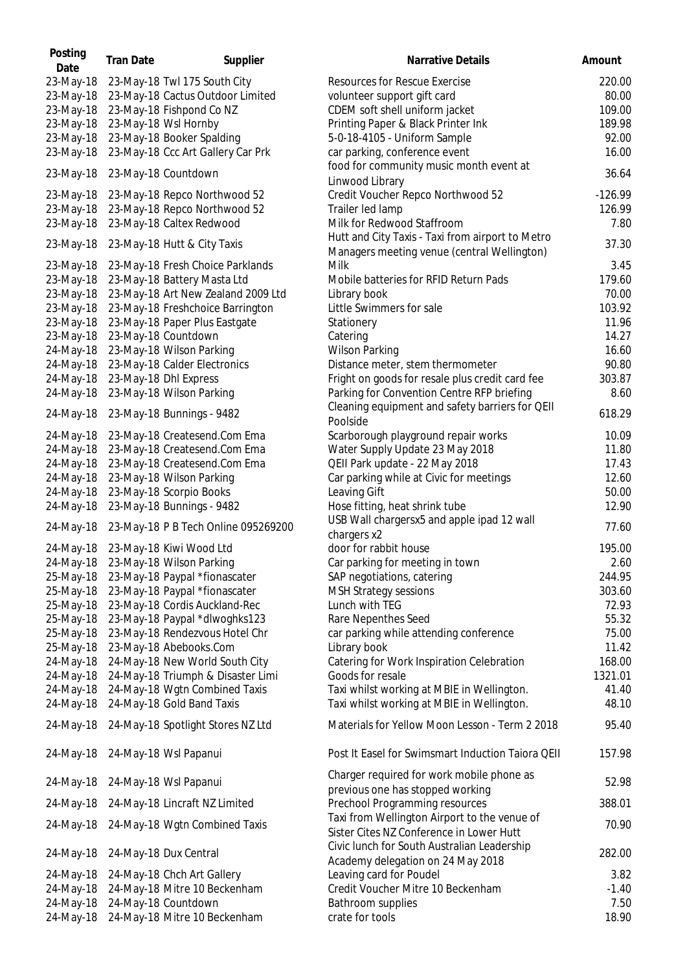| Posting<br>Date | <b>Tran Date</b> | Supplier                            | Narrative Details                                                                               | Amount    |
|-----------------|------------------|-------------------------------------|-------------------------------------------------------------------------------------------------|-----------|
| 23-May-18       |                  | 23-May-18 Twl 175 South City        | <b>Resources for Rescue Exercise</b>                                                            | 220.00    |
| 23-May-18       |                  | 23-May-18 Cactus Outdoor Limited    | volunteer support gift card                                                                     | 80.00     |
| 23-May-18       |                  | 23-May-18 Fishpond Co NZ            | CDEM soft shell uniform jacket                                                                  | 109.00    |
| 23-May-18       |                  | 23-May-18 Wsl Hornby                | Printing Paper & Black Printer Ink                                                              | 189.98    |
| 23-May-18       |                  | 23-May-18 Booker Spalding           | 5-0-18-4105 - Uniform Sample                                                                    | 92.00     |
| 23-May-18       |                  | 23-May-18 Ccc Art Gallery Car Prk   | car parking, conference event                                                                   | 16.00     |
| 23-May-18       |                  | 23-May-18 Countdown                 | food for community music month event at                                                         | 36.64     |
| 23-May-18       |                  | 23-May-18 Repco Northwood 52        | Linwood Library<br>Credit Voucher Repco Northwood 52                                            | $-126.99$ |
|                 |                  | 23-May-18 Repco Northwood 52        | Trailer led lamp                                                                                | 126.99    |
| 23-May-18       |                  |                                     |                                                                                                 |           |
| 23-May-18       |                  | 23-May-18 Caltex Redwood            | Milk for Redwood Staffroom                                                                      | 7.80      |
| 23-May-18       |                  | 23-May-18 Hutt & City Taxis         | Hutt and City Taxis - Taxi from airport to Metro<br>Managers meeting venue (central Wellington) | 37.30     |
| 23-May-18       |                  | 23-May-18 Fresh Choice Parklands    | Milk                                                                                            | 3.45      |
| 23-May-18       |                  | 23-May-18 Battery Masta Ltd         | Mobile batteries for RFID Return Pads                                                           | 179.60    |
| 23-May-18       |                  | 23-May-18 Art New Zealand 2009 Ltd  | Library book                                                                                    | 70.00     |
| 23-May-18       |                  | 23-May-18 Freshchoice Barrington    | Little Swimmers for sale                                                                        | 103.92    |
| 23-May-18       |                  | 23-May-18 Paper Plus Eastgate       | Stationery                                                                                      | 11.96     |
| 23-May-18       |                  | 23-May-18 Countdown                 | Catering                                                                                        | 14.27     |
| 24-May-18       |                  | 23-May-18 Wilson Parking            | <b>Wilson Parking</b>                                                                           | 16.60     |
| 24-May-18       |                  | 23-May-18 Calder Electronics        | Distance meter, stem thermometer                                                                | 90.80     |
| 24-May-18       |                  | 23-May-18 Dhl Express               | Fright on goods for resale plus credit card fee                                                 | 303.87    |
| 24-May-18       |                  | 23-May-18 Wilson Parking            | Parking for Convention Centre RFP briefing                                                      | 8.60      |
| 24-May-18       |                  | 23-May-18 Bunnings - 9482           | Cleaning equipment and safety barriers for QEII<br>Poolside                                     | 618.29    |
| 24-May-18       |                  | 23-May-18 Createsend.Com Ema        | Scarborough playground repair works                                                             | 10.09     |
| 24-May-18       |                  | 23-May-18 Createsend.Com Ema        | Water Supply Update 23 May 2018                                                                 | 11.80     |
| 24-May-18       |                  | 23-May-18 Createsend.Com Ema        | QEII Park update - 22 May 2018                                                                  | 17.43     |
| 24-May-18       |                  | 23-May-18 Wilson Parking            | Car parking while at Civic for meetings                                                         | 12.60     |
| 24-May-18       |                  | 23-May-18 Scorpio Books             | Leaving Gift                                                                                    | 50.00     |
| 24-May-18       |                  | 23-May-18 Bunnings - 9482           | Hose fitting, heat shrink tube                                                                  | 12.90     |
|                 |                  |                                     |                                                                                                 |           |
| 24-May-18       |                  | 23-May-18 P B Tech Online 095269200 | USB Wall chargersx5 and apple ipad 12 wall<br>chargers x2                                       | 77.60     |
|                 |                  | 24-May-18 23-May-18 Kiwi Wood Ltd   | door for rabbit house                                                                           | 195.00    |
|                 |                  | 24-May-18 23-May-18 Wilson Parking  | Car parking for meeting in town                                                                 | 2.60      |
| 25-May-18       |                  | 23-May-18 Paypal *fionascater       | SAP negotiations, catering                                                                      | 244.95    |
| 25-May-18       |                  | 23-May-18 Paypal *fionascater       | <b>MSH Strategy sessions</b>                                                                    | 303.60    |
| 25-May-18       |                  | 23-May-18 Cordis Auckland-Rec       | Lunch with TEG                                                                                  | 72.93     |
| 25-May-18       |                  | 23-May-18 Paypal *dlwoghks123       | Rare Nepenthes Seed                                                                             | 55.32     |
| 25-May-18       |                  | 23-May-18 Rendezvous Hotel Chr      | car parking while attending conference                                                          | 75.00     |
|                 |                  | 23-May-18 Abebooks.Com              | Library book                                                                                    | 11.42     |
| 25-May-18       |                  |                                     |                                                                                                 |           |
| 24-May-18       |                  | 24-May-18 New World South City      | Catering for Work Inspiration Celebration<br>Goods for resale                                   | 168.00    |
| 24-May-18       |                  | 24-May-18 Triumph & Disaster Limi   |                                                                                                 | 1321.01   |
| 24-May-18       |                  | 24-May-18 Wgtn Combined Taxis       | Taxi whilst working at MBIE in Wellington.                                                      | 41.40     |
| 24-May-18       |                  | 24-May-18 Gold Band Taxis           | Taxi whilst working at MBIE in Wellington.                                                      | 48.10     |
| 24-May-18       |                  | 24-May-18 Spotlight Stores NZ Ltd   | Materials for Yellow Moon Lesson - Term 2 2018                                                  | 95.40     |
| 24-May-18       |                  | 24-May-18 Wsl Papanui               | Post It Easel for Swimsmart Induction Taiora QEII                                               | 157.98    |
| 24-May-18       |                  | 24-May-18 Wsl Papanui               | Charger required for work mobile phone as<br>previous one has stopped working                   | 52.98     |
| 24-May-18       |                  | 24-May-18 Lincraft NZ Limited       | Prechool Programming resources                                                                  | 388.01    |
| 24-May-18       |                  | 24-May-18 Wgtn Combined Taxis       | Taxi from Wellington Airport to the venue of<br>Sister Cites NZ Conference in Lower Hutt        | 70.90     |
| 24-May-18       |                  | 24-May-18 Dux Central               | Civic lunch for South Australian Leadership<br>Academy delegation on 24 May 2018                | 282.00    |
| 24-May-18       |                  | 24-May-18 Chch Art Gallery          | Leaving card for Poudel                                                                         | 3.82      |
| 24-May-18       |                  | 24-May-18 Mitre 10 Beckenham        | Credit Voucher Mitre 10 Beckenham                                                               | $-1.40$   |
| 24-May-18       |                  | 24-May-18 Countdown                 | Bathroom supplies                                                                               | 7.50      |
| 24-May-18       |                  | 24-May-18 Mitre 10 Beckenham        | crate for tools                                                                                 | 18.90     |